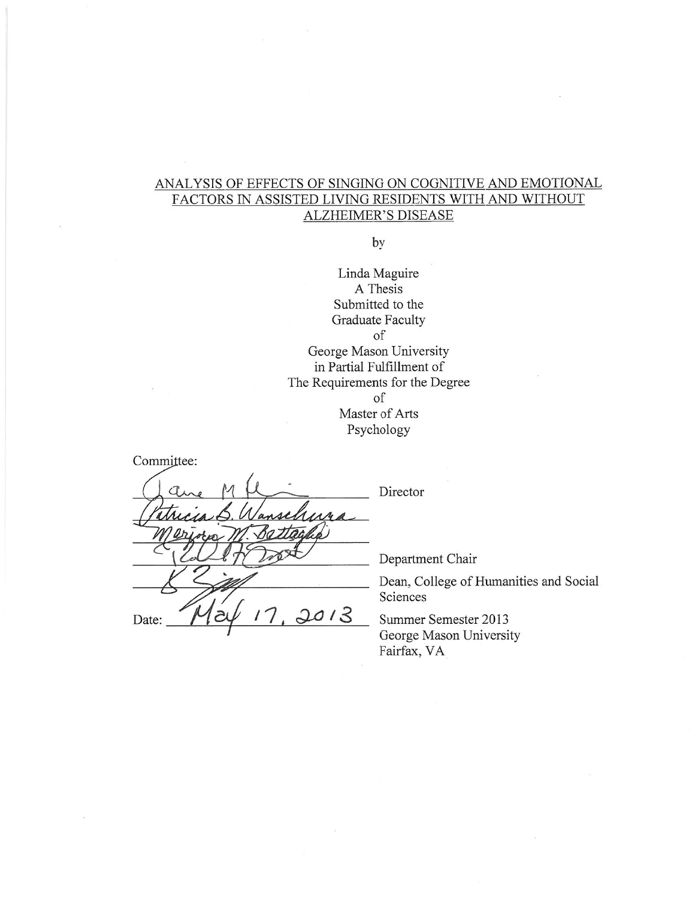### ANALYSIS OF EFFECTS OF SINGING ON COGNITIVE AND EMOTIONAL FACTORS IN ASSISTED LIVING RESIDENTS WITH AND WITHOUT **ALZHEIMER'S DISEASE**

by

Linda Maguire A Thesis Submitted to the **Graduate Faculty** of George Mason University in Partial Fulfillment of The Requirements for the Degree of Master of Arts Psychology

Committee:  $AA$  $2013$ Date:

Director

Department Chair

Dean, College of Humanities and Social Sciences

Summer Semester 2013 George Mason University Fairfax, VA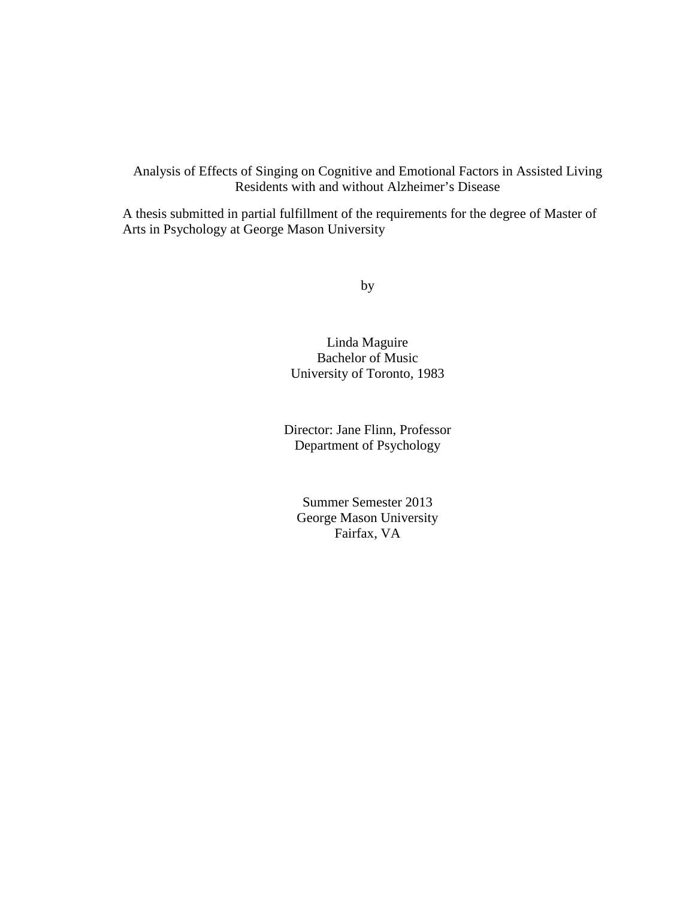Analysis of Effects of Singing on Cognitive and Emotional Factors in Assisted Living Residents with and without Alzheimer's Disease

A thesis submitted in partial fulfillment of the requirements for the degree of Master of Arts in Psychology at George Mason University

by

Linda Maguire Bachelor of Music University of Toronto, 1983

Director: Jane Flinn, Professor Department of Psychology

Summer Semester 2013 George Mason University Fairfax, VA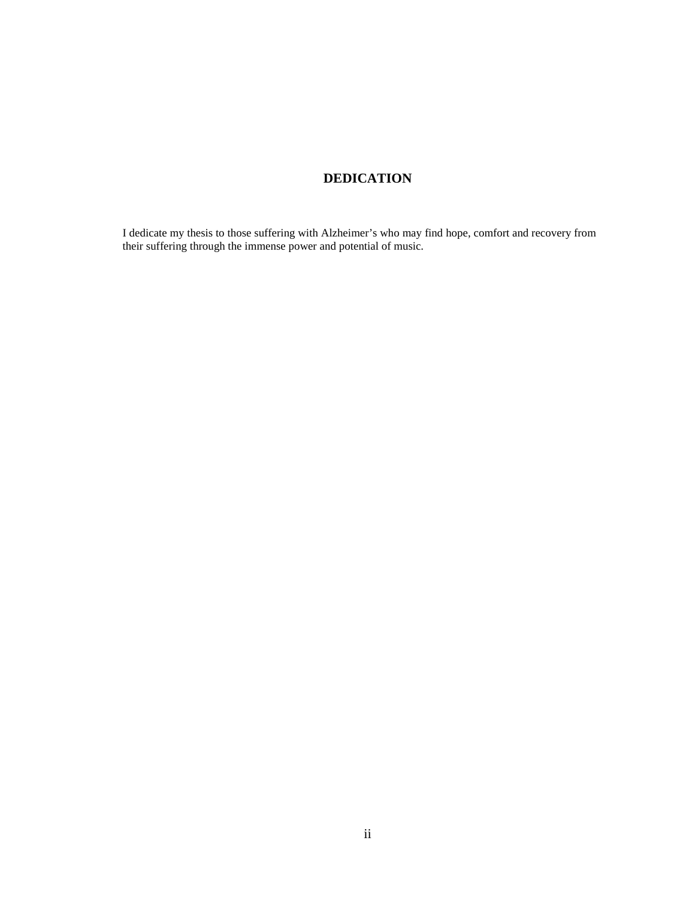## **DEDICATION**

I dedicate my thesis to those suffering with Alzheimer's who may find hope, comfort and recovery from their suffering through the immense power and potential of music.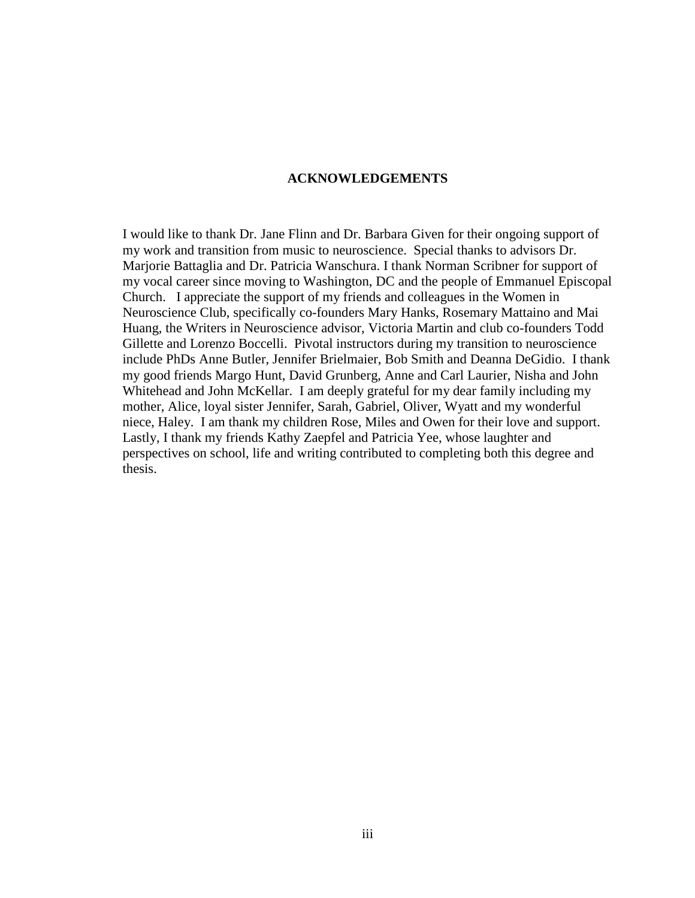### **ACKNOWLEDGEMENTS**

I would like to thank Dr. Jane Flinn and Dr. Barbara Given for their ongoing support of my work and transition from music to neuroscience. Special thanks to advisors Dr. Marjorie Battaglia and Dr. Patricia Wanschura. I thank Norman Scribner for support of my vocal career since moving to Washington, DC and the people of Emmanuel Episcopal Church. I appreciate the support of my friends and colleagues in the Women in Neuroscience Club, specifically co-founders Mary Hanks, Rosemary Mattaino and Mai Huang, the Writers in Neuroscience advisor, Victoria Martin and club co-founders Todd Gillette and Lorenzo Boccelli. Pivotal instructors during my transition to neuroscience include PhDs Anne Butler, Jennifer Brielmaier, Bob Smith and Deanna DeGidio. I thank my good friends Margo Hunt, David Grunberg, Anne and Carl Laurier, Nisha and John Whitehead and John McKellar. I am deeply grateful for my dear family including my mother, Alice, loyal sister Jennifer, Sarah, Gabriel, Oliver, Wyatt and my wonderful niece, Haley. I am thank my children Rose, Miles and Owen for their love and support. Lastly, I thank my friends Kathy Zaepfel and Patricia Yee, whose laughter and perspectives on school, life and writing contributed to completing both this degree and thesis.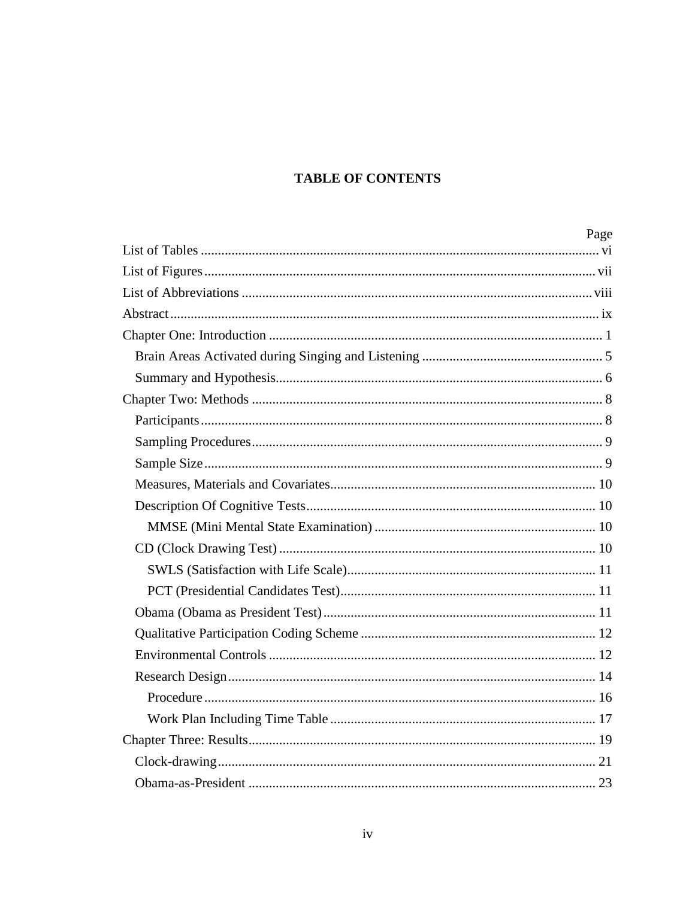# **TABLE OF CONTENTS**

| Page |
|------|
|      |
|      |
|      |
|      |
|      |
|      |
|      |
|      |
|      |
|      |
|      |
|      |
|      |
|      |
|      |
|      |
|      |
|      |
|      |
|      |
|      |
|      |
|      |
|      |
|      |
|      |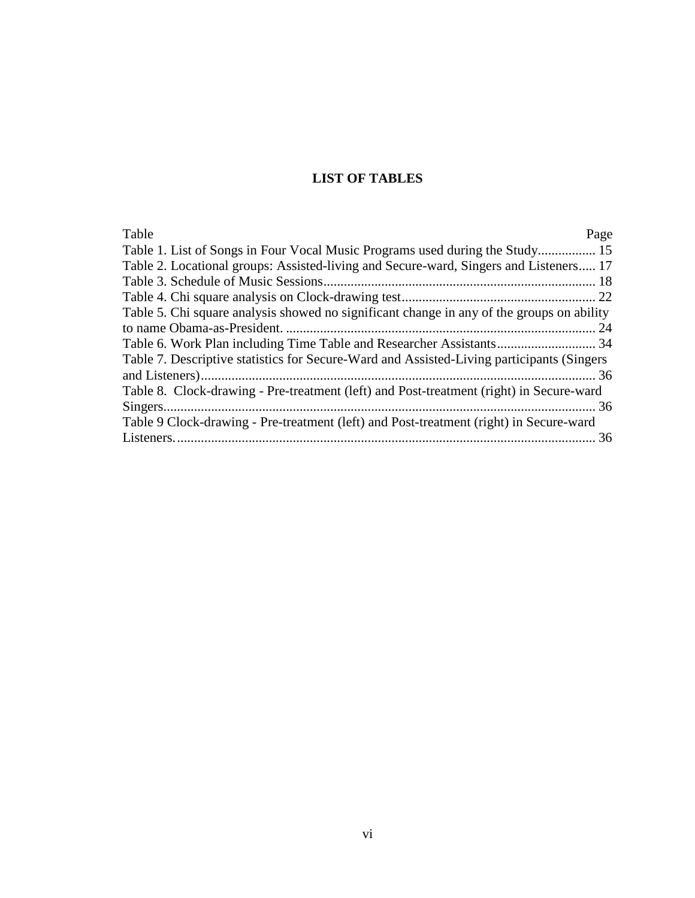## **LIST OF TABLES**

<span id="page-6-0"></span>

| Page                                                                                       |
|--------------------------------------------------------------------------------------------|
| Table 1. List of Songs in Four Vocal Music Programs used during the Study 15               |
| Table 2. Locational groups: Assisted-living and Secure-ward, Singers and Listeners 17      |
|                                                                                            |
|                                                                                            |
| Table 5. Chi square analysis showed no significant change in any of the groups on ability  |
|                                                                                            |
|                                                                                            |
| Table 7. Descriptive statistics for Secure-Ward and Assisted-Living participants (Singers) |
|                                                                                            |
| Table 8. Clock-drawing - Pre-treatment (left) and Post-treatment (right) in Secure-ward    |
|                                                                                            |
| Table 9 Clock-drawing - Pre-treatment (left) and Post-treatment (right) in Secure-ward     |
|                                                                                            |
|                                                                                            |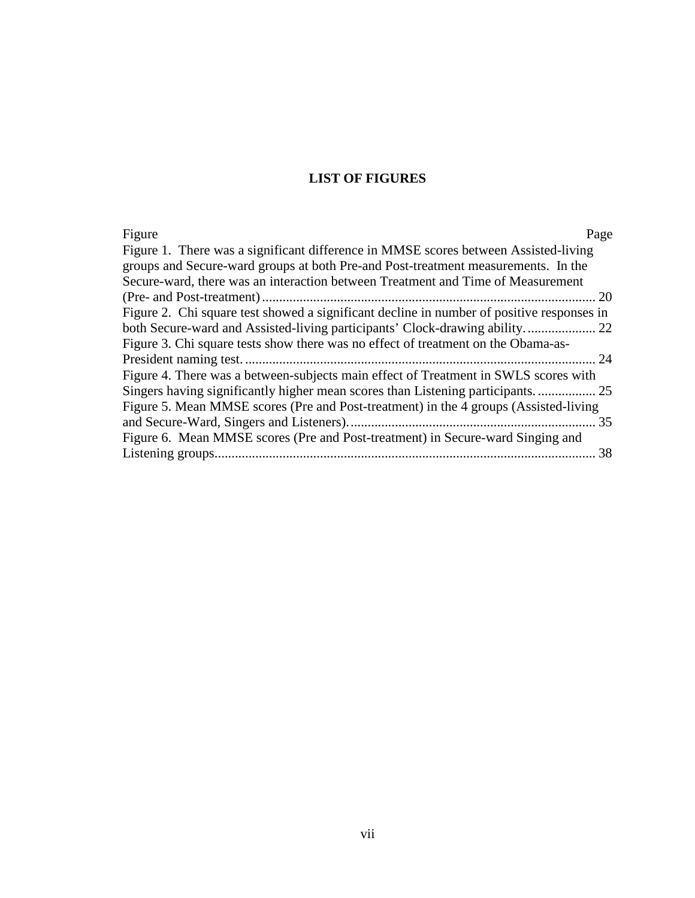## **LIST OF FIGURES**

<span id="page-7-0"></span>

| Figure<br>Page                                                                            |
|-------------------------------------------------------------------------------------------|
| Figure 1. There was a significant difference in MMSE scores between Assisted-living       |
| groups and Secure-ward groups at both Pre-and Post-treatment measurements. In the         |
| Secure-ward, there was an interaction between Treatment and Time of Measurement           |
| 20                                                                                        |
| Figure 2. Chi square test showed a significant decline in number of positive responses in |
|                                                                                           |
| Figure 3. Chi square tests show there was no effect of treatment on the Obama-as-         |
| 24                                                                                        |
| Figure 4. There was a between-subjects main effect of Treatment in SWLS scores with       |
| Singers having significantly higher mean scores than Listening participants               |
| Figure 5. Mean MMSE scores (Pre and Post-treatment) in the 4 groups (Assisted-living      |
| 35                                                                                        |
| Figure 6. Mean MMSE scores (Pre and Post-treatment) in Secure-ward Singing and            |
| 38                                                                                        |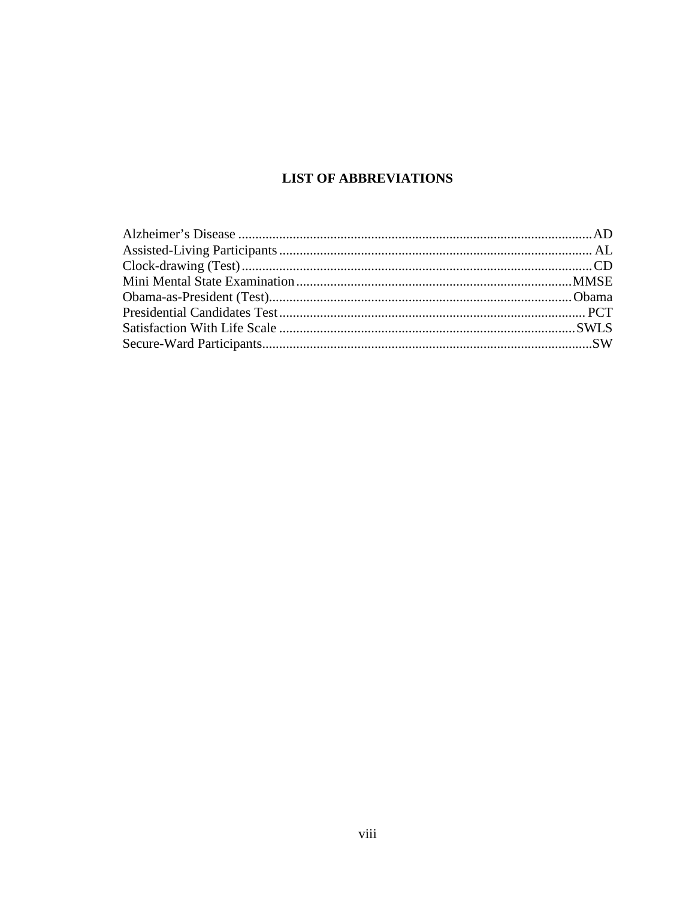## **LIST OF ABBREVIATIONS**

<span id="page-8-0"></span>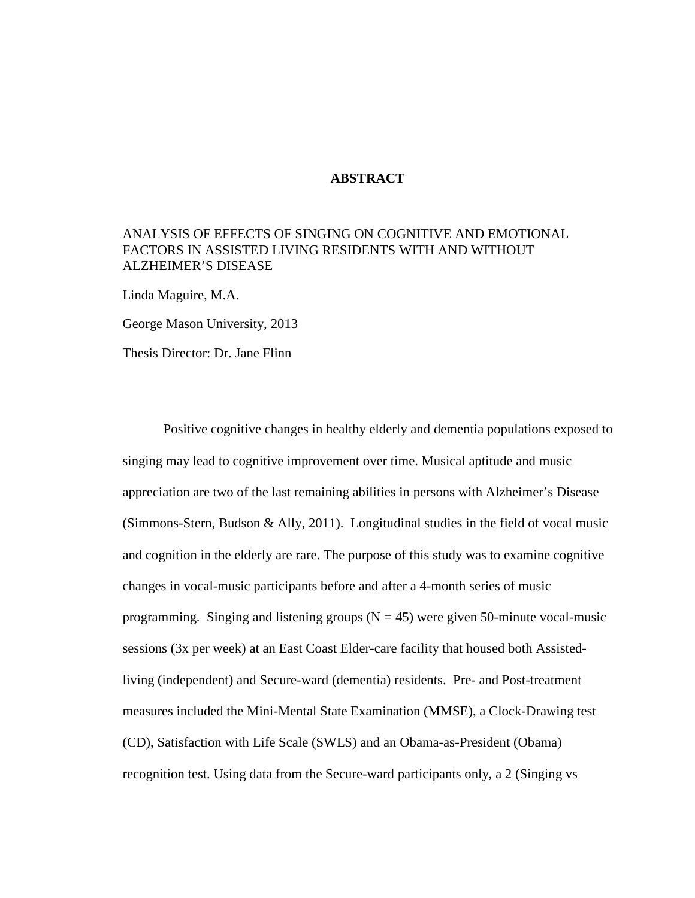### **ABSTRACT**

### <span id="page-9-0"></span>ANALYSIS OF EFFECTS OF SINGING ON COGNITIVE AND EMOTIONAL FACTORS IN ASSISTED LIVING RESIDENTS WITH AND WITHOUT ALZHEIMER'S DISEASE

Linda Maguire, M.A.

George Mason University, 2013

Thesis Director: Dr. Jane Flinn

Positive cognitive changes in healthy elderly and dementia populations exposed to singing may lead to cognitive improvement over time. Musical aptitude and music appreciation are two of the last remaining abilities in persons with Alzheimer's Disease (Simmons-Stern, Budson & Ally, 2011). Longitudinal studies in the field of vocal music and cognition in the elderly are rare. The purpose of this study was to examine cognitive changes in vocal-music participants before and after a 4-month series of music programming. Singing and listening groups ( $N = 45$ ) were given 50-minute vocal-music sessions (3x per week) at an East Coast Elder-care facility that housed both Assistedliving (independent) and Secure-ward (dementia) residents. Pre- and Post-treatment measures included the Mini-Mental State Examination (MMSE), a Clock-Drawing test (CD), Satisfaction with Life Scale (SWLS) and an Obama-as-President (Obama) recognition test. Using data from the Secure-ward participants only, a 2 (Singing vs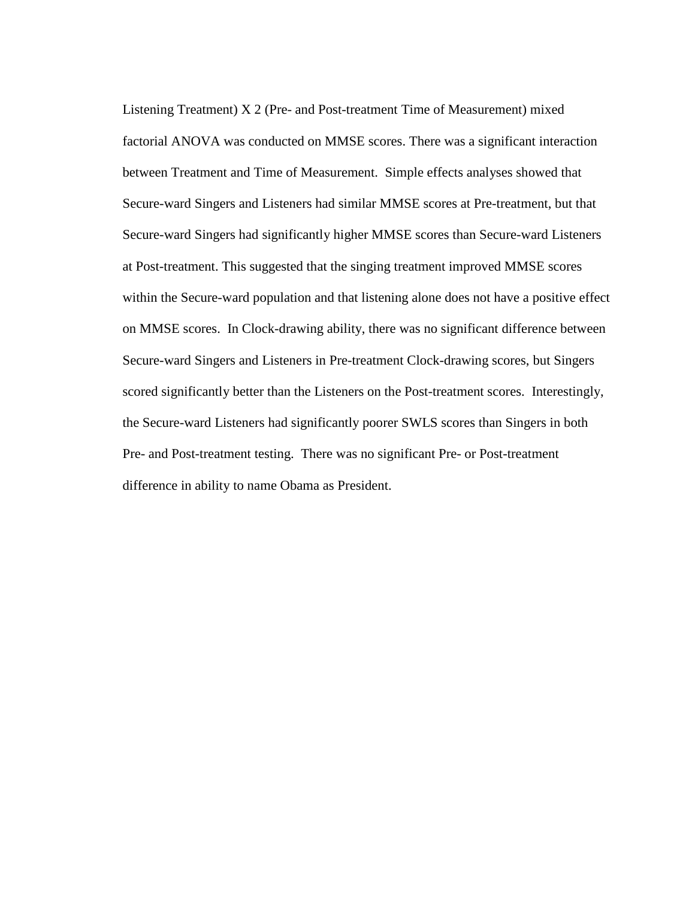Listening Treatment) X 2 (Pre- and Post-treatment Time of Measurement) mixed factorial ANOVA was conducted on MMSE scores. There was a significant interaction between Treatment and Time of Measurement. Simple effects analyses showed that Secure-ward Singers and Listeners had similar MMSE scores at Pre-treatment, but that Secure-ward Singers had significantly higher MMSE scores than Secure-ward Listeners at Post-treatment. This suggested that the singing treatment improved MMSE scores within the Secure-ward population and that listening alone does not have a positive effect on MMSE scores. In Clock-drawing ability, there was no significant difference between Secure-ward Singers and Listeners in Pre-treatment Clock-drawing scores, but Singers scored significantly better than the Listeners on the Post-treatment scores. Interestingly, the Secure-ward Listeners had significantly poorer SWLS scores than Singers in both Pre- and Post-treatment testing. There was no significant Pre- or Post-treatment difference in ability to name Obama as President.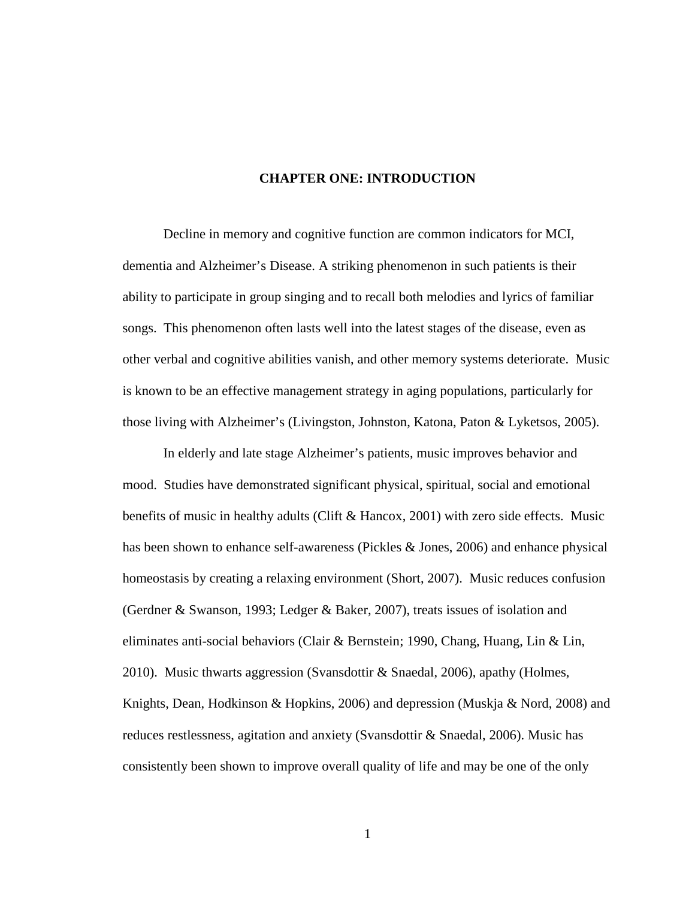### **CHAPTER ONE: INTRODUCTION**

<span id="page-11-0"></span>Decline in memory and cognitive function are common indicators for MCI, dementia and Alzheimer's Disease. A striking phenomenon in such patients is their ability to participate in group singing and to recall both melodies and lyrics of familiar songs. This phenomenon often lasts well into the latest stages of the disease, even as other verbal and cognitive abilities vanish, and other memory systems deteriorate. Music is known to be an effective management strategy in aging populations, particularly for those living with Alzheimer's (Livingston, Johnston, Katona, Paton & Lyketsos, 2005).

In elderly and late stage Alzheimer's patients, music improves behavior and mood. Studies have demonstrated significant physical, spiritual, social and emotional benefits of music in healthy adults (Clift & Hancox, 2001) with zero side effects. Music has been shown to enhance self-awareness (Pickles & Jones, 2006) and enhance physical homeostasis by creating a relaxing environment (Short, 2007). Music reduces confusion (Gerdner & Swanson, 1993; Ledger & Baker, 2007), treats issues of isolation and eliminates anti-social behaviors (Clair & Bernstein; 1990, Chang, Huang, Lin & Lin, 2010). Music thwarts aggression (Svansdottir & Snaedal, 2006), apathy (Holmes, Knights, Dean, Hodkinson & Hopkins, 2006) and depression (Muskja & Nord, 2008) and reduces restlessness, agitation and anxiety (Svansdottir & Snaedal, 2006). Music has consistently been shown to improve overall quality of life and may be one of the only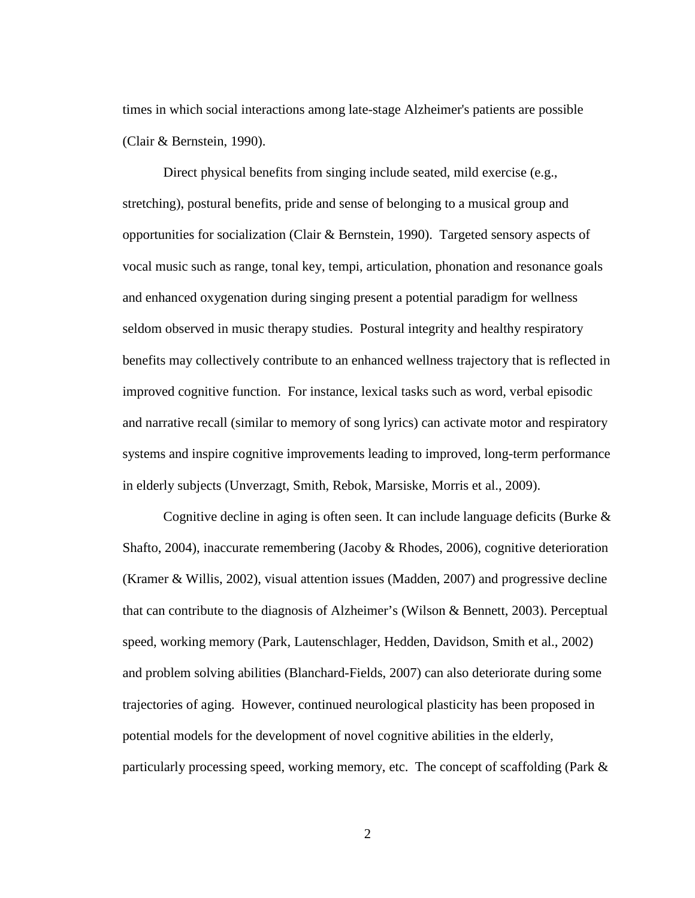times in which social interactions among late-stage Alzheimer's patients are possible (Clair & Bernstein, 1990).

Direct physical benefits from singing include seated, mild exercise (e.g., stretching), postural benefits, pride and sense of belonging to a musical group and opportunities for socialization (Clair & Bernstein, 1990). Targeted sensory aspects of vocal music such as range, tonal key, tempi, articulation, phonation and resonance goals and enhanced oxygenation during singing present a potential paradigm for wellness seldom observed in music therapy studies. Postural integrity and healthy respiratory benefits may collectively contribute to an enhanced wellness trajectory that is reflected in improved cognitive function. For instance, lexical tasks such as word, verbal episodic and narrative recall (similar to memory of song lyrics) can activate motor and respiratory systems and inspire cognitive improvements leading to improved, long-term performance in elderly subjects (Unverzagt, Smith, Rebok, Marsiske, Morris et al., 2009).

Cognitive decline in aging is often seen. It can include language deficits (Burke & Shafto, 2004), inaccurate remembering (Jacoby & Rhodes, 2006), cognitive deterioration (Kramer & Willis, 2002), visual attention issues (Madden, 2007) and progressive decline that can contribute to the diagnosis of Alzheimer's (Wilson & Bennett, 2003). Perceptual speed, working memory (Park, Lautenschlager, Hedden, Davidson, Smith et al., 2002) and problem solving abilities (Blanchard-Fields, 2007) can also deteriorate during some trajectories of aging. However, continued neurological plasticity has been proposed in potential models for the development of novel cognitive abilities in the elderly, particularly processing speed, working memory, etc. The concept of scaffolding (Park &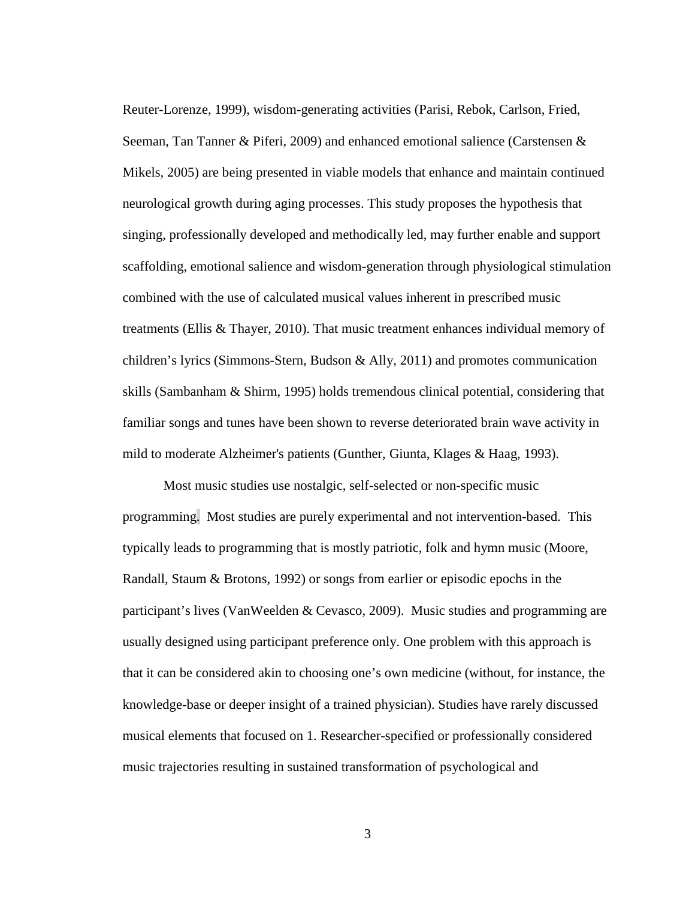Reuter-Lorenze, 1999), wisdom-generating activities (Parisi, Rebok, Carlson, Fried, Seeman, Tan Tanner & Piferi, 2009) and enhanced emotional salience (Carstensen & Mikels, 2005) are being presented in viable models that enhance and maintain continued neurological growth during aging processes. This study proposes the hypothesis that singing, professionally developed and methodically led, may further enable and support scaffolding, emotional salience and wisdom-generation through physiological stimulation combined with the use of calculated musical values inherent in prescribed music treatments (Ellis & Thayer, 2010). That music treatment enhances individual memory of children's lyrics (Simmons-Stern, Budson & Ally, 2011) and promotes communication skills (Sambanham & Shirm, 1995) holds tremendous clinical potential, considering that familiar songs and tunes have been shown to reverse deteriorated brain wave activity in mild to moderate Alzheimer's patients (Gunther, Giunta, Klages & Haag, 1993).

Most music studies use nostalgic, self-selected or non-specific music programming. Most studies are purely experimental and not intervention-based. This typically leads to programming that is mostly patriotic, folk and hymn music (Moore, Randall, Staum & Brotons, 1992) or songs from earlier or episodic epochs in the participant's lives (VanWeelden & Cevasco, 2009). Music studies and programming are usually designed using participant preference only. One problem with this approach is that it can be considered akin to choosing one's own medicine (without, for instance, the knowledge-base or deeper insight of a trained physician). Studies have rarely discussed musical elements that focused on 1. Researcher-specified or professionally considered music trajectories resulting in sustained transformation of psychological and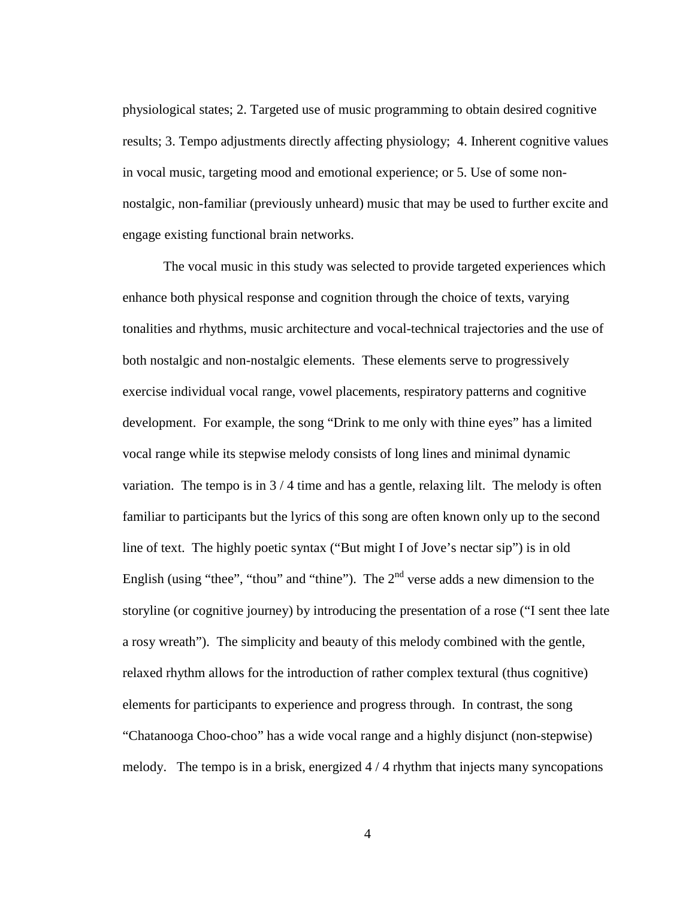physiological states; 2. Targeted use of music programming to obtain desired cognitive results; 3. Tempo adjustments directly affecting physiology; 4. Inherent cognitive values in vocal music, targeting mood and emotional experience; or 5. Use of some nonnostalgic, non-familiar (previously unheard) music that may be used to further excite and engage existing functional brain networks.

The vocal music in this study was selected to provide targeted experiences which enhance both physical response and cognition through the choice of texts, varying tonalities and rhythms, music architecture and vocal-technical trajectories and the use of both nostalgic and non-nostalgic elements. These elements serve to progressively exercise individual vocal range, vowel placements, respiratory patterns and cognitive development. For example, the song "Drink to me only with thine eyes" has a limited vocal range while its stepwise melody consists of long lines and minimal dynamic variation. The tempo is in  $3/4$  time and has a gentle, relaxing lilt. The melody is often familiar to participants but the lyrics of this song are often known only up to the second line of text. The highly poetic syntax ("But might I of Jove's nectar sip") is in old English (using "thee", "thou" and "thine"). The  $2<sup>nd</sup>$  verse adds a new dimension to the storyline (or cognitive journey) by introducing the presentation of a rose ("I sent thee late a rosy wreath"). The simplicity and beauty of this melody combined with the gentle, relaxed rhythm allows for the introduction of rather complex textural (thus cognitive) elements for participants to experience and progress through. In contrast, the song "Chatanooga Choo-choo" has a wide vocal range and a highly disjunct (non-stepwise) melody. The tempo is in a brisk, energized 4 / 4 rhythm that injects many syncopations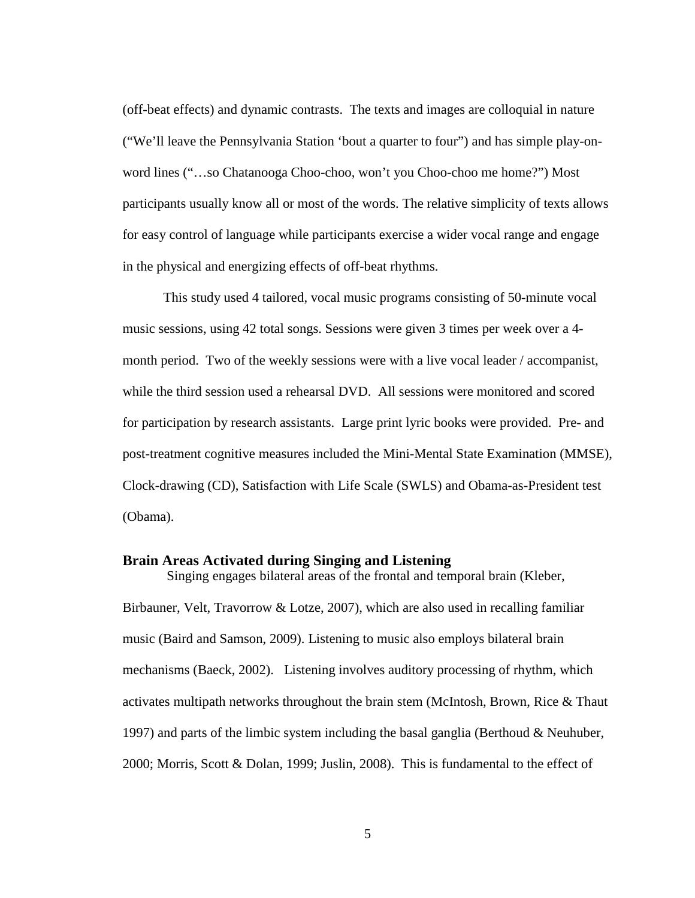(off-beat effects) and dynamic contrasts. The texts and images are colloquial in nature ("We'll leave the Pennsylvania Station 'bout a quarter to four") and has simple play-onword lines ("…so Chatanooga Choo-choo, won't you Choo-choo me home?") Most participants usually know all or most of the words. The relative simplicity of texts allows for easy control of language while participants exercise a wider vocal range and engage in the physical and energizing effects of off-beat rhythms.

This study used 4 tailored, vocal music programs consisting of 50-minute vocal music sessions, using 42 total songs. Sessions were given 3 times per week over a 4 month period. Two of the weekly sessions were with a live vocal leader / accompanist, while the third session used a rehearsal DVD. All sessions were monitored and scored for participation by research assistants. Large print lyric books were provided. Pre- and post-treatment cognitive measures included the Mini-Mental State Examination (MMSE), Clock-drawing (CD), Satisfaction with Life Scale (SWLS) and Obama-as-President test (Obama).

### <span id="page-15-0"></span>**Brain Areas Activated during Singing and Listening**

Birbauner, Velt, Travorrow & Lotze, 2007), which are also used in recalling familiar music (Baird and Samson, 2009). Listening to music also employs bilateral brain mechanisms (Baeck, 2002). Listening involves auditory processing of rhythm, which activates multipath networks throughout the brain stem (McIntosh, Brown, Rice & Thaut 1997) and parts of the limbic system including the basal ganglia (Berthoud & Neuhuber, 2000; Morris, Scott & Dolan, 1999; Juslin, 2008). This is fundamental to the effect of

Singing engages bilateral areas of the frontal and temporal brain (Kleber,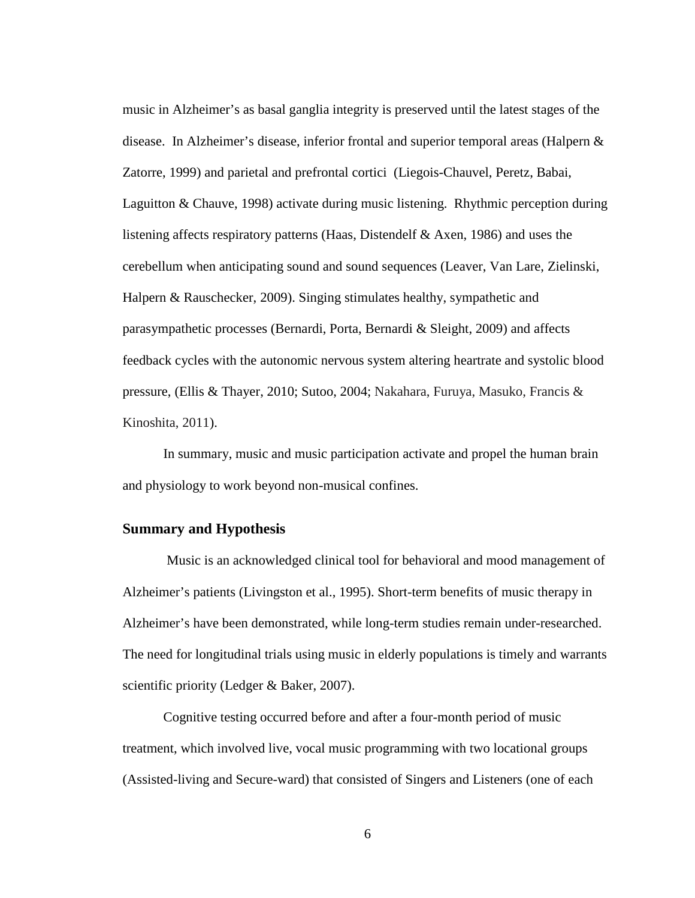music in Alzheimer's as basal ganglia integrity is preserved until the latest stages of the disease. In Alzheimer's disease, inferior frontal and superior temporal areas (Halpern  $\&$ Zatorre, 1999) and parietal and prefrontal cortici (Liegois-Chauvel, Peretz, Babai, Laguitton & Chauve, 1998) activate during music listening. Rhythmic perception during listening affects respiratory patterns (Haas, Distendelf & Axen, 1986) and uses the cerebellum when anticipating sound and sound sequences (Leaver, Van Lare, Zielinski, Halpern & Rauschecker, 2009). Singing stimulates healthy, sympathetic and parasympathetic processes (Bernardi, Porta, Bernardi & Sleight, 2009) and affects feedback cycles with the autonomic nervous system altering heartrate and systolic blood pressure, (Ellis & Thayer, 2010; Sutoo, 2004; Nakahara, Furuya, Masuko, Francis & Kinoshita, 2011).

In summary, music and music participation activate and propel the human brain and physiology to work beyond non-musical confines.

### <span id="page-16-0"></span>**Summary and Hypothesis**

Music is an acknowledged clinical tool for behavioral and mood management of Alzheimer's patients (Livingston et al., 1995). Short-term benefits of music therapy in Alzheimer's have been demonstrated, while long-term studies remain under-researched. The need for longitudinal trials using music in elderly populations is timely and warrants scientific priority (Ledger & Baker, 2007).

Cognitive testing occurred before and after a four-month period of music treatment, which involved live, vocal music programming with two locational groups (Assisted-living and Secure-ward) that consisted of Singers and Listeners (one of each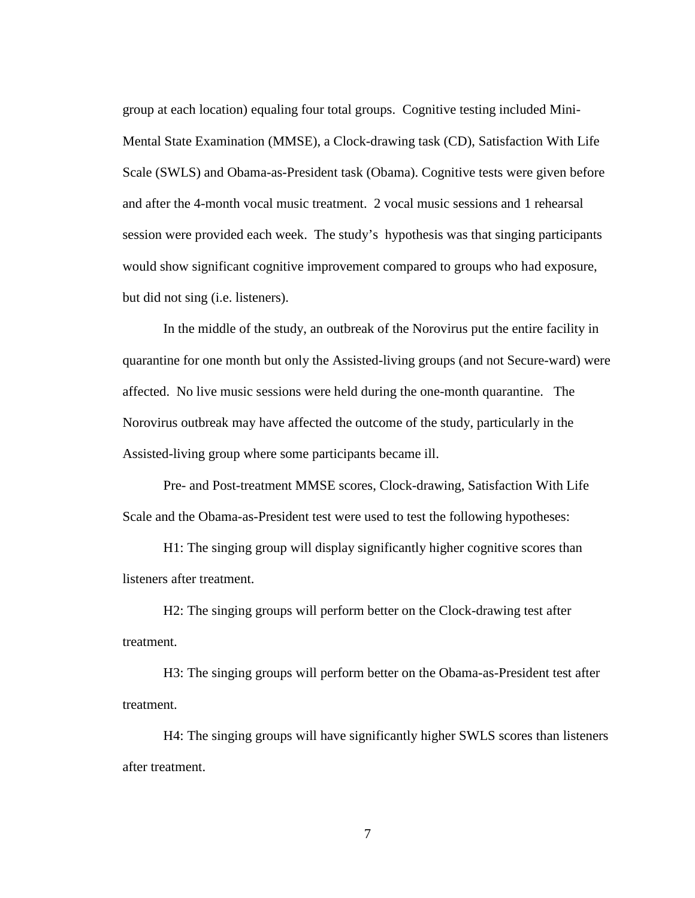group at each location) equaling four total groups. Cognitive testing included Mini-Mental State Examination (MMSE), a Clock-drawing task (CD), Satisfaction With Life Scale (SWLS) and Obama-as-President task (Obama). Cognitive tests were given before and after the 4-month vocal music treatment. 2 vocal music sessions and 1 rehearsal session were provided each week. The study's hypothesis was that singing participants would show significant cognitive improvement compared to groups who had exposure, but did not sing (i.e. listeners).

In the middle of the study, an outbreak of the Norovirus put the entire facility in quarantine for one month but only the Assisted-living groups (and not Secure-ward) were affected. No live music sessions were held during the one-month quarantine. The Norovirus outbreak may have affected the outcome of the study, particularly in the Assisted-living group where some participants became ill.

Pre- and Post-treatment MMSE scores, Clock-drawing, Satisfaction With Life Scale and the Obama-as-President test were used to test the following hypotheses:

H1: The singing group will display significantly higher cognitive scores than listeners after treatment.

H2: The singing groups will perform better on the Clock-drawing test after treatment.

H3: The singing groups will perform better on the Obama-as-President test after treatment.

H4: The singing groups will have significantly higher SWLS scores than listeners after treatment.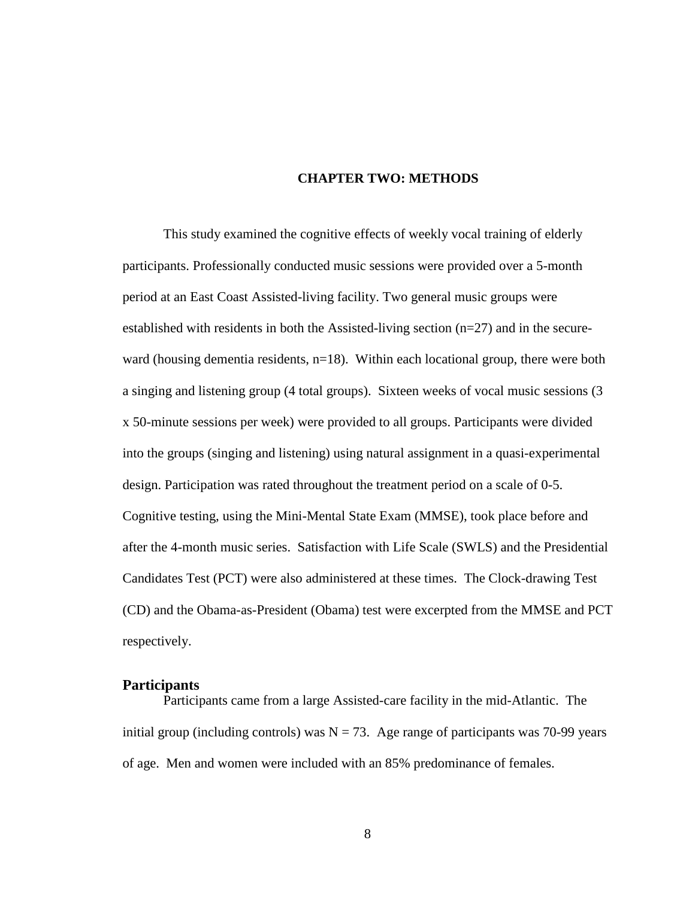### **CHAPTER TWO: METHODS**

<span id="page-18-0"></span>This study examined the cognitive effects of weekly vocal training of elderly participants. Professionally conducted music sessions were provided over a 5-month period at an East Coast Assisted-living facility. Two general music groups were established with residents in both the Assisted-living section (n=27) and in the secureward (housing dementia residents,  $n=18$ ). Within each locational group, there were both a singing and listening group (4 total groups). Sixteen weeks of vocal music sessions (3 x 50-minute sessions per week) were provided to all groups. Participants were divided into the groups (singing and listening) using natural assignment in a quasi-experimental design. Participation was rated throughout the treatment period on a scale of 0-5. Cognitive testing, using the Mini-Mental State Exam (MMSE), took place before and after the 4-month music series. Satisfaction with Life Scale (SWLS) and the Presidential Candidates Test (PCT) were also administered at these times. The Clock-drawing Test (CD) and the Obama-as-President (Obama) test were excerpted from the MMSE and PCT respectively.

### <span id="page-18-1"></span>**Participants**

Participants came from a large Assisted-care facility in the mid-Atlantic. The initial group (including controls) was  $N = 73$ . Age range of participants was 70-99 years of age. Men and women were included with an 85% predominance of females.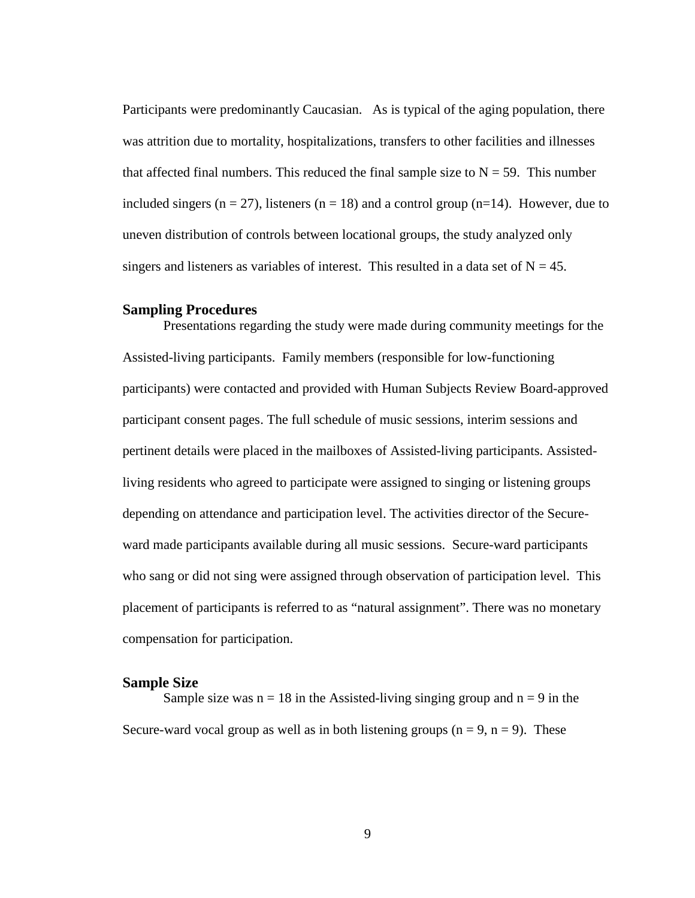Participants were predominantly Caucasian. As is typical of the aging population, there was attrition due to mortality, hospitalizations, transfers to other facilities and illnesses that affected final numbers. This reduced the final sample size to  $N = 59$ . This number included singers ( $n = 27$ ), listeners ( $n = 18$ ) and a control group ( $n=14$ ). However, due to uneven distribution of controls between locational groups, the study analyzed only singers and listeners as variables of interest. This resulted in a data set of  $N = 45$ .

#### <span id="page-19-0"></span>**Sampling Procedures**

Presentations regarding the study were made during community meetings for the Assisted-living participants. Family members (responsible for low-functioning participants) were contacted and provided with Human Subjects Review Board-approved participant consent pages. The full schedule of music sessions, interim sessions and pertinent details were placed in the mailboxes of Assisted-living participants. Assistedliving residents who agreed to participate were assigned to singing or listening groups depending on attendance and participation level. The activities director of the Secureward made participants available during all music sessions. Secure-ward participants who sang or did not sing were assigned through observation of participation level. This placement of participants is referred to as "natural assignment". There was no monetary compensation for participation.

#### <span id="page-19-1"></span>**Sample Size**

Sample size was  $n = 18$  in the Assisted-living singing group and  $n = 9$  in the Secure-ward vocal group as well as in both listening groups  $(n = 9, n = 9)$ . These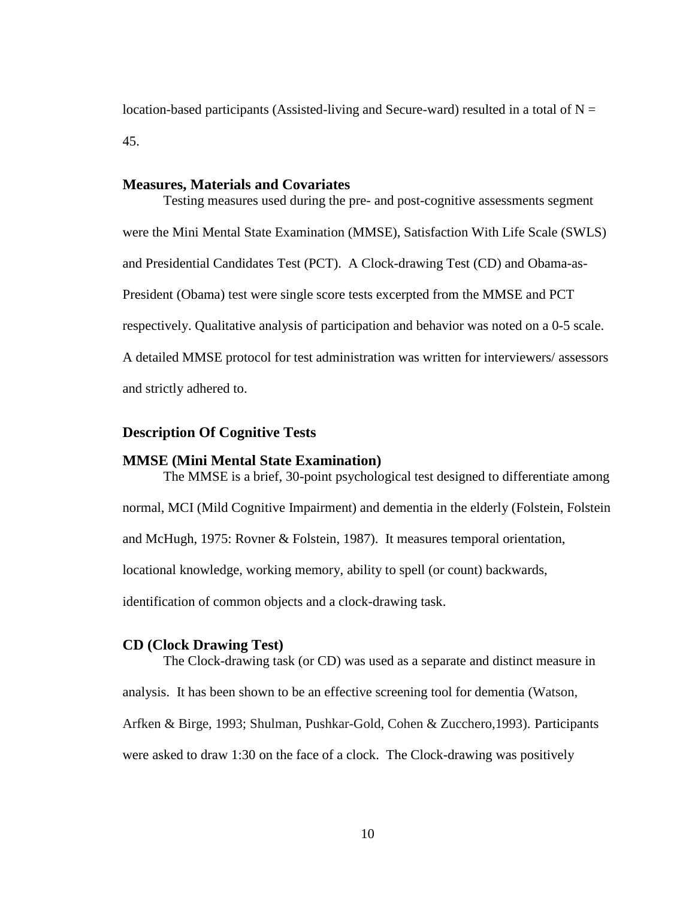location-based participants (Assisted-living and Secure-ward) resulted in a total of  $N =$ 45.

### <span id="page-20-0"></span>**Measures, Materials and Covariates**

Testing measures used during the pre- and post-cognitive assessments segment were the Mini Mental State Examination (MMSE), Satisfaction With Life Scale (SWLS) and Presidential Candidates Test (PCT). A Clock-drawing Test (CD) and Obama-as-President (Obama) test were single score tests excerpted from the MMSE and PCT respectively. Qualitative analysis of participation and behavior was noted on a 0-5 scale. A detailed MMSE protocol for test administration was written for interviewers/ assessors and strictly adhered to.

### <span id="page-20-2"></span><span id="page-20-1"></span>**Description Of Cognitive Tests**

#### **MMSE (Mini Mental State Examination)**

The MMSE is a brief, 30-point psychological test designed to differentiate among normal, MCI (Mild Cognitive Impairment) and dementia in the elderly (Folstein, Folstein and McHugh, 1975: Rovner & Folstein, 1987). It measures temporal orientation, locational knowledge, working memory, ability to spell (or count) backwards, identification of common objects and a clock-drawing task.

### <span id="page-20-3"></span>**CD (Clock Drawing Test)**

The Clock-drawing task (or CD) was used as a separate and distinct measure in analysis. It has been shown to be an effective screening tool for dementia (Watson, Arfken & Birge, 1993; Shulman, Pushkar-Gold, Cohen & Zucchero,1993). Participants were asked to draw 1:30 on the face of a clock. The Clock-drawing was positively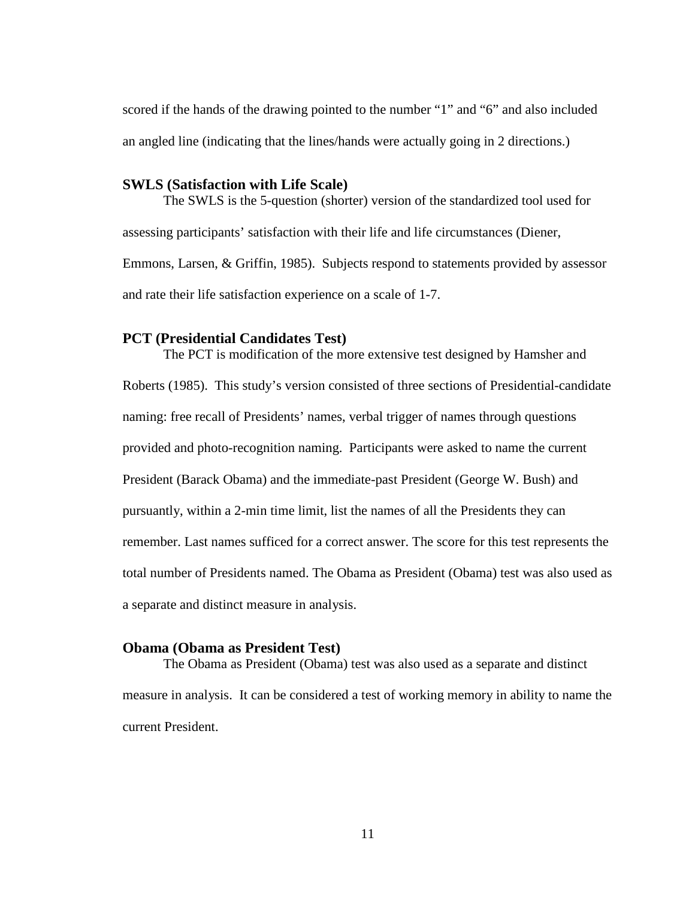scored if the hands of the drawing pointed to the number "1" and "6" and also included an angled line (indicating that the lines/hands were actually going in 2 directions.)

### <span id="page-21-0"></span>**SWLS (Satisfaction with Life Scale)**

The SWLS is the 5-question (shorter) version of the standardized tool used for assessing participants' satisfaction with their life and life circumstances (Diener, Emmons, Larsen, & Griffin, 1985). Subjects respond to statements provided by assessor and rate their life satisfaction experience on a scale of 1-7.

### <span id="page-21-1"></span>**PCT (Presidential Candidates Test)**

The PCT is modification of the more extensive test designed by Hamsher and Roberts (1985). This study's version consisted of three sections of Presidential-candidate naming: free recall of Presidents' names, verbal trigger of names through questions provided and photo-recognition naming. Participants were asked to name the current President (Barack Obama) and the immediate-past President (George W. Bush) and pursuantly, within a 2-min time limit, list the names of all the Presidents they can remember. Last names sufficed for a correct answer. The score for this test represents the total number of Presidents named. The Obama as President (Obama) test was also used as a separate and distinct measure in analysis.

### <span id="page-21-2"></span>**Obama (Obama as President Test)**

The Obama as President (Obama) test was also used as a separate and distinct measure in analysis. It can be considered a test of working memory in ability to name the current President.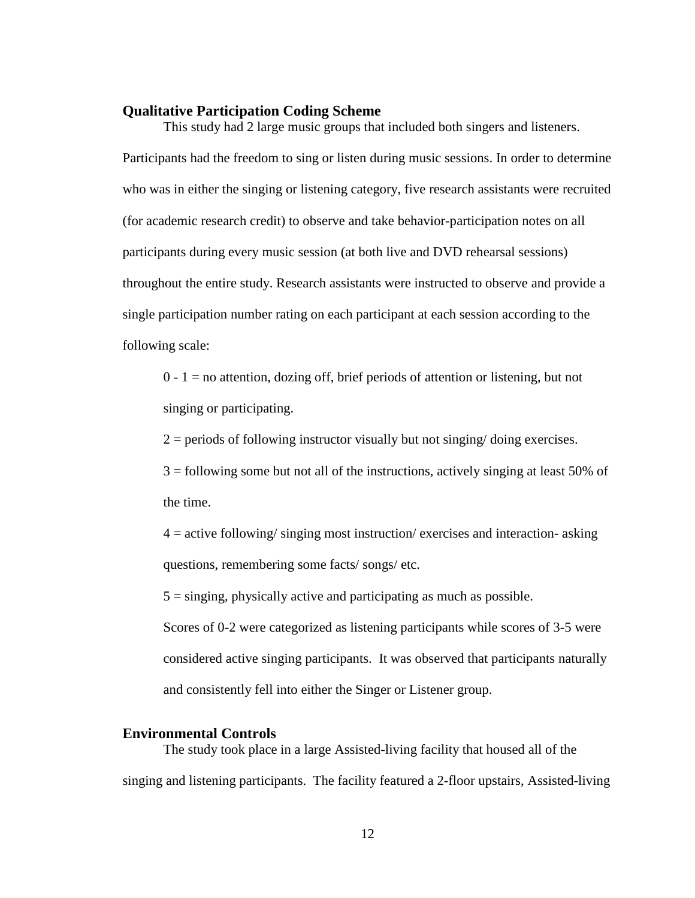### <span id="page-22-0"></span>**Qualitative Participation Coding Scheme**

This study had 2 large music groups that included both singers and listeners. Participants had the freedom to sing or listen during music sessions. In order to determine who was in either the singing or listening category, five research assistants were recruited (for academic research credit) to observe and take behavior-participation notes on all participants during every music session (at both live and DVD rehearsal sessions) throughout the entire study. Research assistants were instructed to observe and provide a single participation number rating on each participant at each session according to the following scale:

 $0 - 1$  = no attention, dozing off, brief periods of attention or listening, but not singing or participating.

 $2 =$  periods of following instructor visually but not singing/doing exercises.

3 = following some but not all of the instructions, actively singing at least 50% of the time.

 $4 =$  active following/ singing most instruction/ exercises and interaction- asking questions, remembering some facts/ songs/ etc.

 $5 =$  singing, physically active and participating as much as possible.

Scores of 0-2 were categorized as listening participants while scores of 3-5 were considered active singing participants. It was observed that participants naturally and consistently fell into either the Singer or Listener group.

### <span id="page-22-1"></span>**Environmental Controls**

The study took place in a large Assisted-living facility that housed all of the singing and listening participants. The facility featured a 2-floor upstairs, Assisted-living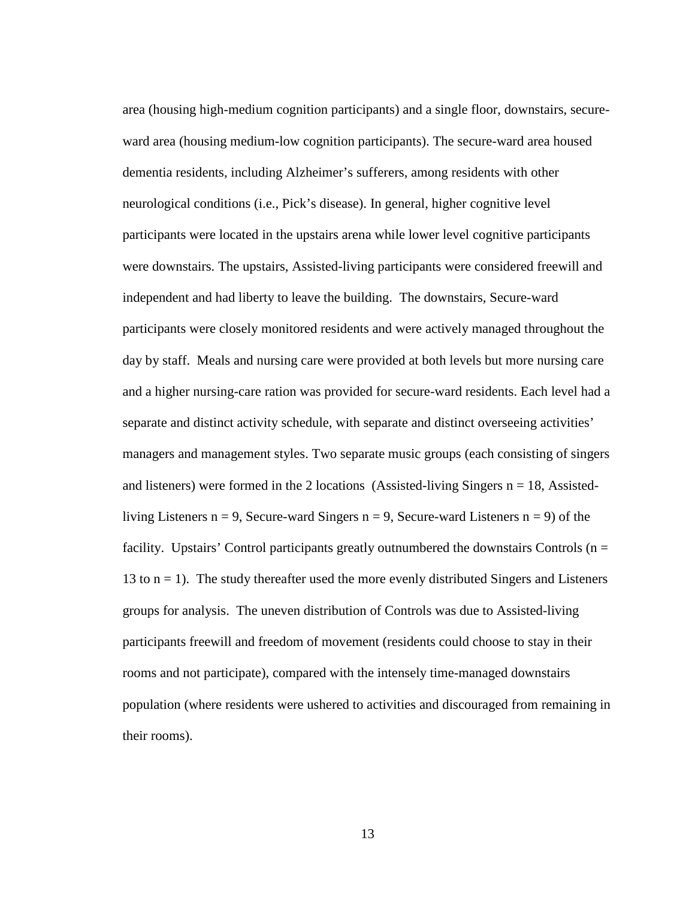area (housing high-medium cognition participants) and a single floor, downstairs, secureward area (housing medium-low cognition participants). The secure-ward area housed dementia residents, including Alzheimer's sufferers, among residents with other neurological conditions (i.e., Pick's disease). In general, higher cognitive level participants were located in the upstairs arena while lower level cognitive participants were downstairs. The upstairs, Assisted-living participants were considered freewill and independent and had liberty to leave the building. The downstairs, Secure-ward participants were closely monitored residents and were actively managed throughout the day by staff. Meals and nursing care were provided at both levels but more nursing care and a higher nursing-care ration was provided for secure-ward residents. Each level had a separate and distinct activity schedule, with separate and distinct overseeing activities' managers and management styles. Two separate music groups (each consisting of singers and listeners) were formed in the 2 locations (Assisted-living Singers  $n = 18$ , Assistedliving Listeners  $n = 9$ , Secure-ward Singers  $n = 9$ , Secure-ward Listeners  $n = 9$ ) of the facility. Upstairs' Control participants greatly outnumbered the downstairs Controls ( $n =$ 13 to  $n = 1$ ). The study thereafter used the more evenly distributed Singers and Listeners groups for analysis. The uneven distribution of Controls was due to Assisted-living participants freewill and freedom of movement (residents could choose to stay in their rooms and not participate), compared with the intensely time-managed downstairs population (where residents were ushered to activities and discouraged from remaining in their rooms).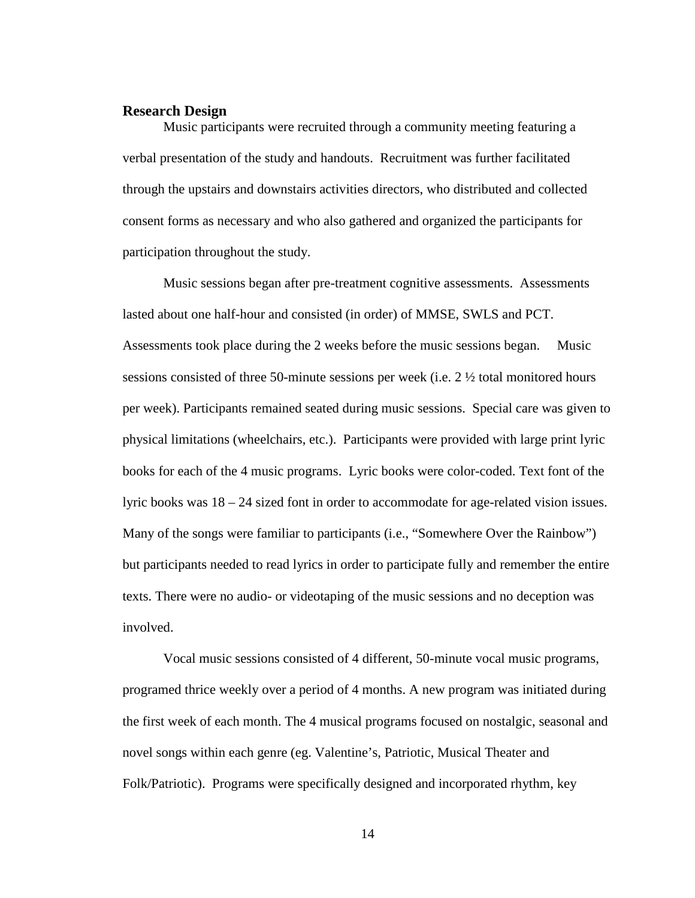### <span id="page-24-0"></span>**Research Design**

Music participants were recruited through a community meeting featuring a verbal presentation of the study and handouts. Recruitment was further facilitated through the upstairs and downstairs activities directors, who distributed and collected consent forms as necessary and who also gathered and organized the participants for participation throughout the study.

Music sessions began after pre-treatment cognitive assessments. Assessments lasted about one half-hour and consisted (in order) of MMSE, SWLS and PCT. Assessments took place during the 2 weeks before the music sessions began. Music sessions consisted of three 50-minute sessions per week (i.e.  $2 \frac{1}{2}$  total monitored hours per week). Participants remained seated during music sessions. Special care was given to physical limitations (wheelchairs, etc.). Participants were provided with large print lyric books for each of the 4 music programs. Lyric books were color-coded. Text font of the lyric books was 18 – 24 sized font in order to accommodate for age-related vision issues. Many of the songs were familiar to participants (i.e., "Somewhere Over the Rainbow") but participants needed to read lyrics in order to participate fully and remember the entire texts. There were no audio- or videotaping of the music sessions and no deception was involved.

Vocal music sessions consisted of 4 different, 50-minute vocal music programs, programed thrice weekly over a period of 4 months. A new program was initiated during the first week of each month. The 4 musical programs focused on nostalgic, seasonal and novel songs within each genre (eg. Valentine's, Patriotic, Musical Theater and Folk/Patriotic). Programs were specifically designed and incorporated rhythm, key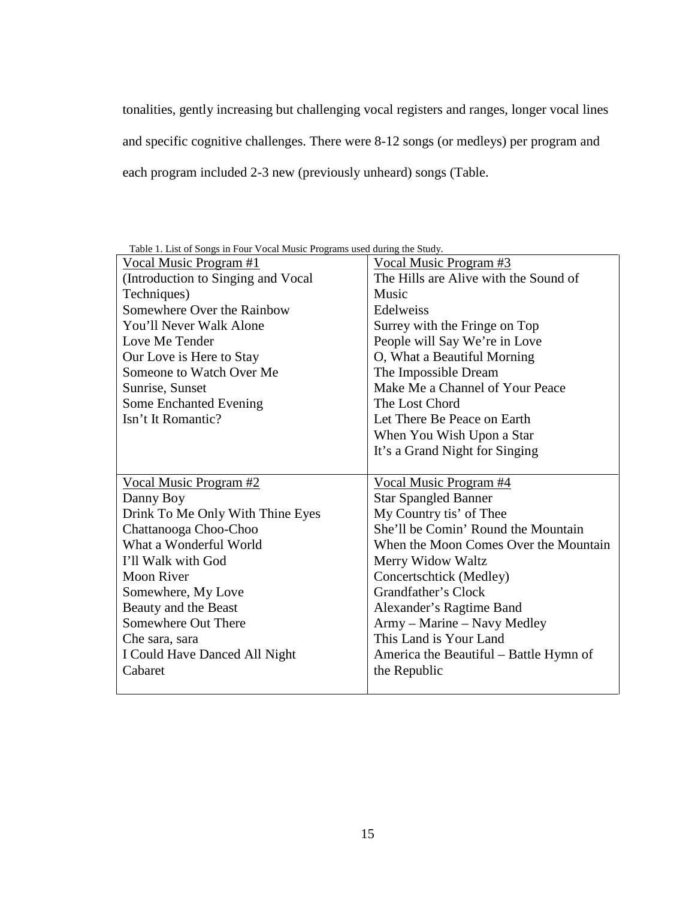tonalities, gently increasing but challenging vocal registers and ranges, longer vocal lines and specific cognitive challenges. There were 8-12 songs (or medleys) per program and each program included 2-3 new (previously unheard) songs (Table.

| <u>Vocal Music Program #1</u>      | Vocal Music Program #3                 |
|------------------------------------|----------------------------------------|
| (Introduction to Singing and Vocal | The Hills are Alive with the Sound of  |
| Techniques)                        | Music                                  |
| Somewhere Over the Rainbow         | Edelweiss                              |
| You'll Never Walk Alone            | Surrey with the Fringe on Top          |
| Love Me Tender                     | People will Say We're in Love          |
| Our Love is Here to Stay           | O, What a Beautiful Morning            |
| Someone to Watch Over Me           | The Impossible Dream                   |
| Sunrise, Sunset                    | Make Me a Channel of Your Peace        |
| Some Enchanted Evening             | The Lost Chord                         |
| Isn't It Romantic?                 | Let There Be Peace on Earth            |
|                                    | When You Wish Upon a Star              |
|                                    | It's a Grand Night for Singing         |
|                                    |                                        |
| Vocal Music Program #2             | Vocal Music Program #4                 |
| Danny Boy                          | <b>Star Spangled Banner</b>            |
| Drink To Me Only With Thine Eyes   | My Country tis' of Thee                |
| Chattanooga Choo-Choo              | She'll be Comin' Round the Mountain    |
| What a Wonderful World             | When the Moon Comes Over the Mountain  |
| I'll Walk with God                 | Merry Widow Waltz                      |
| <b>Moon River</b>                  | Concertschtick (Medley)                |
| Somewhere, My Love                 | Grandfather's Clock                    |
| Beauty and the Beast               | Alexander's Ragtime Band               |
| Somewhere Out There                | Army – Marine – Navy Medley            |
| Che sara, sara                     | This Land is Your Land                 |
| I Could Have Danced All Night      | America the Beautiful – Battle Hymn of |
| Cabaret                            | the Republic                           |
|                                    |                                        |

<span id="page-25-0"></span>Table 1. List of Songs in Four Vocal Music Programs used during the Study.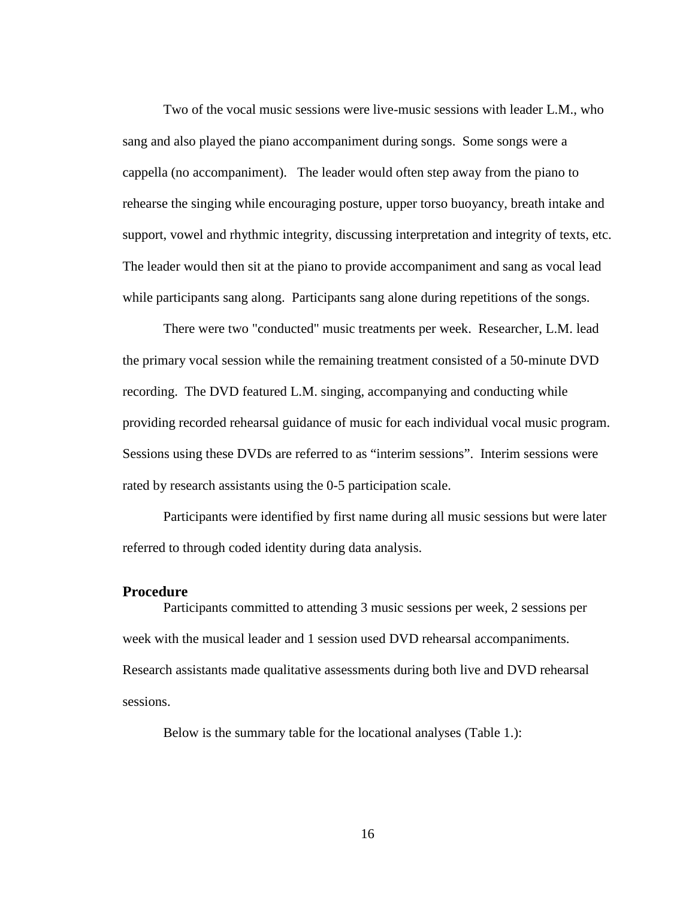Two of the vocal music sessions were live-music sessions with leader L.M., who sang and also played the piano accompaniment during songs. Some songs were a cappella (no accompaniment). The leader would often step away from the piano to rehearse the singing while encouraging posture, upper torso buoyancy, breath intake and support, vowel and rhythmic integrity, discussing interpretation and integrity of texts, etc. The leader would then sit at the piano to provide accompaniment and sang as vocal lead while participants sang along. Participants sang alone during repetitions of the songs.

There were two "conducted" music treatments per week. Researcher, L.M. lead the primary vocal session while the remaining treatment consisted of a 50-minute DVD recording. The DVD featured L.M. singing, accompanying and conducting while providing recorded rehearsal guidance of music for each individual vocal music program. Sessions using these DVDs are referred to as "interim sessions". Interim sessions were rated by research assistants using the 0-5 participation scale.

Participants were identified by first name during all music sessions but were later referred to through coded identity during data analysis.

#### <span id="page-26-0"></span>**Procedure**

Participants committed to attending 3 music sessions per week, 2 sessions per week with the musical leader and 1 session used DVD rehearsal accompaniments. Research assistants made qualitative assessments during both live and DVD rehearsal sessions.

Below is the summary table for the locational analyses (Table 1.):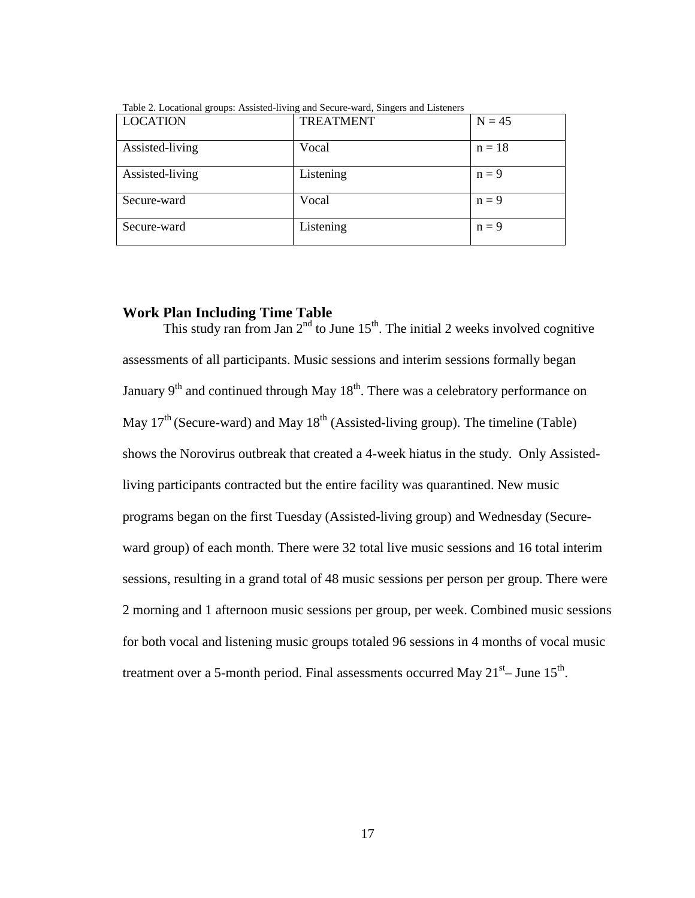| <b>LOCATION</b> | <b>TREATMENT</b> | $N = 45$ |
|-----------------|------------------|----------|
| Assisted-living | Vocal            | $n = 18$ |
| Assisted-living | Listening        | $n = 9$  |
| Secure-ward     | Vocal            | $n = 9$  |
| Secure-ward     | Listening        | $n = 9$  |

<span id="page-27-1"></span>Table 2. Locational groups: Assisted-living and Secure-ward, Singers and Listeners

### <span id="page-27-0"></span>**Work Plan Including Time Table**

This study ran from Jan  $2<sup>nd</sup>$  to June  $15<sup>th</sup>$ . The initial 2 weeks involved cognitive assessments of all participants. Music sessions and interim sessions formally began January  $9<sup>th</sup>$  and continued through May  $18<sup>th</sup>$ . There was a celebratory performance on May  $17<sup>th</sup>$  (Secure-ward) and May  $18<sup>th</sup>$  (Assisted-living group). The timeline (Table) shows the Norovirus outbreak that created a 4-week hiatus in the study. Only Assistedliving participants contracted but the entire facility was quarantined. New music programs began on the first Tuesday (Assisted-living group) and Wednesday (Secureward group) of each month. There were 32 total live music sessions and 16 total interim sessions, resulting in a grand total of 48 music sessions per person per group. There were 2 morning and 1 afternoon music sessions per group, per week. Combined music sessions for both vocal and listening music groups totaled 96 sessions in 4 months of vocal music treatment over a 5-month period. Final assessments occurred May  $21<sup>st</sup>$ – June  $15<sup>th</sup>$ .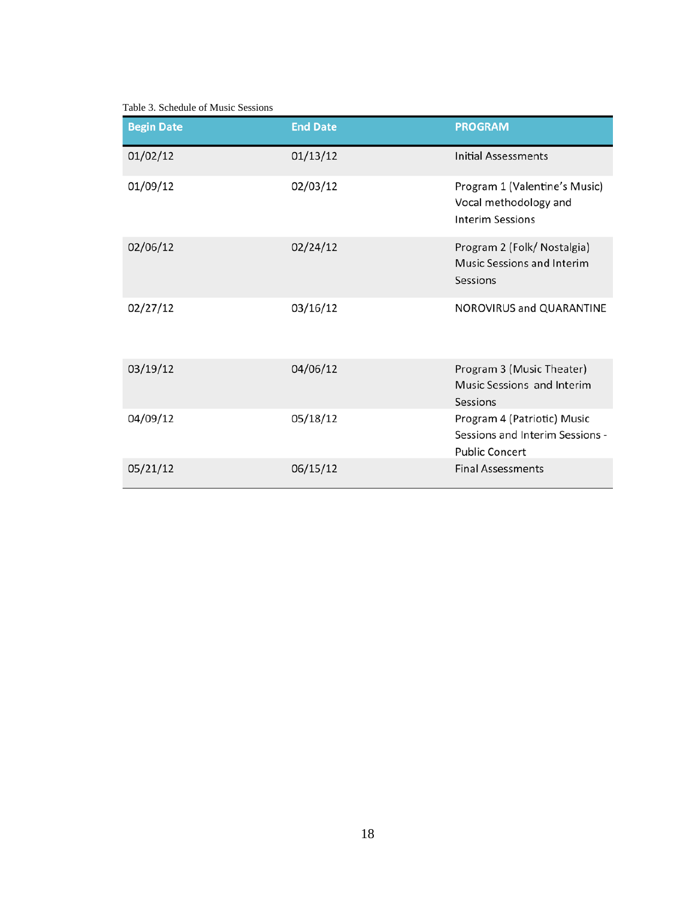<span id="page-28-0"></span>Table 3. Schedule of Music Sessions

| <b>Begin Date</b> | <b>End Date</b> | <b>PROGRAM</b>                                                                          |
|-------------------|-----------------|-----------------------------------------------------------------------------------------|
| 01/02/12          | 01/13/12        | <b>Initial Assessments</b>                                                              |
| 01/09/12          | 02/03/12        | Program 1 (Valentine's Music)<br>Vocal methodology and<br><b>Interim Sessions</b>       |
| 02/06/12          | 02/24/12        | Program 2 (Folk/ Nostalgia)<br><b>Music Sessions and Interim</b><br>Sessions            |
| 02/27/12          | 03/16/12        | NOROVIRUS and QUARANTINE                                                                |
| 03/19/12          | 04/06/12        | Program 3 (Music Theater)<br>Music Sessions and Interim<br>Sessions                     |
| 04/09/12          | 05/18/12        | Program 4 (Patriotic) Music<br>Sessions and Interim Sessions -<br><b>Public Concert</b> |
| 05/21/12          | 06/15/12        | <b>Final Assessments</b>                                                                |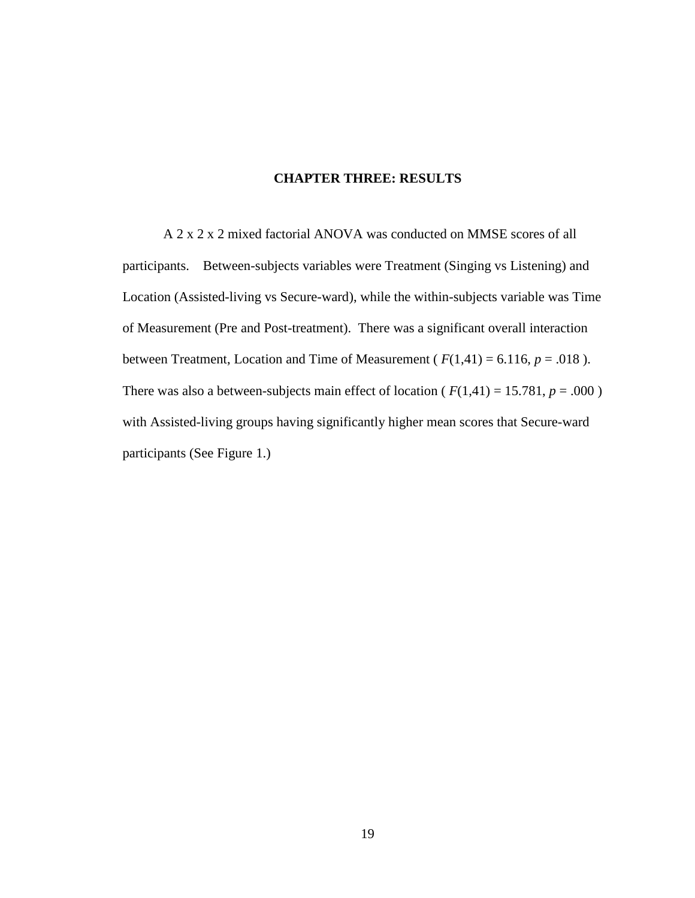### <span id="page-29-0"></span>**CHAPTER THREE: RESULTS**

A 2 x 2 x 2 mixed factorial ANOVA was conducted on MMSE scores of all participants. Between-subjects variables were Treatment (Singing vs Listening) and Location (Assisted-living vs Secure-ward), while the within-subjects variable was Time of Measurement (Pre and Post-treatment). There was a significant overall interaction between Treatment, Location and Time of Measurement ( $F(1,41) = 6.116$ ,  $p = .018$ ). There was also a between-subjects main effect of location ( $F(1,41) = 15.781$ ,  $p = .000$ ) with Assisted-living groups having significantly higher mean scores that Secure-ward participants (See Figure 1.)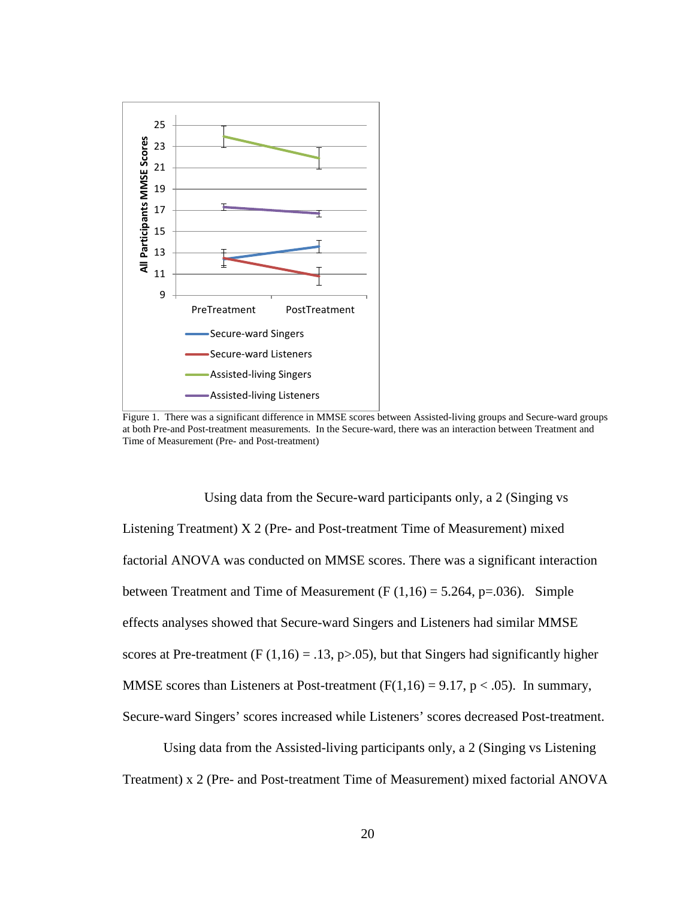

<span id="page-30-0"></span>Figure 1. There was a significant difference in MMSE scores between Assisted-living groups and Secure-ward groups at both Pre-and Post-treatment measurements. In the Secure-ward, there was an interaction between Treatment and Time of Measurement (Pre- and Post-treatment)

Using data from the Secure-ward participants only, a 2 (Singing vs Listening Treatment) X 2 (Pre- and Post-treatment Time of Measurement) mixed factorial ANOVA was conducted on MMSE scores. There was a significant interaction between Treatment and Time of Measurement  $(F(1,16) = 5.264, p=.036)$ . Simple effects analyses showed that Secure-ward Singers and Listeners had similar MMSE scores at Pre-treatment (F  $(1,16) = .13$ , p>.05), but that Singers had significantly higher MMSE scores than Listeners at Post-treatment  $(F(1,16) = 9.17, p < .05)$ . In summary, Secure-ward Singers' scores increased while Listeners' scores decreased Post-treatment.

Using data from the Assisted-living participants only, a 2 (Singing vs Listening Treatment) x 2 (Pre- and Post-treatment Time of Measurement) mixed factorial ANOVA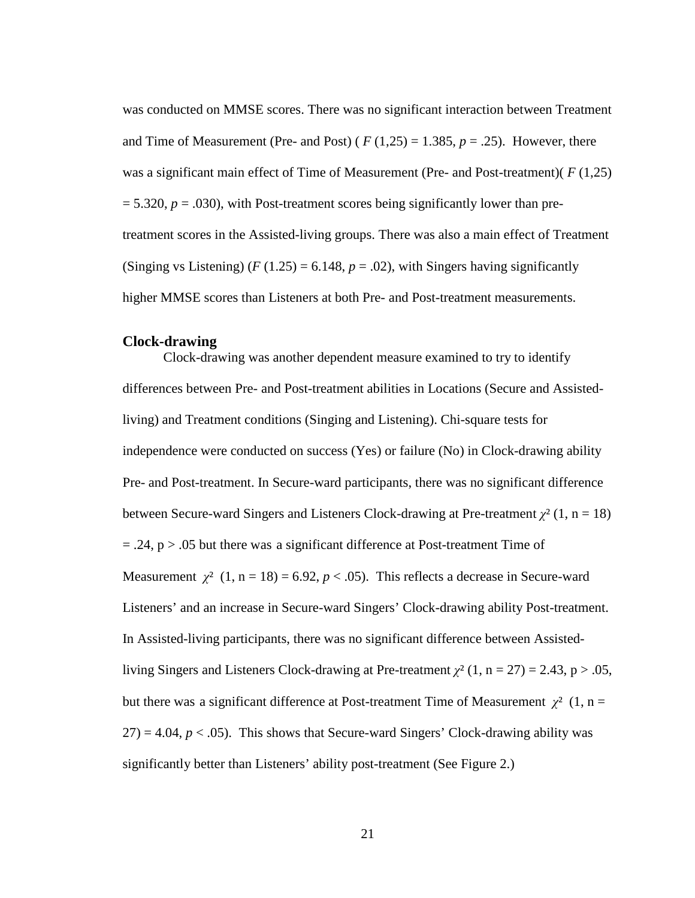was conducted on MMSE scores. There was no significant interaction between Treatment and Time of Measurement (Pre- and Post) ( $F(1,25) = 1.385$ ,  $p = .25$ ). However, there was a significant main effect of Time of Measurement (Pre- and Post-treatment)( *F* (1,25)  $= 5.320, p = .030$ , with Post-treatment scores being significantly lower than pretreatment scores in the Assisted-living groups. There was also a main effect of Treatment (Singing vs Listening)  $(F(1.25) = 6.148, p = .02)$ , with Singers having significantly higher MMSE scores than Listeners at both Pre- and Post-treatment measurements.

#### <span id="page-31-0"></span>**Clock-drawing**

Clock-drawing was another dependent measure examined to try to identify differences between Pre- and Post-treatment abilities in Locations (Secure and Assistedliving) and Treatment conditions (Singing and Listening). Chi-square tests for independence were conducted on success (Yes) or failure (No) in Clock-drawing ability Pre- and Post-treatment. In Secure-ward participants, there was no significant difference between Secure-ward Singers and Listeners Clock-drawing at Pre-treatment  $\chi^2$  (1, n = 18)  $= .24$ ,  $p > .05$  but there was a significant difference at Post-treatment Time of Measurement  $\chi^2$  (1, n = 18) = 6.92, p < .05). This reflects a decrease in Secure-ward Listeners' and an increase in Secure-ward Singers' Clock-drawing ability Post-treatment. In Assisted-living participants, there was no significant difference between Assistedliving Singers and Listeners Clock-drawing at Pre-treatment  $\chi^2$  (1, n = 27) = 2.43, p > .05, but there was a significant difference at Post-treatment Time of Measurement  $\chi^2$  (1, n =  $27$ ) = 4.04,  $p < .05$ ). This shows that Secure-ward Singers' Clock-drawing ability was significantly better than Listeners' ability post-treatment (See Figure 2.)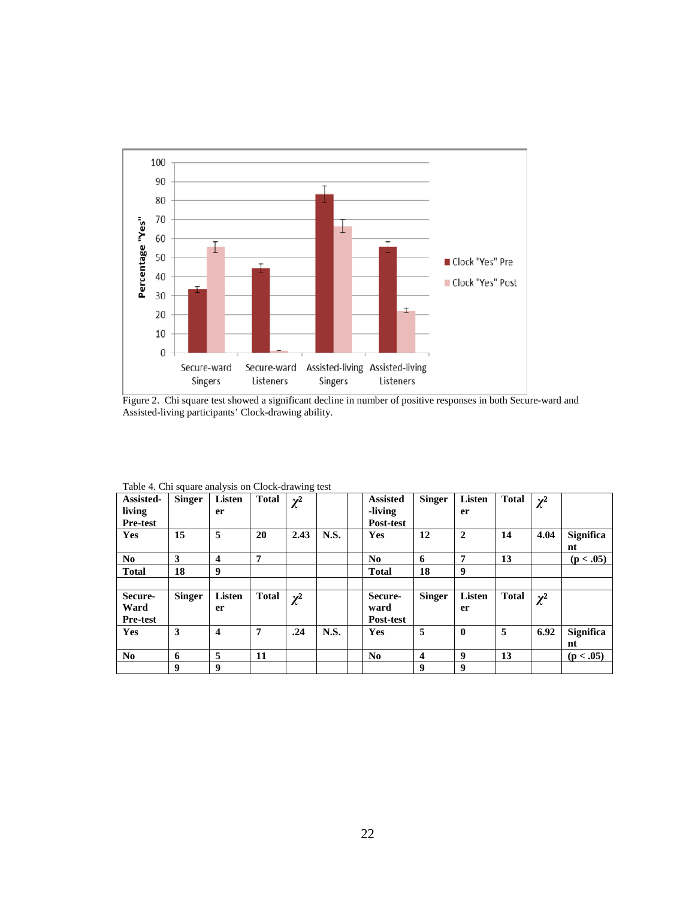

<span id="page-32-1"></span>Figure 2. Chi square test showed a significant decline in number of positive responses in both Secure-ward and Assisted-living participants' Clock-drawing ability.

| Assisted-<br>living<br><b>Pre-test</b> | <b>Singer</b> | <b>Listen</b><br>er     | Total        | $\chi^2$ |             | <b>Assisted</b><br>-living<br>Post-test | <b>Singer</b>  | Listen<br>er        | <b>Total</b> | $\chi^2$ |                        |
|----------------------------------------|---------------|-------------------------|--------------|----------|-------------|-----------------------------------------|----------------|---------------------|--------------|----------|------------------------|
| <b>Yes</b>                             | 15            | 5                       | <b>20</b>    | 2.43     | N.S.        | <b>Yes</b>                              | 12             | $\overline{2}$      | 14           | 4.04     | <b>Significa</b><br>nt |
| No.                                    | 3             | 4                       | 7            |          |             | N <sub>0</sub>                          | 6              | 7                   | 13           |          | (p < .05)              |
| <b>Total</b>                           | 18            | 9                       |              |          |             | <b>Total</b>                            | 18             | 9                   |              |          |                        |
|                                        |               |                         |              |          |             |                                         |                |                     |              |          |                        |
| Secure-<br>Ward<br><b>Pre-test</b>     | <b>Singer</b> | Listen<br>er            | <b>Total</b> | $\chi^2$ |             | Secure-<br>ward<br>Post-test            | <b>Singer</b>  | <b>Listen</b><br>er | <b>Total</b> | $\chi^2$ |                        |
| <b>Yes</b>                             | 3             | $\overline{\mathbf{4}}$ | 7            | .24      | <b>N.S.</b> | <b>Yes</b>                              | 5              | $\mathbf{0}$        | 5            | 6.92     | <b>Significa</b><br>nt |
| N <sub>0</sub>                         | 6             | 5                       | 11           |          |             | N <sub>0</sub>                          | $\overline{4}$ | 9                   | 13           |          | (p < .05)              |
|                                        |               |                         |              |          |             |                                         |                |                     |              |          |                        |

<span id="page-32-0"></span>Table 4. Chi square analysis on Clock-drawing test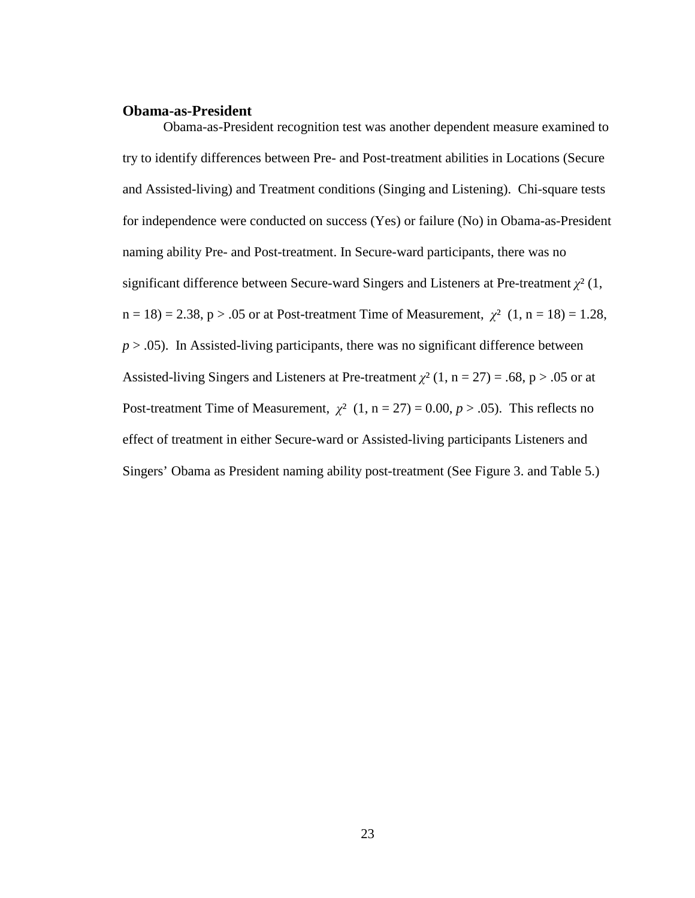#### <span id="page-33-0"></span>**Obama-as-President**

Obama-as-President recognition test was another dependent measure examined to try to identify differences between Pre- and Post-treatment abilities in Locations (Secure and Assisted-living) and Treatment conditions (Singing and Listening). Chi-square tests for independence were conducted on success (Yes) or failure (No) in Obama-as-President naming ability Pre- and Post-treatment. In Secure-ward participants, there was no significant difference between Secure-ward Singers and Listeners at Pre-treatment *[χ](http://en.wikipedia.org/wiki/Chi_(letter))*² (1,  $n = 18$ ) = 2.38, p > .05 or at Post-treatment Time of Measurement,  $\chi^2$  (1, n = 18) = 1.28,  $p > .05$ ). In Assisted-living participants, there was no significant difference between Assisted-living Singers and Listeners at Pre-treatment  $\chi^2$  (1, n = 27) = .68, p > .05 or at Post-treatment Time of Measurement,  $\chi^2$  (1, n = 27) = 0.00, p > .05). This reflects no effect of treatment in either Secure-ward or Assisted-living participants Listeners and Singers' Obama as President naming ability post-treatment (See Figure 3. and Table 5.)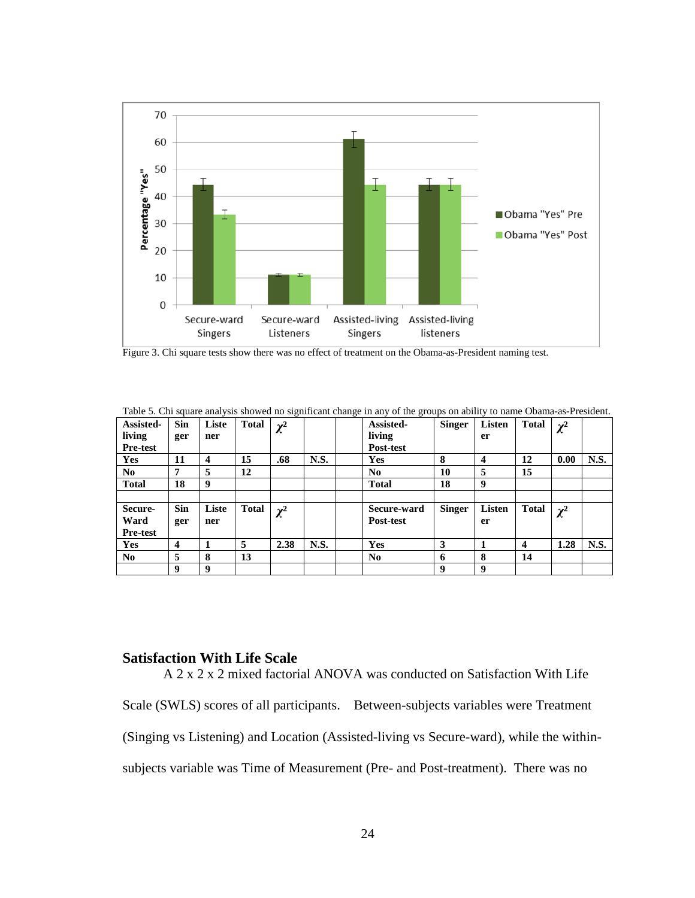

<span id="page-34-2"></span>Figure 3. Chi square tests show there was no effect of treatment on the Obama-as-President naming test.

| галс э. Сти мнаге анагумы многи по мунитеанссианус ни ану от ние groups он алниу to напис Олана-ам-т гемисии.<br>Assisted- | <b>Sin</b> | Liste                   | <b>Total</b> | $\chi^2$ |      | Assisted-      | <b>Singer</b> | Listen | <b>Total</b> | $\chi^2$ |      |
|----------------------------------------------------------------------------------------------------------------------------|------------|-------------------------|--------------|----------|------|----------------|---------------|--------|--------------|----------|------|
| living                                                                                                                     | ger        | ner                     |              |          |      | living         |               | er     |              |          |      |
| <b>Pre-test</b>                                                                                                            |            |                         |              |          |      | Post-test      |               |        |              |          |      |
| <b>Yes</b>                                                                                                                 | 11         | $\overline{\mathbf{4}}$ | 15           | .68      | N.S. | <b>Yes</b>     | 8             | 4      | 12           | 0.00     | N.S. |
| No.                                                                                                                        | 7          | 5                       | 12           |          |      | No.            | 10            | 5      | 15           |          |      |
| <b>Total</b>                                                                                                               | 18         | 9                       |              |          |      | <b>Total</b>   | 18            | 9      |              |          |      |
|                                                                                                                            |            |                         |              |          |      |                |               |        |              |          |      |
| Secure-                                                                                                                    | <b>Sin</b> | Liste                   | <b>Total</b> | $\chi^2$ |      | Secure-ward    | <b>Singer</b> | Listen | <b>Total</b> | $\chi^2$ |      |
| Ward                                                                                                                       | ger        | ner                     |              |          |      | Post-test      |               | er     |              |          |      |
| <b>Pre-test</b>                                                                                                            |            |                         |              |          |      |                |               |        |              |          |      |
| <b>Yes</b>                                                                                                                 | 4          |                         | 5            | 2.38     | N.S. | <b>Yes</b>     | 3             |        | 4            | 1.28     | N.S. |
| N <sub>0</sub>                                                                                                             | 5          | 8                       | 13           |          |      | N <sub>0</sub> | 6             | 8      | 14           |          |      |
|                                                                                                                            | 9          | 9                       |              |          |      |                | 9             | 9      |              |          |      |

<span id="page-34-1"></span>Table 5. Chi square analysis showed no significant change in any of the groups on ability to name Obama-as-President.

### <span id="page-34-0"></span>**Satisfaction With Life Scale**

A 2 x 2 x 2 mixed factorial ANOVA was conducted on Satisfaction With Life Scale (SWLS) scores of all participants. Between-subjects variables were Treatment (Singing vs Listening) and Location (Assisted-living vs Secure-ward), while the withinsubjects variable was Time of Measurement (Pre- and Post-treatment). There was no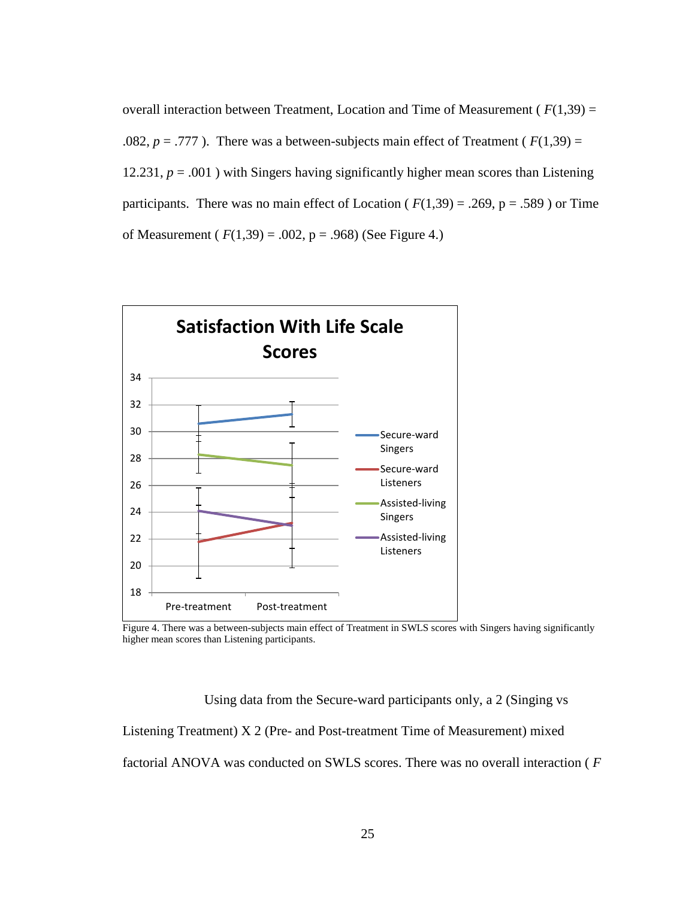overall interaction between Treatment, Location and Time of Measurement ( *F*(1,39) = .082,  $p = .777$ ). There was a between-subjects main effect of Treatment ( $F(1,39) =$ 12.231,  $p = .001$ ) with Singers having significantly higher mean scores than Listening participants. There was no main effect of Location ( $F(1,39) = .269$ ,  $p = .589$ ) or Time of Measurement ( $F(1,39) = .002$ ,  $p = .968$ ) (See Figure 4.)



<span id="page-35-0"></span>Figure 4. There was a between-subjects main effect of Treatment in SWLS scores with Singers having significantly higher mean scores than Listening participants.

Using data from the Secure-ward participants only, a 2 (Singing vs

Listening Treatment) X 2 (Pre- and Post-treatment Time of Measurement) mixed factorial ANOVA was conducted on SWLS scores. There was no overall interaction ( *F*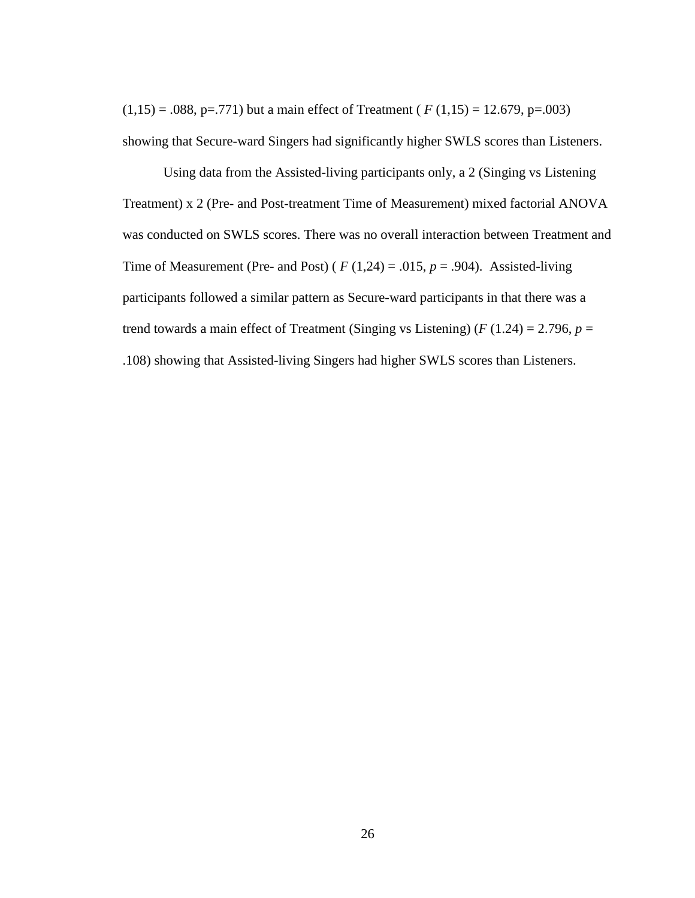$(1,15) = .088$ , p=.771) but a main effect of Treatment ( $F(1,15) = 12.679$ , p=.003) showing that Secure-ward Singers had significantly higher SWLS scores than Listeners.

Using data from the Assisted-living participants only, a 2 (Singing vs Listening Treatment) x 2 (Pre- and Post-treatment Time of Measurement) mixed factorial ANOVA was conducted on SWLS scores. There was no overall interaction between Treatment and Time of Measurement (Pre- and Post) ( $F(1,24) = .015$ ,  $p = .904$ ). Assisted-living participants followed a similar pattern as Secure-ward participants in that there was a trend towards a main effect of Treatment (Singing vs Listening) ( $F(1.24) = 2.796$ ,  $p =$ .108) showing that Assisted-living Singers had higher SWLS scores than Listeners.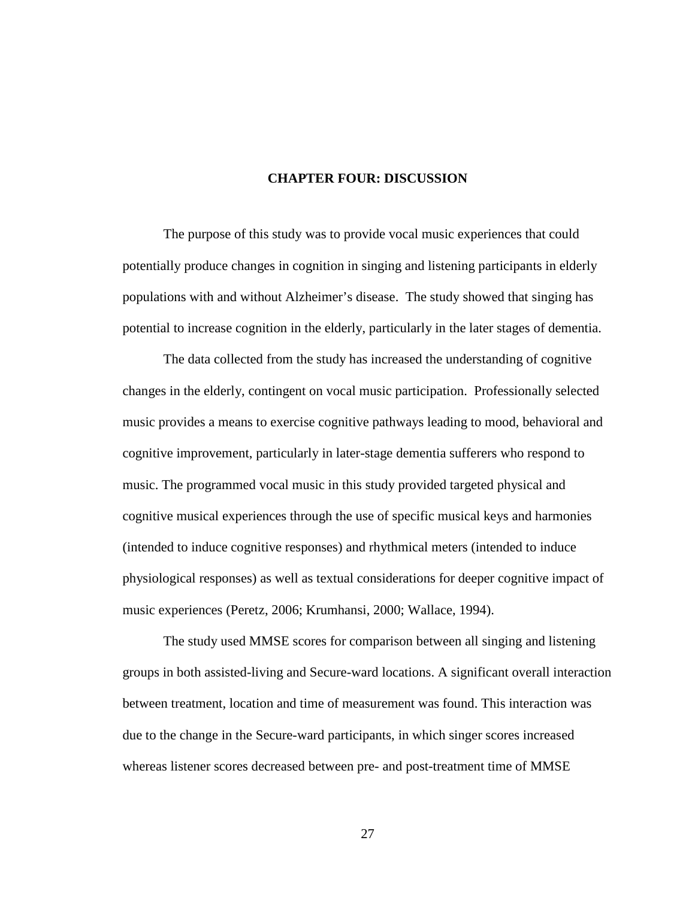### **CHAPTER FOUR: DISCUSSION**

The purpose of this study was to provide vocal music experiences that could potentially produce changes in cognition in singing and listening participants in elderly populations with and without Alzheimer's disease. The study showed that singing has potential to increase cognition in the elderly, particularly in the later stages of dementia.

The data collected from the study has increased the understanding of cognitive changes in the elderly, contingent on vocal music participation. Professionally selected music provides a means to exercise cognitive pathways leading to mood, behavioral and cognitive improvement, particularly in later-stage dementia sufferers who respond to music. The programmed vocal music in this study provided targeted physical and cognitive musical experiences through the use of specific musical keys and harmonies (intended to induce cognitive responses) and rhythmical meters (intended to induce physiological responses) as well as textual considerations for deeper cognitive impact of music experiences (Peretz, 2006; Krumhansi, 2000; Wallace, 1994).

The study used MMSE scores for comparison between all singing and listening groups in both assisted-living and Secure-ward locations. A significant overall interaction between treatment, location and time of measurement was found. This interaction was due to the change in the Secure-ward participants, in which singer scores increased whereas listener scores decreased between pre- and post-treatment time of MMSE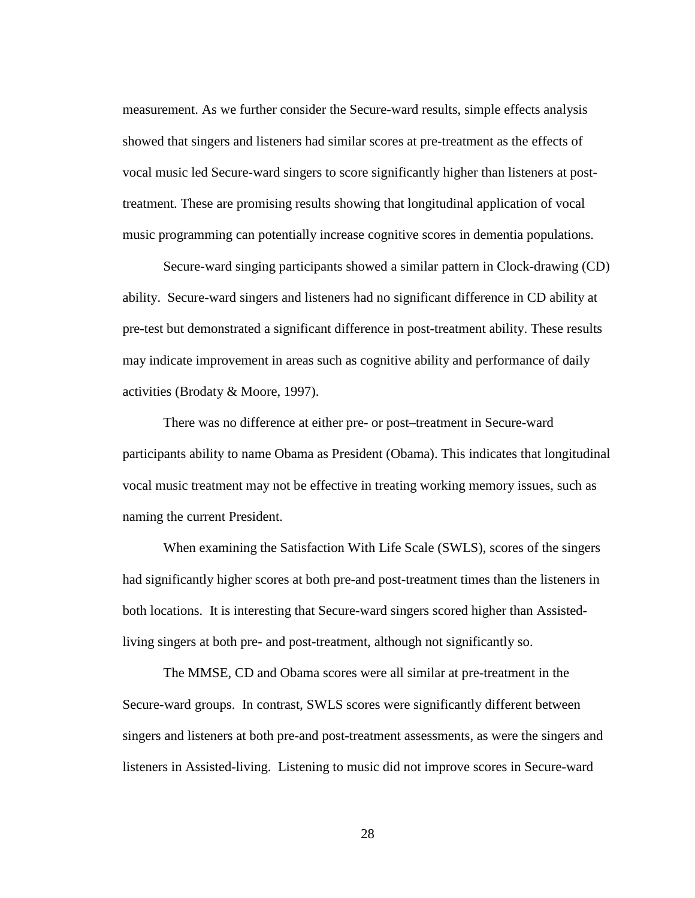measurement. As we further consider the Secure-ward results, simple effects analysis showed that singers and listeners had similar scores at pre-treatment as the effects of vocal music led Secure-ward singers to score significantly higher than listeners at posttreatment. These are promising results showing that longitudinal application of vocal music programming can potentially increase cognitive scores in dementia populations.

Secure-ward singing participants showed a similar pattern in Clock-drawing (CD) ability. Secure-ward singers and listeners had no significant difference in CD ability at pre-test but demonstrated a significant difference in post-treatment ability. These results may indicate improvement in areas such as cognitive ability and performance of daily activities (Brodaty & Moore, 1997).

There was no difference at either pre- or post–treatment in Secure-ward participants ability to name Obama as President (Obama). This indicates that longitudinal vocal music treatment may not be effective in treating working memory issues, such as naming the current President.

When examining the Satisfaction With Life Scale (SWLS), scores of the singers had significantly higher scores at both pre-and post-treatment times than the listeners in both locations. It is interesting that Secure-ward singers scored higher than Assistedliving singers at both pre- and post-treatment, although not significantly so.

The MMSE, CD and Obama scores were all similar at pre-treatment in the Secure-ward groups. In contrast, SWLS scores were significantly different between singers and listeners at both pre-and post-treatment assessments, as were the singers and listeners in Assisted-living. Listening to music did not improve scores in Secure-ward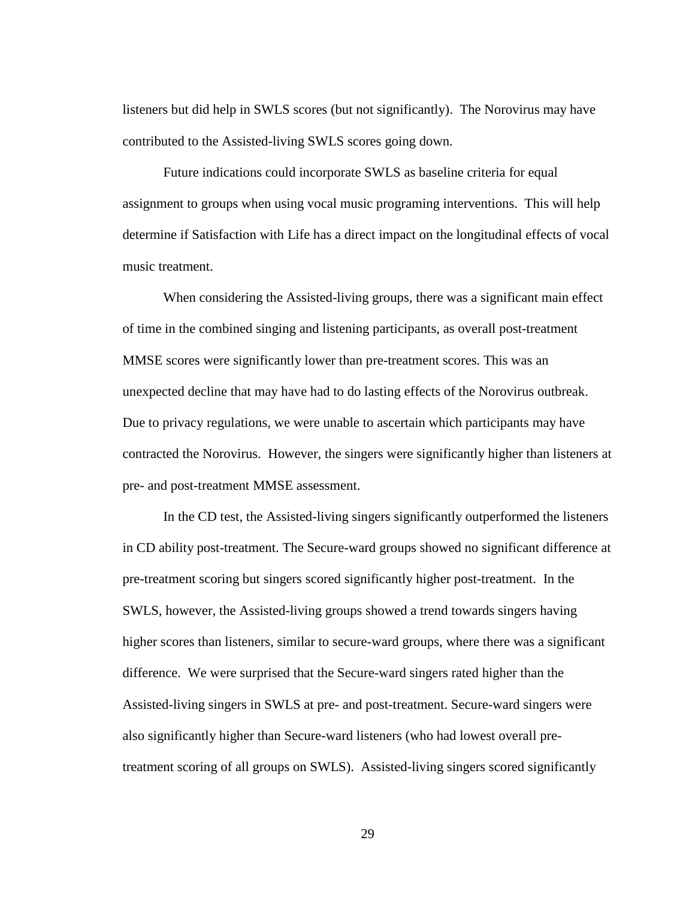listeners but did help in SWLS scores (but not significantly). The Norovirus may have contributed to the Assisted-living SWLS scores going down.

Future indications could incorporate SWLS as baseline criteria for equal assignment to groups when using vocal music programing interventions. This will help determine if Satisfaction with Life has a direct impact on the longitudinal effects of vocal music treatment.

When considering the Assisted-living groups, there was a significant main effect of time in the combined singing and listening participants, as overall post-treatment MMSE scores were significantly lower than pre-treatment scores. This was an unexpected decline that may have had to do lasting effects of the Norovirus outbreak. Due to privacy regulations, we were unable to ascertain which participants may have contracted the Norovirus. However, the singers were significantly higher than listeners at pre- and post-treatment MMSE assessment.

In the CD test, the Assisted-living singers significantly outperformed the listeners in CD ability post-treatment. The Secure-ward groups showed no significant difference at pre-treatment scoring but singers scored significantly higher post-treatment. In the SWLS, however, the Assisted-living groups showed a trend towards singers having higher scores than listeners, similar to secure-ward groups, where there was a significant difference. We were surprised that the Secure-ward singers rated higher than the Assisted-living singers in SWLS at pre- and post-treatment. Secure-ward singers were also significantly higher than Secure-ward listeners (who had lowest overall pretreatment scoring of all groups on SWLS). Assisted-living singers scored significantly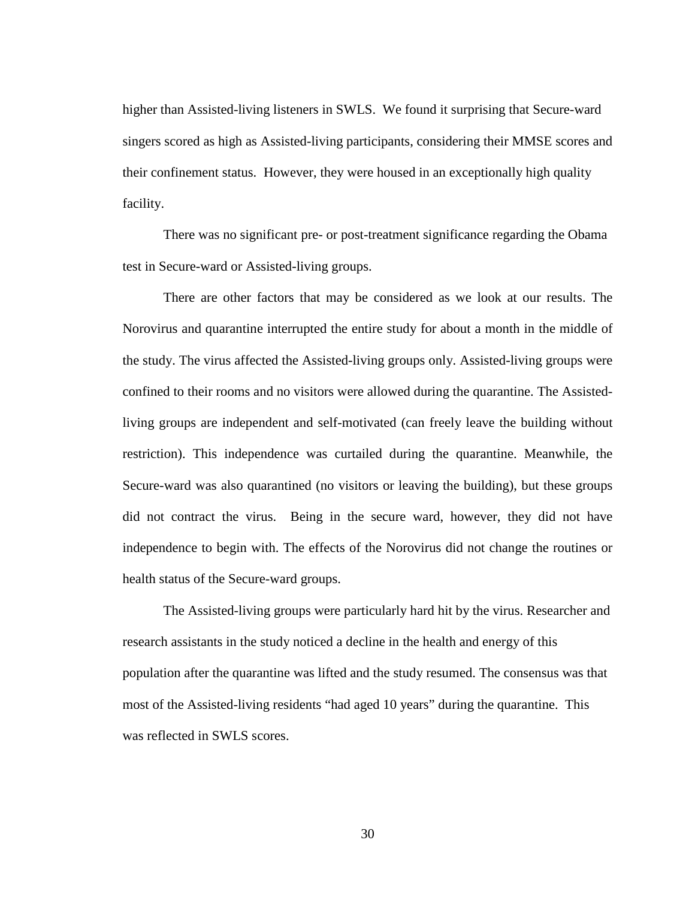higher than Assisted-living listeners in SWLS. We found it surprising that Secure-ward singers scored as high as Assisted-living participants, considering their MMSE scores and their confinement status. However, they were housed in an exceptionally high quality facility.

There was no significant pre- or post-treatment significance regarding the Obama test in Secure-ward or Assisted-living groups.

There are other factors that may be considered as we look at our results. The Norovirus and quarantine interrupted the entire study for about a month in the middle of the study. The virus affected the Assisted-living groups only. Assisted-living groups were confined to their rooms and no visitors were allowed during the quarantine. The Assistedliving groups are independent and self-motivated (can freely leave the building without restriction). This independence was curtailed during the quarantine. Meanwhile, the Secure-ward was also quarantined (no visitors or leaving the building), but these groups did not contract the virus. Being in the secure ward, however, they did not have independence to begin with. The effects of the Norovirus did not change the routines or health status of the Secure-ward groups.

The Assisted-living groups were particularly hard hit by the virus. Researcher and research assistants in the study noticed a decline in the health and energy of this population after the quarantine was lifted and the study resumed. The consensus was that most of the Assisted-living residents "had aged 10 years" during the quarantine. This was reflected in SWLS scores.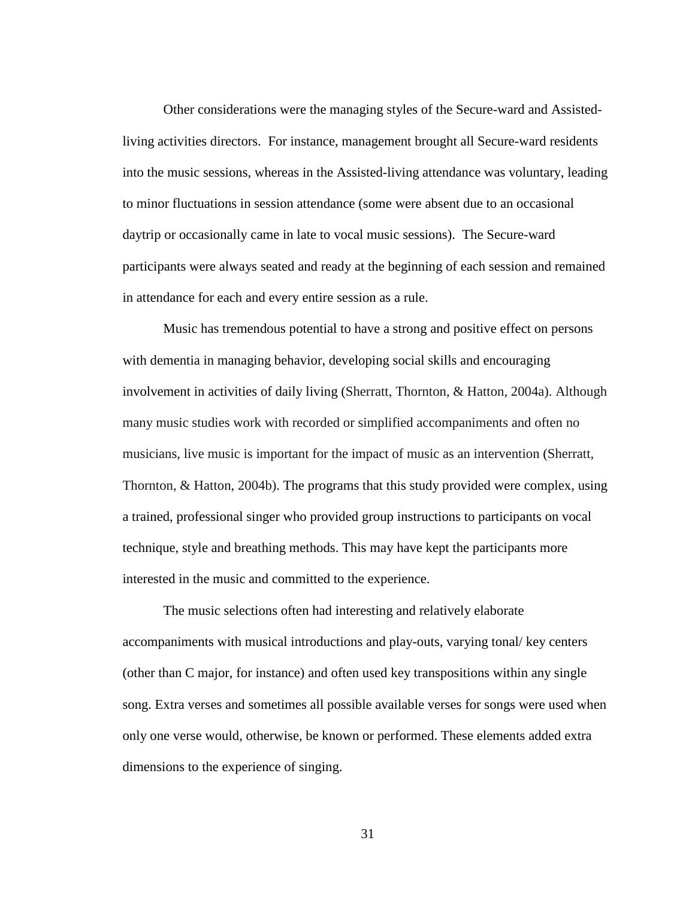Other considerations were the managing styles of the Secure-ward and Assistedliving activities directors. For instance, management brought all Secure-ward residents into the music sessions, whereas in the Assisted-living attendance was voluntary, leading to minor fluctuations in session attendance (some were absent due to an occasional daytrip or occasionally came in late to vocal music sessions). The Secure-ward participants were always seated and ready at the beginning of each session and remained in attendance for each and every entire session as a rule.

Music has tremendous potential to have a strong and positive effect on persons with dementia in managing behavior, developing social skills and encouraging involvement in activities of daily living (Sherratt, Thornton, & Hatton, 2004a). Although many music studies work with recorded or simplified accompaniments and often no musicians, live music is important for the impact of music as an intervention (Sherratt, Thornton, & Hatton, 2004b). The programs that this study provided were complex, using a trained, professional singer who provided group instructions to participants on vocal technique, style and breathing methods. This may have kept the participants more interested in the music and committed to the experience.

The music selections often had interesting and relatively elaborate accompaniments with musical introductions and play-outs, varying tonal/ key centers (other than C major, for instance) and often used key transpositions within any single song. Extra verses and sometimes all possible available verses for songs were used when only one verse would, otherwise, be known or performed. These elements added extra dimensions to the experience of singing.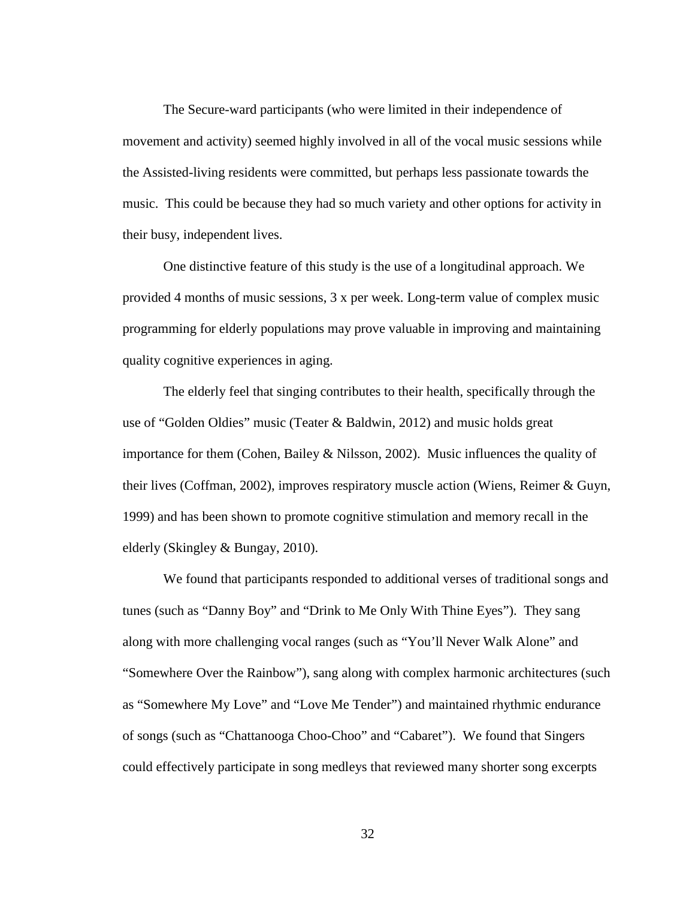The Secure-ward participants (who were limited in their independence of movement and activity) seemed highly involved in all of the vocal music sessions while the Assisted-living residents were committed, but perhaps less passionate towards the music. This could be because they had so much variety and other options for activity in their busy, independent lives.

One distinctive feature of this study is the use of a longitudinal approach. We provided 4 months of music sessions, 3 x per week. Long-term value of complex music programming for elderly populations may prove valuable in improving and maintaining quality cognitive experiences in aging.

The elderly feel that singing contributes to their health, specifically through the use of "Golden Oldies" music (Teater & Baldwin, 2012) and music holds great importance for them (Cohen, Bailey  $\&$  Nilsson, 2002). Music influences the quality of their lives (Coffman, 2002), improves respiratory muscle action (Wiens, Reimer & Guyn, 1999) and has been shown to promote cognitive stimulation and memory recall in the elderly (Skingley & Bungay, 2010).

We found that participants responded to additional verses of traditional songs and tunes (such as "Danny Boy" and "Drink to Me Only With Thine Eyes"). They sang along with more challenging vocal ranges (such as "You'll Never Walk Alone" and "Somewhere Over the Rainbow"), sang along with complex harmonic architectures (such as "Somewhere My Love" and "Love Me Tender") and maintained rhythmic endurance of songs (such as "Chattanooga Choo-Choo" and "Cabaret"). We found that Singers could effectively participate in song medleys that reviewed many shorter song excerpts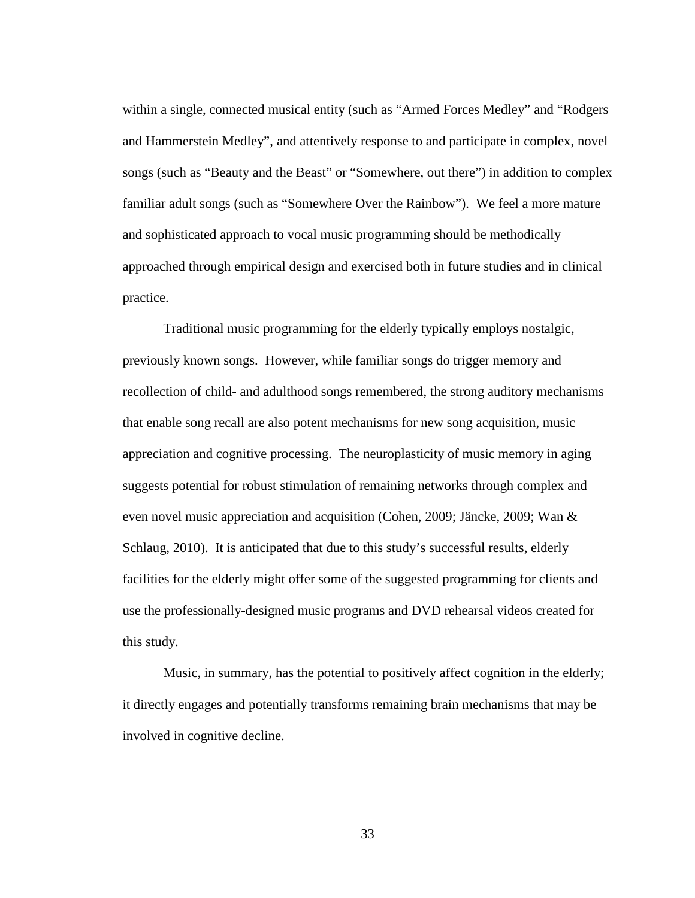within a single, connected musical entity (such as "Armed Forces Medley" and "Rodgers and Hammerstein Medley", and attentively response to and participate in complex, novel songs (such as "Beauty and the Beast" or "Somewhere, out there") in addition to complex familiar adult songs (such as "Somewhere Over the Rainbow"). We feel a more mature and sophisticated approach to vocal music programming should be methodically approached through empirical design and exercised both in future studies and in clinical practice.

Traditional music programming for the elderly typically employs nostalgic, previously known songs. However, while familiar songs do trigger memory and recollection of child- and adulthood songs remembered, the strong auditory mechanisms that enable song recall are also potent mechanisms for new song acquisition, music appreciation and cognitive processing. The neuroplasticity of music memory in aging suggests potential for robust stimulation of remaining networks through complex and even novel music appreciation and acquisition (Cohen, 2009; Jäncke, 2009; Wan & Schlaug, 2010). It is anticipated that due to this study's successful results, elderly facilities for the elderly might offer some of the suggested programming for clients and use the professionally-designed music programs and DVD rehearsal videos created for this study.

Music, in summary, has the potential to positively affect cognition in the elderly; it directly engages and potentially transforms remaining brain mechanisms that may be involved in cognitive decline.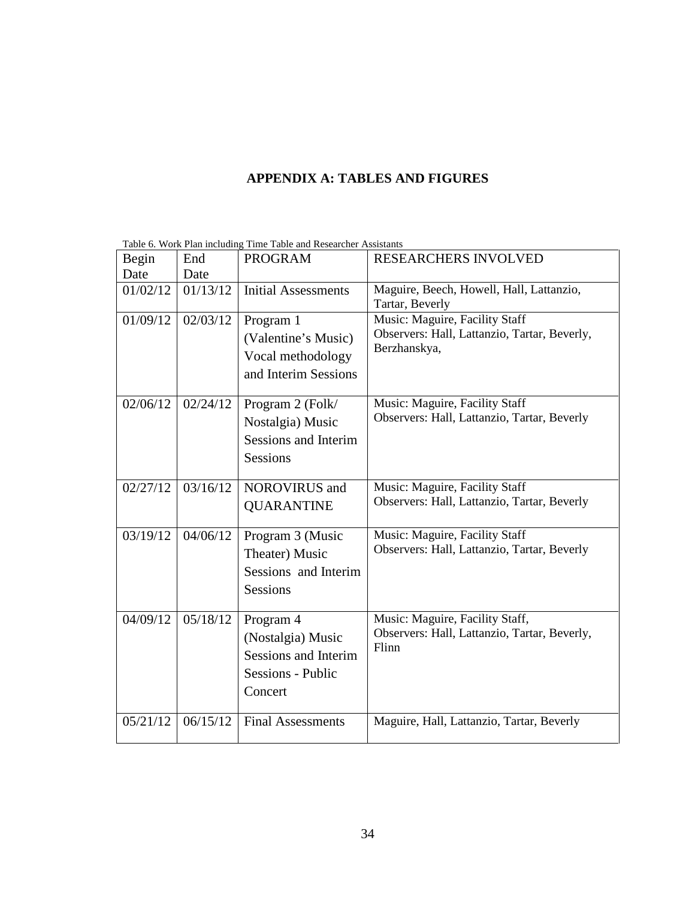# **APPENDIX A: TABLES AND FIGURES**

| Begin    | End      | <b>PROGRAM</b>                                                                                | RESEARCHERS INVOLVED                                                                           |  |  |
|----------|----------|-----------------------------------------------------------------------------------------------|------------------------------------------------------------------------------------------------|--|--|
| Date     | Date     |                                                                                               |                                                                                                |  |  |
| 01/02/12 | 01/13/12 | <b>Initial Assessments</b>                                                                    | Maguire, Beech, Howell, Hall, Lattanzio,<br>Tartar, Beverly                                    |  |  |
| 01/09/12 | 02/03/12 | Program 1<br>(Valentine's Music)<br>Vocal methodology<br>and Interim Sessions                 | Music: Maguire, Facility Staff<br>Observers: Hall, Lattanzio, Tartar, Beverly,<br>Berzhanskya, |  |  |
| 02/06/12 | 02/24/12 | Program 2 (Folk/<br>Nostalgia) Music<br>Sessions and Interim<br>Sessions                      | Music: Maguire, Facility Staff<br>Observers: Hall, Lattanzio, Tartar, Beverly                  |  |  |
| 02/27/12 | 03/16/12 | <b>NOROVIRUS</b> and<br><b>QUARANTINE</b>                                                     | Music: Maguire, Facility Staff<br>Observers: Hall, Lattanzio, Tartar, Beverly                  |  |  |
| 03/19/12 | 04/06/12 | Program 3 (Music<br>Theater) Music<br>Sessions and Interim<br><b>Sessions</b>                 | Music: Maguire, Facility Staff<br>Observers: Hall, Lattanzio, Tartar, Beverly                  |  |  |
| 04/09/12 | 05/18/12 | Program 4<br>(Nostalgia) Music<br><b>Sessions and Interim</b><br>Sessions - Public<br>Concert | Music: Maguire, Facility Staff,<br>Observers: Hall, Lattanzio, Tartar, Beverly,<br>Flinn       |  |  |
| 05/21/12 | 06/15/12 | <b>Final Assessments</b>                                                                      | Maguire, Hall, Lattanzio, Tartar, Beverly                                                      |  |  |

Table 6. Work Plan including Time Table and Researcher Assistants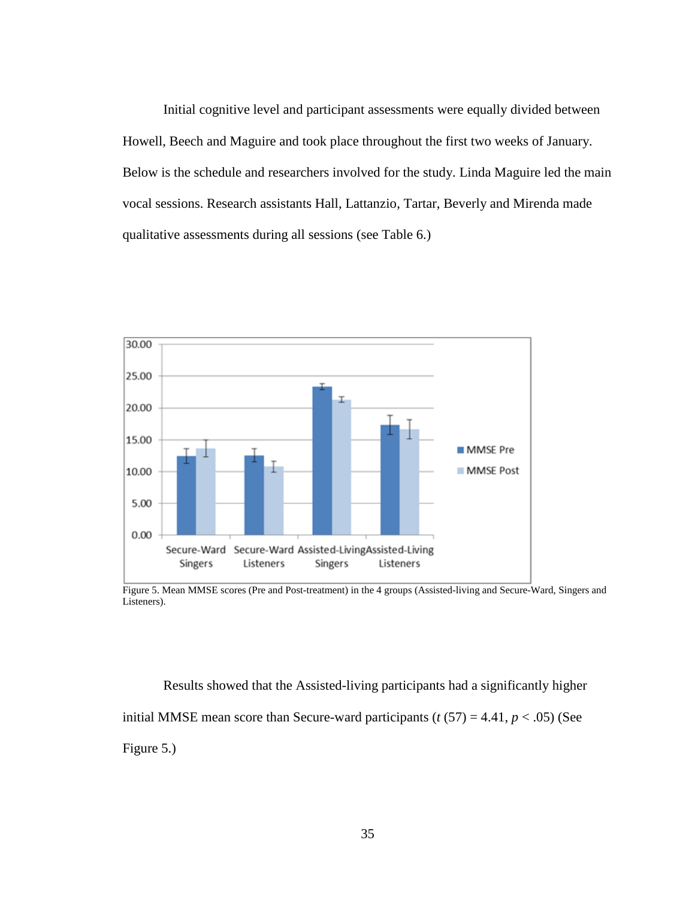Initial cognitive level and participant assessments were equally divided between Howell, Beech and Maguire and took place throughout the first two weeks of January. Below is the schedule and researchers involved for the study. Linda Maguire led the main vocal sessions. Research assistants Hall, Lattanzio, Tartar, Beverly and Mirenda made qualitative assessments during all sessions (see Table 6.)



Figure 5. Mean MMSE scores (Pre and Post-treatment) in the 4 groups (Assisted-living and Secure-Ward, Singers and Listeners).

Results showed that the Assisted-living participants had a significantly higher initial MMSE mean score than Secure-ward participants  $(t (57) = 4.41, p < .05)$  (See Figure 5.)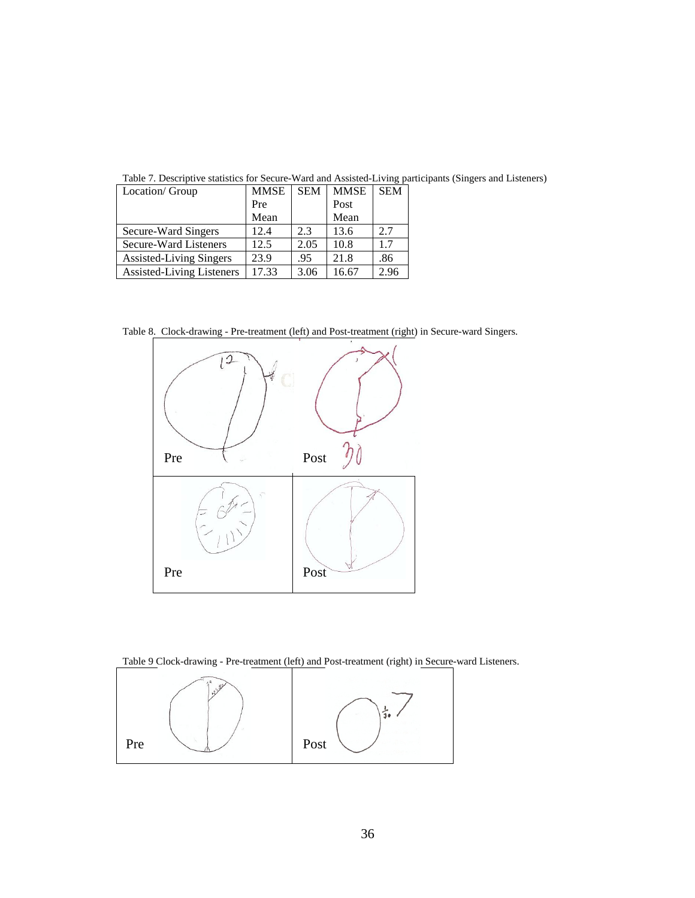|                                |             |            |             | ັ          | $\mathbf{r}$ |
|--------------------------------|-------------|------------|-------------|------------|--------------|
| Location/ Group                | <b>MMSE</b> | <b>SEM</b> | <b>MMSE</b> | <b>SEM</b> |              |
|                                | Pre         |            | Post        |            |              |
|                                | Mean        |            | Mean        |            |              |
| Secure-Ward Singers            | 12.4        | 2.3        | 13.6        | 2.7        |              |
| Secure-Ward Listeners          | 12.5        | 2.05       | 10.8        | 1.7        |              |
| <b>Assisted-Living Singers</b> | 23.9        | .95        | 21.8        | .86        |              |
| Assisted-Living Listeners      | 17.33       | 3.06       | 16.67       | 2.96       |              |

Table 7. Descriptive statistics for Secure-Ward and Assisted-Living participants (Singers and Listeners)

Table 8. Clock-drawing - Pre-treatment (left) and Post-treatment (right) in Secure-ward Singers.



Table 9 Clock-drawing - Pre-treatment (left) and Post-treatment (right) in Secure-ward Listeners.

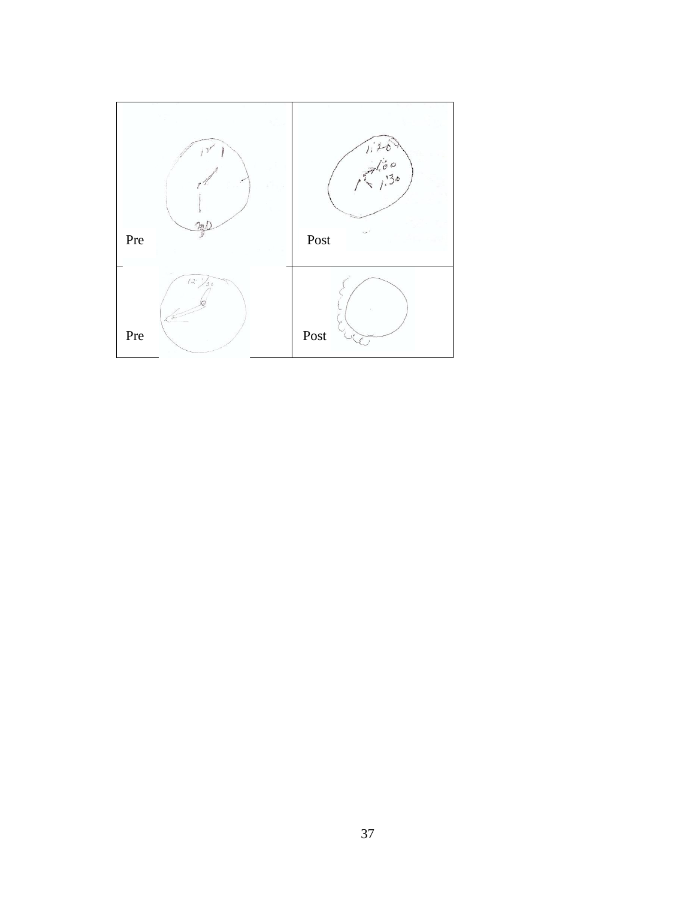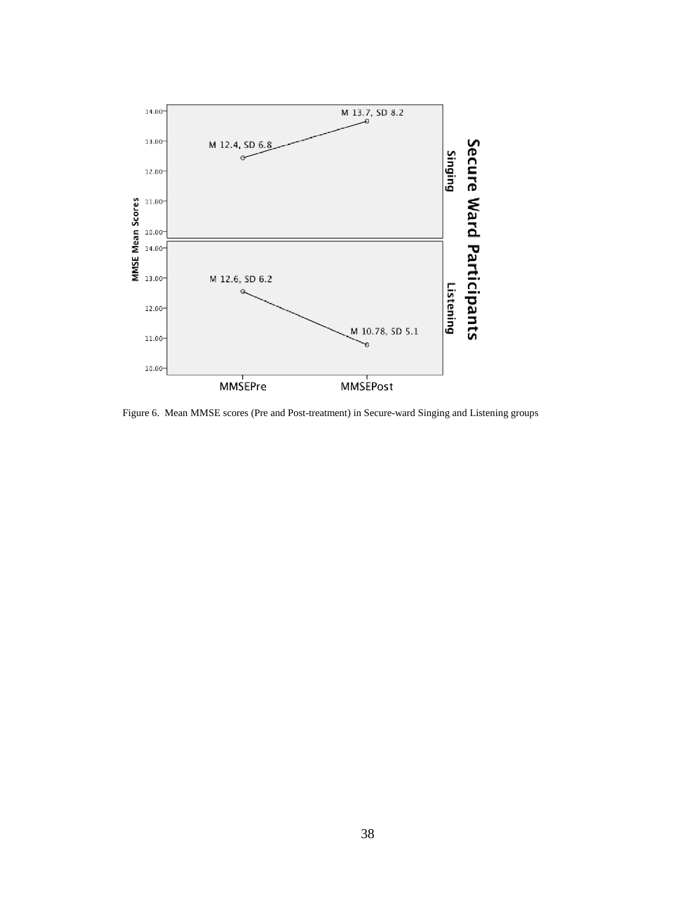

Figure 6. Mean MMSE scores (Pre and Post-treatment) in Secure-ward Singing and Listening groups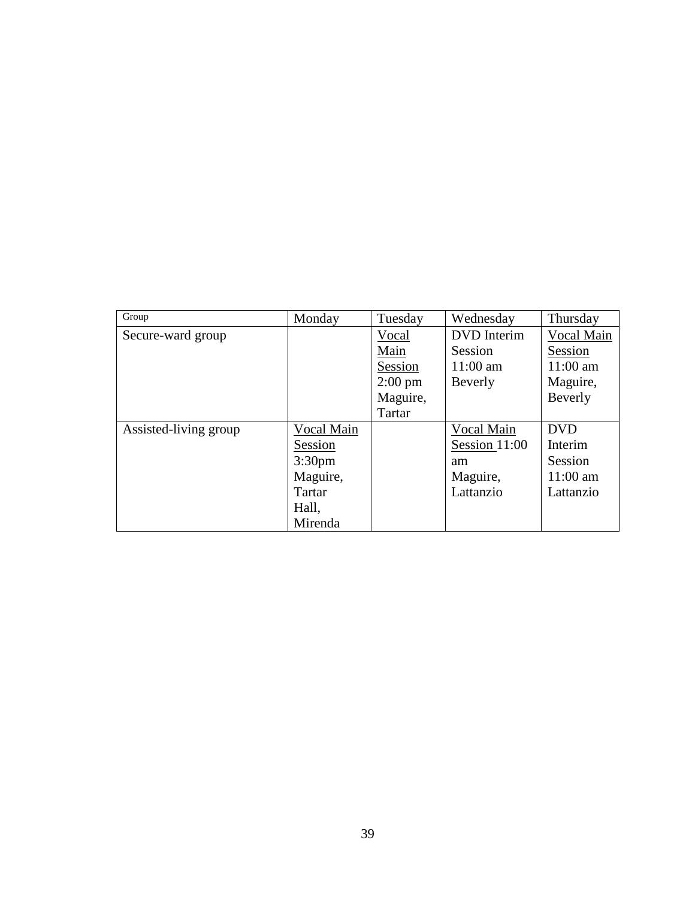| Group                 | Monday             | Tuesday           | Wednesday          | Thursday   |
|-----------------------|--------------------|-------------------|--------------------|------------|
| Secure-ward group     |                    | Vocal             | <b>DVD</b> Interim | Vocal Main |
|                       |                    | Main              | Session            | Session    |
|                       |                    | Session           | $11:00$ am         | $11:00$ am |
|                       |                    | $2:00 \text{ pm}$ | Beverly            | Maguire,   |
|                       |                    | Maguire,          |                    | Beverly    |
|                       |                    | Tartar            |                    |            |
| Assisted-living group | Vocal Main         |                   | Vocal Main         | <b>DVD</b> |
|                       | Session            |                   | Session 11:00      | Interim    |
|                       | 3:30 <sub>pm</sub> |                   | am                 | Session    |
|                       | Maguire,           |                   | Maguire,           | $11:00$ am |
|                       | Tartar             |                   | Lattanzio          | Lattanzio  |
|                       | Hall,              |                   |                    |            |
|                       | Mirenda            |                   |                    |            |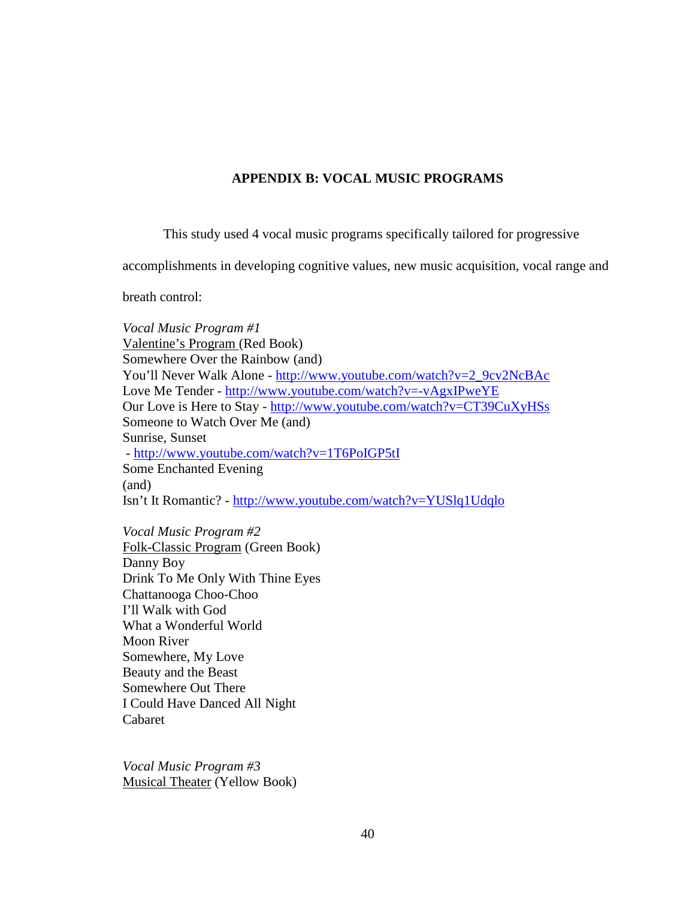# **APPENDIX B: VOCAL MUSIC PROGRAMS**

This study used 4 vocal music programs specifically tailored for progressive

accomplishments in developing cognitive values, new music acquisition, vocal range and

breath control:

*Vocal Music Program #1* Valentine's Program (Red Book) Somewhere Over the Rainbow (and) You'll Never Walk Alone - [http://www.youtube.com/watch?v=2\\_9cv2NcBAc](http://www.youtube.com/watch?v=2_9cv2NcBAc) Love Me Tender - <http://www.youtube.com/watch?v=-vAgxIPweYE> Our Love is Here to Stay - <http://www.youtube.com/watch?v=CT39CuXyHSs> Someone to Watch Over Me (and) Sunrise, Sunset - <http://www.youtube.com/watch?v=1T6PoIGP5tI> Some Enchanted Evening (and) Isn't It Romantic? - <http://www.youtube.com/watch?v=YUSlq1Udqlo>

*Vocal Music Program #2* Folk-Classic Program (Green Book) Danny Boy Drink To Me Only With Thine Eyes Chattanooga Choo-Choo I'll Walk with God What a Wonderful World Moon River Somewhere, My Love Beauty and the Beast Somewhere Out There I Could Have Danced All Night Cabaret

*Vocal Music Program #3* Musical Theater (Yellow Book)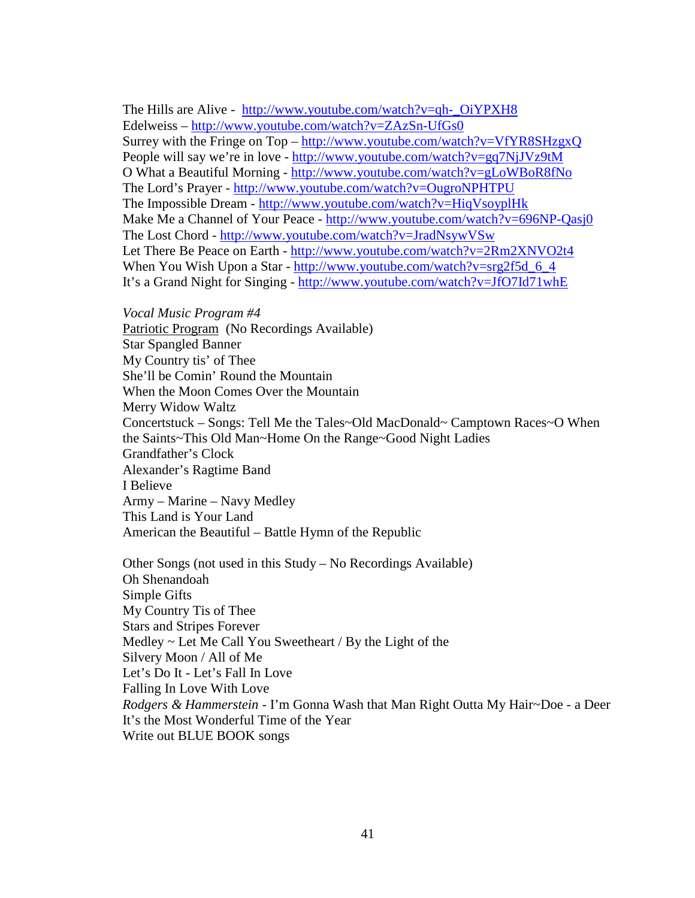The Hills are Alive - [http://www.youtube.com/watch?v=qh-\\_OiYPXH8](http://www.youtube.com/watch?v=qh-_OiYPXH8) Edelweiss – <http://www.youtube.com/watch?v=ZAzSn-UfGs0> Surrey with the Fringe on Top – <http://www.youtube.com/watch?v=VfYR8SHzgxQ> People will say we're in love - <http://www.youtube.com/watch?v=gq7NjJVz9tM> O What a Beautiful Morning - <http://www.youtube.com/watch?v=gLoWBoR8fNo> The Lord's Prayer - <http://www.youtube.com/watch?v=OugroNPHTPU> The Impossible Dream - <http://www.youtube.com/watch?v=HiqVsoyplHk> Make Me a Channel of Your Peace - <http://www.youtube.com/watch?v=696NP-Qasj0> The Lost Chord - <http://www.youtube.com/watch?v=JradNsywVSw> Let There Be Peace on Earth - <http://www.youtube.com/watch?v=2Rm2XNVO2t4> When You Wish Upon a Star - http://www.youtube.com/watch?v=srg2f5d 6 4 It's a Grand Night for Singing - <http://www.youtube.com/watch?v=JfO7Id71whE>

*Vocal Music Program #4*

Patriotic Program (No Recordings Available) Star Spangled Banner My Country tis' of Thee She'll be Comin' Round the Mountain When the Moon Comes Over the Mountain Merry Widow Waltz Concertstuck – Songs: Tell Me the Tales~Old MacDonald~ Camptown Races~O When the Saints~This Old Man~Home On the Range~Good Night Ladies Grandfather's Clock Alexander's Ragtime Band I Believe Army – Marine – Navy Medley This Land is Your Land American the Beautiful – Battle Hymn of the Republic

Other Songs (not used in this Study – No Recordings Available) Oh Shenandoah Simple Gifts My Country Tis of Thee Stars and Stripes Forever Medley  $\sim$  Let Me Call You Sweetheart / By the Light of the Silvery Moon / All of Me Let's Do It - Let's Fall In Love Falling In Love With Love *Rodgers & Hammerstein* - I'm Gonna Wash that Man Right Outta My Hair~Doe - a Deer It's the Most Wonderful Time of the Year Write out BLUE BOOK songs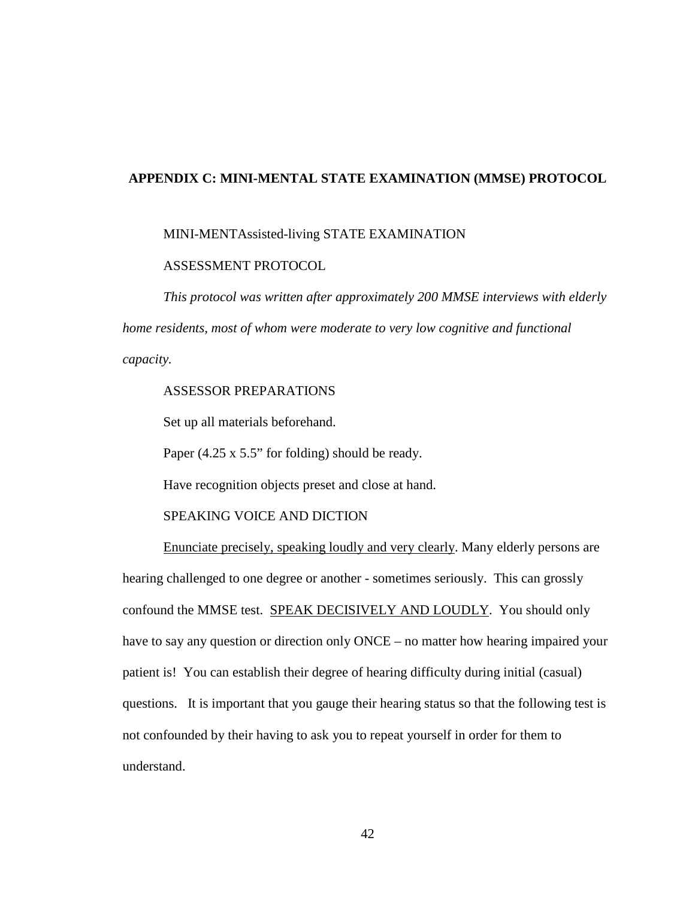### **APPENDIX C: MINI-MENTAL STATE EXAMINATION (MMSE) PROTOCOL**

#### MINI-MENTAssisted-living STATE EXAMINATION

#### ASSESSMENT PROTOCOL

*This protocol was written after approximately 200 MMSE interviews with elderly home residents, most of whom were moderate to very low cognitive and functional capacity.* 

# ASSESSOR PREPARATIONS

Set up all materials beforehand.

Paper (4.25 x 5.5" for folding) should be ready.

Have recognition objects preset and close at hand.

#### SPEAKING VOICE AND DICTION

Enunciate precisely, speaking loudly and very clearly. Many elderly persons are hearing challenged to one degree or another - sometimes seriously. This can grossly confound the MMSE test. SPEAK DECISIVELY AND LOUDLY. You should only have to say any question or direction only ONCE – no matter how hearing impaired your patient is! You can establish their degree of hearing difficulty during initial (casual) questions. It is important that you gauge their hearing status so that the following test is not confounded by their having to ask you to repeat yourself in order for them to understand.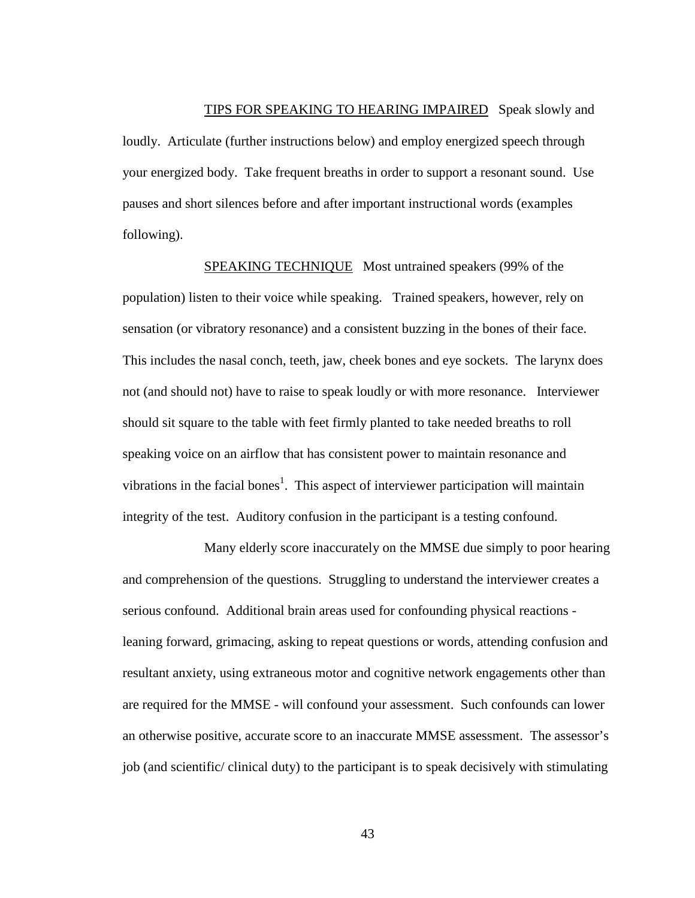TIPS FOR SPEAKING TO HEARING IMPAIRED Speak slowly and loudly. Articulate (further instructions below) and employ energized speech through your energized body. Take frequent breaths in order to support a resonant sound. Use pauses and short silences before and after important instructional words (examples following).

SPEAKING TECHNIQUE Most untrained speakers (99% of the population) listen to their voice while speaking. Trained speakers, however, rely on sensation (or vibratory resonance) and a consistent buzzing in the bones of their face. This includes the nasal conch, teeth, jaw, cheek bones and eye sockets. The larynx does not (and should not) have to raise to speak loudly or with more resonance. Interviewer should sit square to the table with feet firmly planted to take needed breaths to roll speaking voice on an airflow that has consistent power to maintain resonance and vibrations in the facial bones<sup>1</sup>. This aspect of interviewer participation will maintain integrity of the test. Auditory confusion in the participant is a testing confound.

Many elderly score inaccurately on the MMSE due simply to poor hearing and comprehension of the questions. Struggling to understand the interviewer creates a serious confound. Additional brain areas used for confounding physical reactions leaning forward, grimacing, asking to repeat questions or words, attending confusion and resultant anxiety, using extraneous motor and cognitive network engagements other than are required for the MMSE - will confound your assessment. Such confounds can lower an otherwise positive, accurate score to an inaccurate MMSE assessment. The assessor's job (and scientific/ clinical duty) to the participant is to speak decisively with stimulating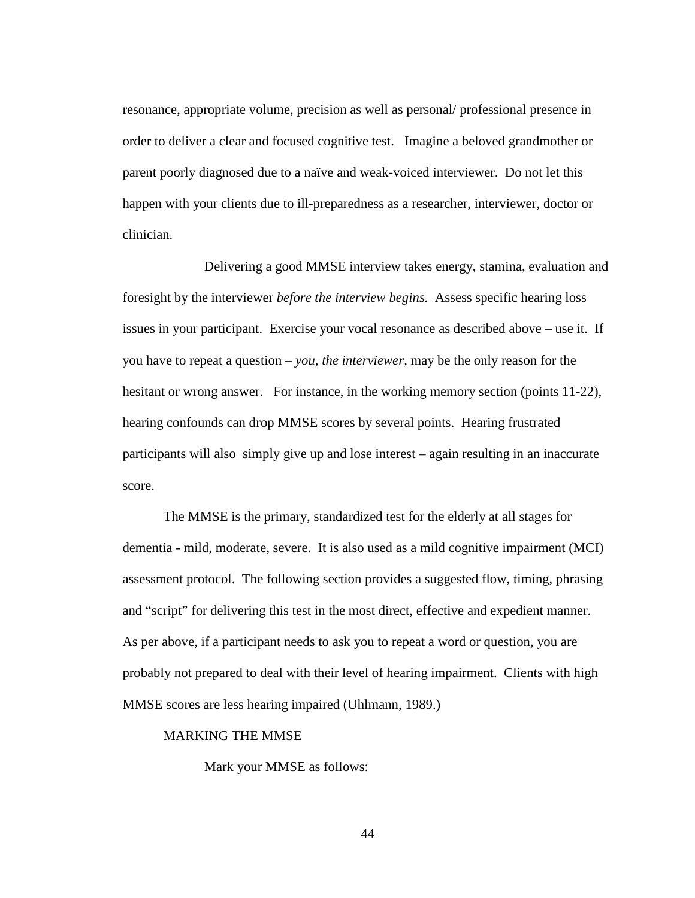resonance, appropriate volume, precision as well as personal/ professional presence in order to deliver a clear and focused cognitive test. Imagine a beloved grandmother or parent poorly diagnosed due to a naïve and weak-voiced interviewer. Do not let this happen with your clients due to ill-preparedness as a researcher, interviewer, doctor or clinician.

Delivering a good MMSE interview takes energy, stamina, evaluation and foresight by the interviewer *before the interview begins.* Assess specific hearing loss issues in your participant. Exercise your vocal resonance as described above – use it. If you have to repeat a question – *you*, *the interviewer,* may be the only reason for the hesitant or wrong answer. For instance, in the working memory section (points 11-22), hearing confounds can drop MMSE scores by several points. Hearing frustrated participants will also simply give up and lose interest – again resulting in an inaccurate score.

The MMSE is the primary, standardized test for the elderly at all stages for dementia - mild, moderate, severe. It is also used as a mild cognitive impairment (MCI) assessment protocol. The following section provides a suggested flow, timing, phrasing and "script" for delivering this test in the most direct, effective and expedient manner. As per above, if a participant needs to ask you to repeat a word or question, you are probably not prepared to deal with their level of hearing impairment. Clients with high MMSE scores are less hearing impaired (Uhlmann, 1989.)

# MARKING THE MMSE

Mark your MMSE as follows: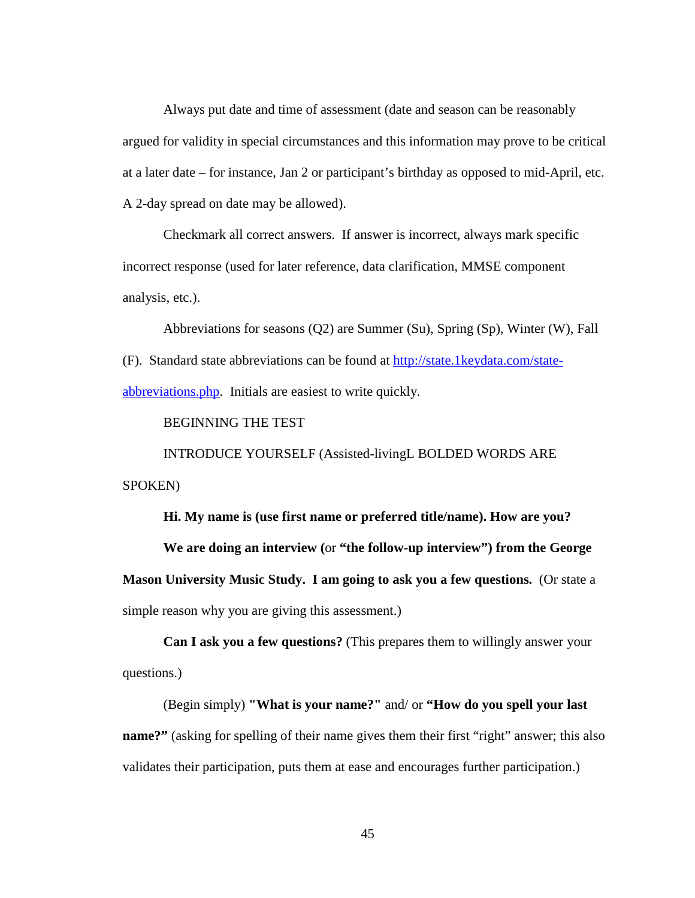Always put date and time of assessment (date and season can be reasonably argued for validity in special circumstances and this information may prove to be critical at a later date – for instance, Jan 2 or participant's birthday as opposed to mid-April, etc. A 2-day spread on date may be allowed).

Checkmark all correct answers. If answer is incorrect, always mark specific incorrect response (used for later reference, data clarification, MMSE component analysis, etc.).

Abbreviations for seasons (Q2) are Summer (Su), Spring (Sp), Winter (W), Fall (F). Standard state abbreviations can be found at [http://state.1keydata.com/state](http://state.1keydata.com/state-abbreviations.php)[abbreviations.php.](http://state.1keydata.com/state-abbreviations.php) Initials are easiest to write quickly.

BEGINNING THE TEST

INTRODUCE YOURSELF (Assisted-livingL BOLDED WORDS ARE SPOKEN)

**Hi. My name is (use first name or preferred title/name). How are you?** 

**We are doing an interview (**or **"the follow-up interview") from the George Mason University Music Study. I am going to ask you a few questions.** (Or state a simple reason why you are giving this assessment.)

**Can I ask you a few questions?** (This prepares them to willingly answer your questions.)

(Begin simply) **"What is your name?"** and/ or **"How do you spell your last name?"** (asking for spelling of their name gives them their first "right" answer; this also validates their participation, puts them at ease and encourages further participation.)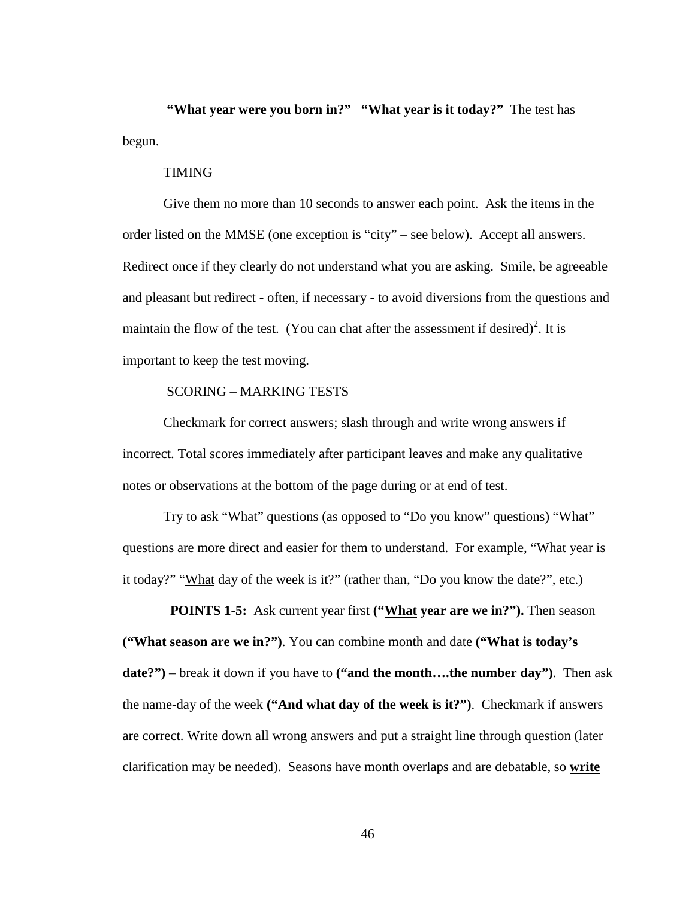**"What year were you born in?" "What year is it today?"** The test has begun.

### TIMING

Give them no more than 10 seconds to answer each point. Ask the items in the order listed on the MMSE (one exception is "city" – see below). Accept all answers. Redirect once if they clearly do not understand what you are asking. Smile, be agreeable and pleasant but redirect - often, if necessary - to avoid diversions from the questions and maintain the flow of the test. (You can chat after the assessment if desired)<sup>2</sup>. It is important to keep the test moving.

# SCORING – MARKING TESTS

Checkmark for correct answers; slash through and write wrong answers if incorrect. Total scores immediately after participant leaves and make any qualitative notes or observations at the bottom of the page during or at end of test.

Try to ask "What" questions (as opposed to "Do you know" questions) "What" questions are more direct and easier for them to understand. For example, "What year is it today?" "What day of the week is it?" (rather than, "Do you know the date?", etc.)

**POINTS 1-5:** Ask current year first **("What year are we in?").** Then season **("What season are we in?")**. You can combine month and date **("What is today's date?")** – break it down if you have to **("and the month….the number day")**. Then ask the name-day of the week **("And what day of the week is it?")**. Checkmark if answers are correct. Write down all wrong answers and put a straight line through question (later clarification may be needed). Seasons have month overlaps and are debatable, so **write**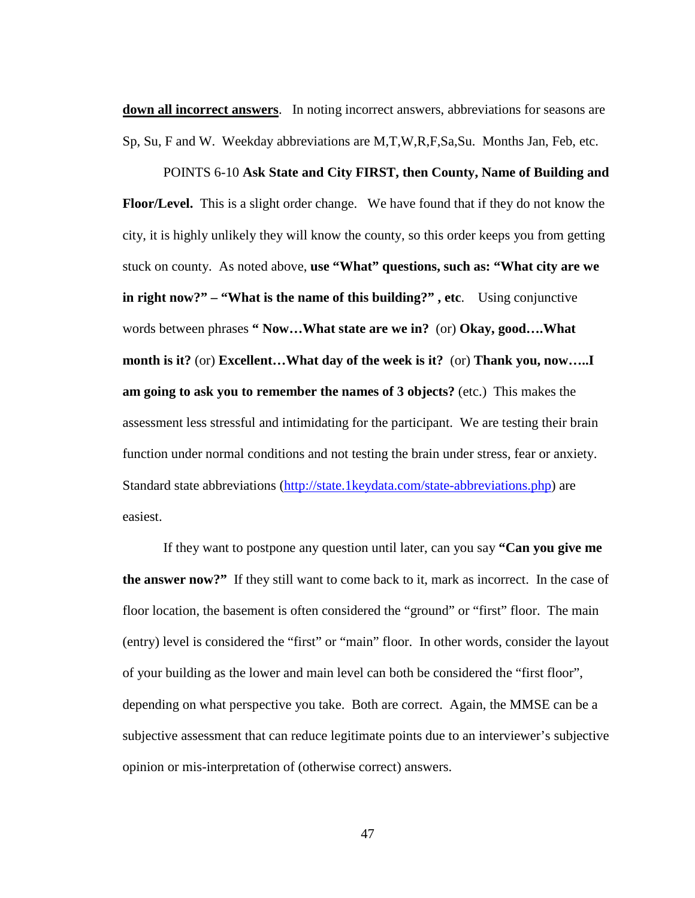**down all incorrect answers**. In noting incorrect answers, abbreviations for seasons are Sp, Su, F and W. Weekday abbreviations are M,T,W,R,F,Sa,Su. Months Jan, Feb, etc.

POINTS 6-10 **Ask State and City FIRST, then County, Name of Building and Floor/Level.** This is a slight order change. We have found that if they do not know the city, it is highly unlikely they will know the county, so this order keeps you from getting stuck on county. As noted above, **use "What" questions, such as: "What city are we in right now?" – "What is the name of this building?" , etc**. Using conjunctive words between phrases **" Now…What state are we in?** (or) **Okay, good….What month is it?** (or) **Excellent…What day of the week is it?** (or) **Thank you, now…..I am going to ask you to remember the names of 3 objects?** (etc.) This makes the assessment less stressful and intimidating for the participant. We are testing their brain function under normal conditions and not testing the brain under stress, fear or anxiety. Standard state abbreviations [\(http://state.1keydata.com/state-abbreviations.php\)](http://state.1keydata.com/state-abbreviations.php) are easiest.

If they want to postpone any question until later, can you say **"Can you give me the answer now?"** If they still want to come back to it, mark as incorrect. In the case of floor location, the basement is often considered the "ground" or "first" floor. The main (entry) level is considered the "first" or "main" floor. In other words, consider the layout of your building as the lower and main level can both be considered the "first floor", depending on what perspective you take. Both are correct. Again, the MMSE can be a subjective assessment that can reduce legitimate points due to an interviewer's subjective opinion or mis-interpretation of (otherwise correct) answers.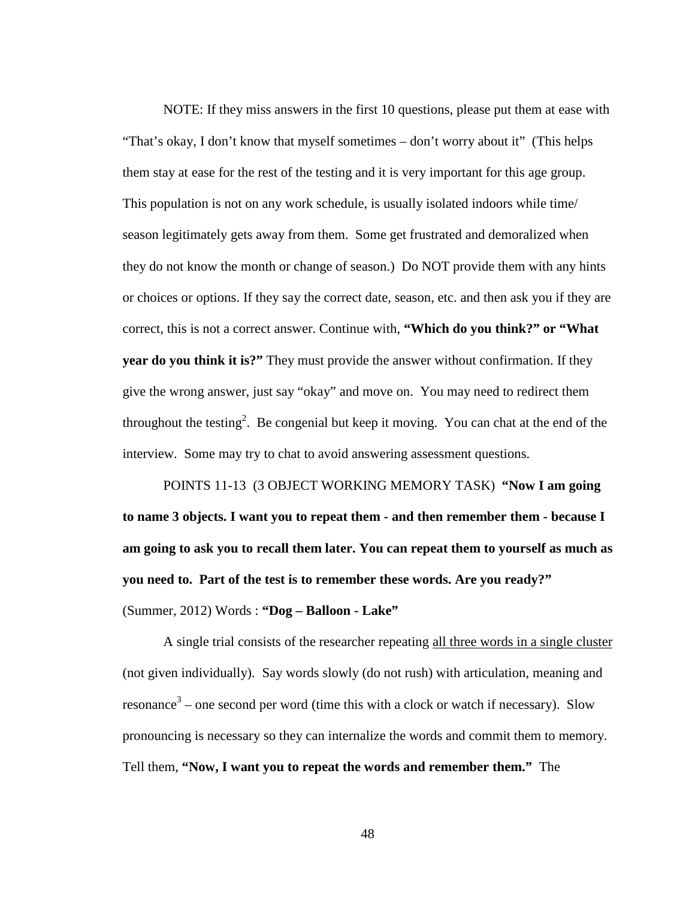NOTE: If they miss answers in the first 10 questions, please put them at ease with "That's okay, I don't know that myself sometimes – don't worry about it" (This helps them stay at ease for the rest of the testing and it is very important for this age group. This population is not on any work schedule, is usually isolated indoors while time/ season legitimately gets away from them. Some get frustrated and demoralized when they do not know the month or change of season.) Do NOT provide them with any hints or choices or options. If they say the correct date, season, etc. and then ask you if they are correct, this is not a correct answer. Continue with, **"Which do you think?" or "What year do you think it is?"** They must provide the answer without confirmation. If they give the wrong answer, just say "okay" and move on. You may need to redirect them throughout the testing<sup>2</sup>. Be congenial but keep it moving. You can chat at the end of the interview. Some may try to chat to avoid answering assessment questions.

POINTS 11-13 (3 OBJECT WORKING MEMORY TASK) **"Now I am going to name 3 objects. I want you to repeat them - and then remember them - because I am going to ask you to recall them later. You can repeat them to yourself as much as you need to. Part of the test is to remember these words. Are you ready?"**  (Summer, 2012) Words : **"Dog – Balloon - Lake"**

A single trial consists of the researcher repeating all three words in a single cluster (not given individually). Say words slowly (do not rush) with articulation, meaning and resonance<sup>3</sup> – one second per word (time this with a clock or watch if necessary). Slow pronouncing is necessary so they can internalize the words and commit them to memory. Tell them, **"Now, I want you to repeat the words and remember them."** The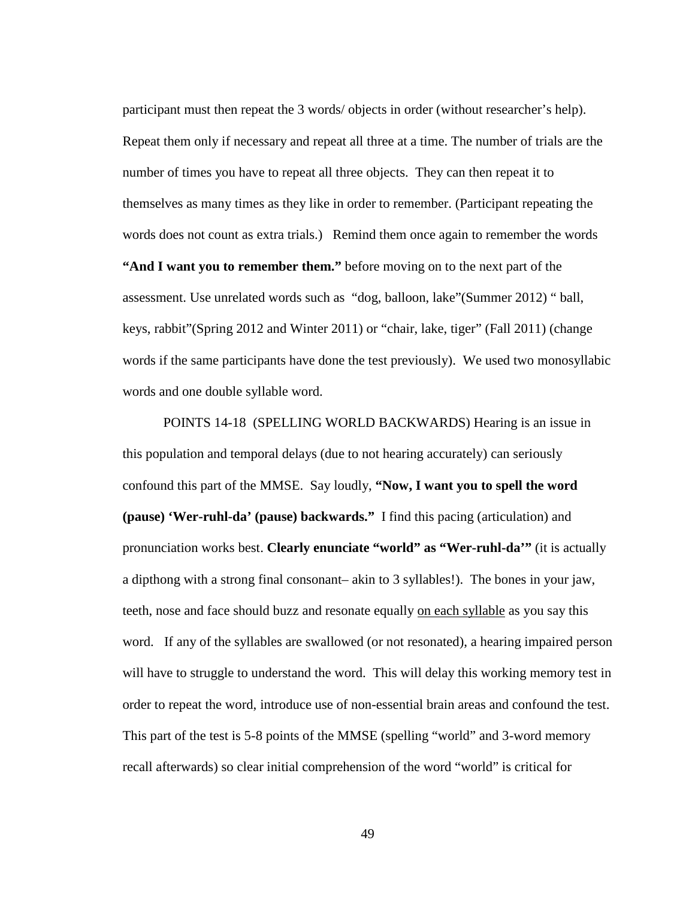participant must then repeat the 3 words/ objects in order (without researcher's help). Repeat them only if necessary and repeat all three at a time. The number of trials are the number of times you have to repeat all three objects. They can then repeat it to themselves as many times as they like in order to remember. (Participant repeating the words does not count as extra trials.) Remind them once again to remember the words **"And I want you to remember them."** before moving on to the next part of the assessment. Use unrelated words such as "dog, balloon, lake"(Summer 2012) " ball, keys, rabbit"(Spring 2012 and Winter 2011) or "chair, lake, tiger" (Fall 2011) (change words if the same participants have done the test previously). We used two monosyllabic words and one double syllable word.

POINTS 14-18 (SPELLING WORLD BACKWARDS) Hearing is an issue in this population and temporal delays (due to not hearing accurately) can seriously confound this part of the MMSE. Say loudly, **"Now, I want you to spell the word (pause) 'Wer-ruhl-da' (pause) backwards."** I find this pacing (articulation) and pronunciation works best. **Clearly enunciate "world" as "Wer-ruhl-da'"** (it is actually a dipthong with a strong final consonant– akin to 3 syllables!). The bones in your jaw, teeth, nose and face should buzz and resonate equally on each syllable as you say this word. If any of the syllables are swallowed (or not resonated), a hearing impaired person will have to struggle to understand the word. This will delay this working memory test in order to repeat the word, introduce use of non-essential brain areas and confound the test. This part of the test is 5-8 points of the MMSE (spelling "world" and 3-word memory recall afterwards) so clear initial comprehension of the word "world" is critical for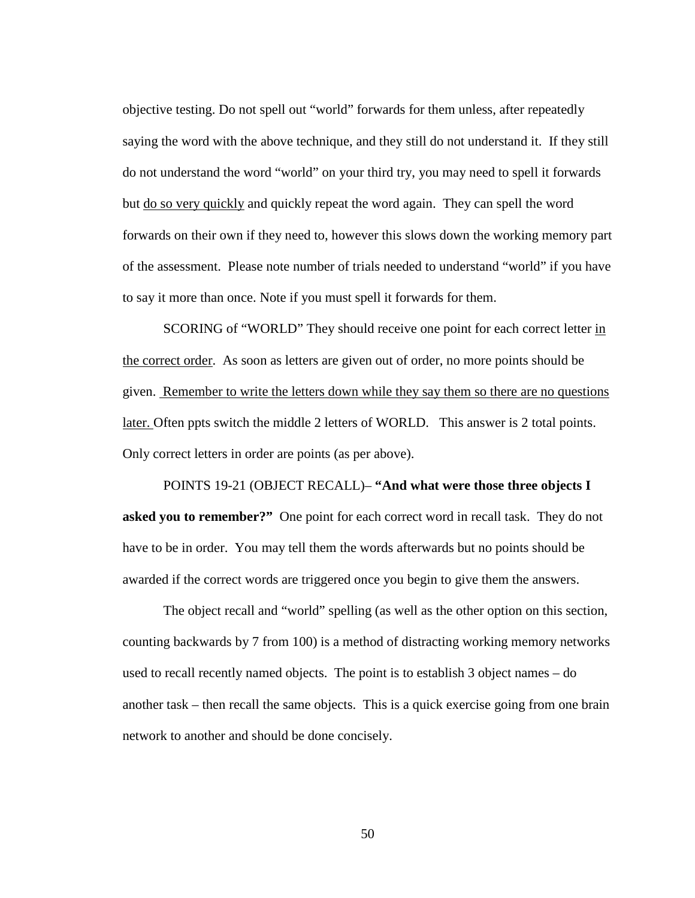objective testing. Do not spell out "world" forwards for them unless, after repeatedly saying the word with the above technique, and they still do not understand it. If they still do not understand the word "world" on your third try, you may need to spell it forwards but do so very quickly and quickly repeat the word again. They can spell the word forwards on their own if they need to, however this slows down the working memory part of the assessment. Please note number of trials needed to understand "world" if you have to say it more than once. Note if you must spell it forwards for them.

SCORING of "WORLD" They should receive one point for each correct letter in the correct order. As soon as letters are given out of order, no more points should be given. Remember to write the letters down while they say them so there are no questions later. Often ppts switch the middle 2 letters of WORLD. This answer is 2 total points. Only correct letters in order are points (as per above).

POINTS 19-21 (OBJECT RECALL)– **"And what were those three objects I asked you to remember?"** One point for each correct word in recall task. They do not have to be in order. You may tell them the words afterwards but no points should be awarded if the correct words are triggered once you begin to give them the answers.

The object recall and "world" spelling (as well as the other option on this section, counting backwards by 7 from 100) is a method of distracting working memory networks used to recall recently named objects. The point is to establish 3 object names – do another task – then recall the same objects. This is a quick exercise going from one brain network to another and should be done concisely.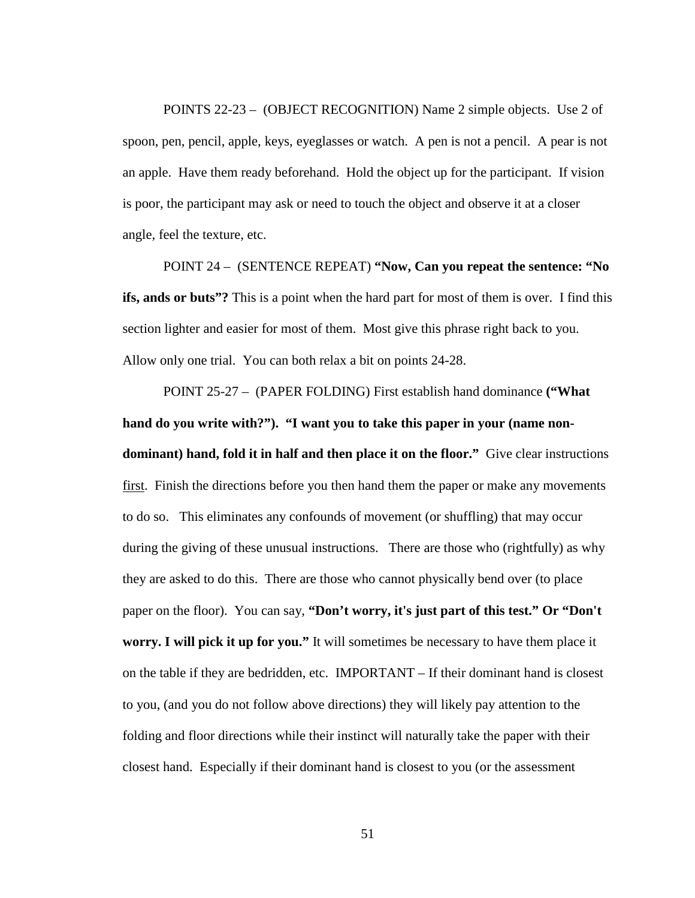POINTS 22-23 – (OBJECT RECOGNITION) Name 2 simple objects. Use 2 of spoon, pen, pencil, apple, keys, eyeglasses or watch. A pen is not a pencil. A pear is not an apple. Have them ready beforehand. Hold the object up for the participant. If vision is poor, the participant may ask or need to touch the object and observe it at a closer angle, feel the texture, etc.

POINT 24 –(SENTENCE REPEAT) **"Now, Can you repeat the sentence: "No ifs, ands or buts"?** This is a point when the hard part for most of them is over. I find this section lighter and easier for most of them. Most give this phrase right back to you. Allow only one trial. You can both relax a bit on points 24-28.

POINT 25-27 – (PAPER FOLDING) First establish hand dominance **("What hand do you write with?"). "I want you to take this paper in your (name nondominant) hand, fold it in half and then place it on the floor."** Give clear instructions first. Finish the directions before you then hand them the paper or make any movements to do so. This eliminates any confounds of movement (or shuffling) that may occur during the giving of these unusual instructions. There are those who (rightfully) as why they are asked to do this. There are those who cannot physically bend over (to place paper on the floor). You can say, **"Don't worry, it's just part of this test." Or "Don't worry. I will pick it up for you."** It will sometimes be necessary to have them place it on the table if they are bedridden, etc. IMPORTANT – If their dominant hand is closest to you, (and you do not follow above directions) they will likely pay attention to the folding and floor directions while their instinct will naturally take the paper with their closest hand. Especially if their dominant hand is closest to you (or the assessment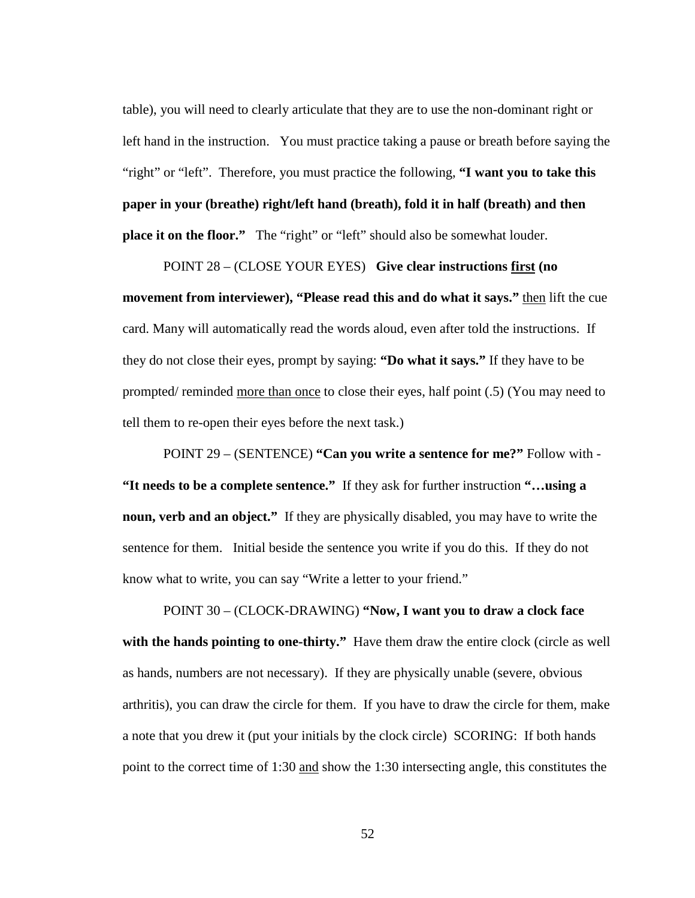table), you will need to clearly articulate that they are to use the non-dominant right or left hand in the instruction. You must practice taking a pause or breath before saying the "right" or "left". Therefore, you must practice the following, **"I want you to take this paper in your (breathe) right/left hand (breath), fold it in half (breath) and then place it on the floor."** The "right" or "left" should also be somewhat louder.

POINT 28 – (CLOSE YOUR EYES) **Give clear instructions first (no movement from interviewer), "Please read this and do what it says."** then lift the cue card. Many will automatically read the words aloud, even after told the instructions. If they do not close their eyes, prompt by saying: **"Do what it says."** If they have to be prompted/ reminded more than once to close their eyes, half point (.5) (You may need to tell them to re-open their eyes before the next task.)

POINT 29 – (SENTENCE) **"Can you write a sentence for me?"** Follow with - **"It needs to be a complete sentence."** If they ask for further instruction **"…using a noun, verb and an object."** If they are physically disabled, you may have to write the sentence for them. Initial beside the sentence you write if you do this. If they do not know what to write, you can say "Write a letter to your friend."

POINT 30 – (CLOCK-DRAWING) **"Now, I want you to draw a clock face**  with the hands pointing to one-thirty." Have them draw the entire clock (circle as well as hands, numbers are not necessary). If they are physically unable (severe, obvious arthritis), you can draw the circle for them. If you have to draw the circle for them, make a note that you drew it (put your initials by the clock circle) SCORING: If both hands point to the correct time of 1:30 and show the 1:30 intersecting angle, this constitutes the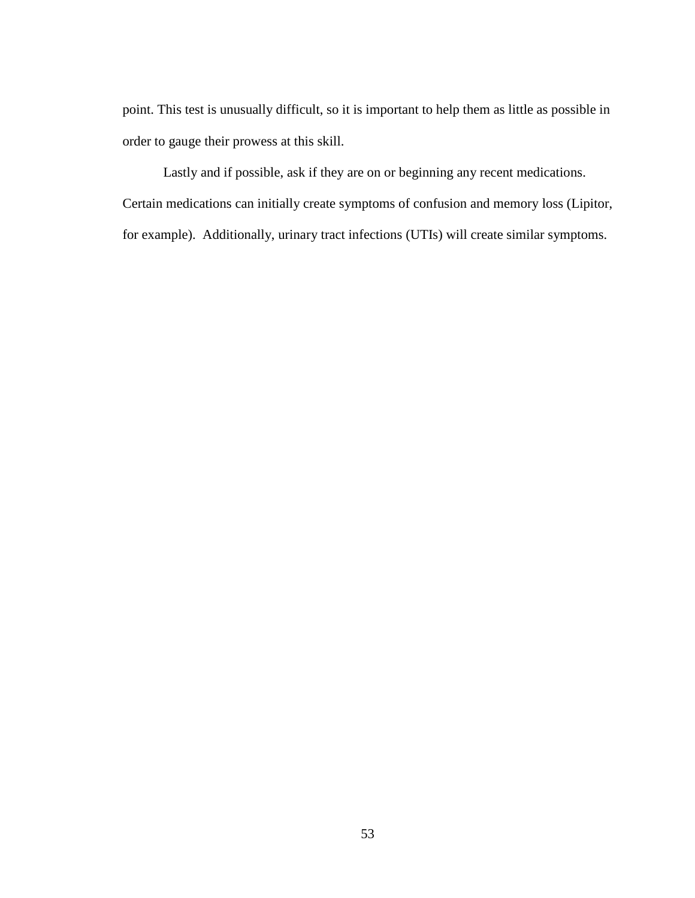point. This test is unusually difficult, so it is important to help them as little as possible in order to gauge their prowess at this skill.

Lastly and if possible, ask if they are on or beginning any recent medications.

Certain medications can initially create symptoms of confusion and memory loss (Lipitor, for example). Additionally, urinary tract infections (UTIs) will create similar symptoms.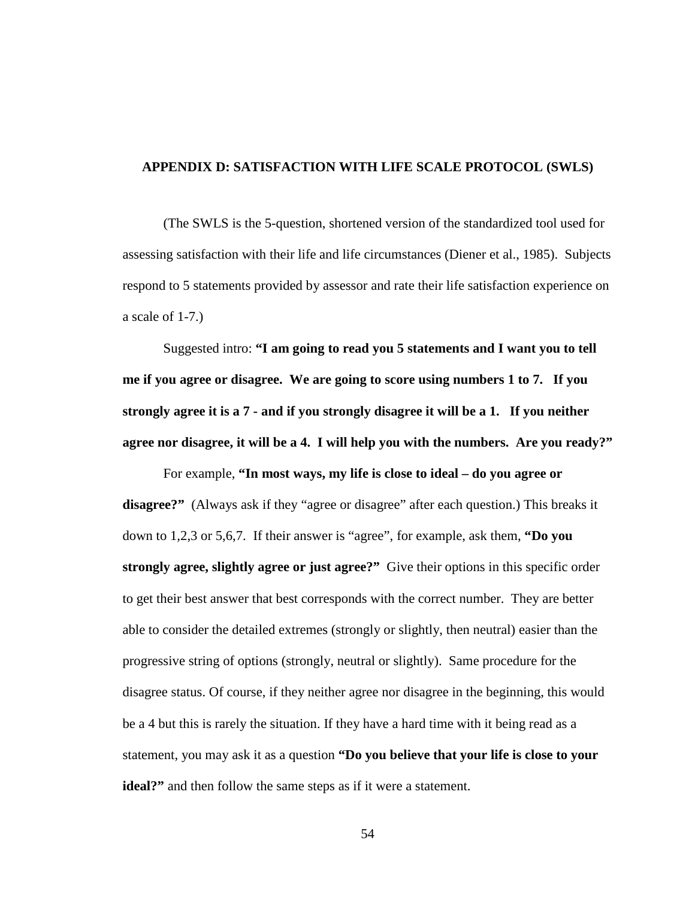#### **APPENDIX D: SATISFACTION WITH LIFE SCALE PROTOCOL (SWLS)**

(The SWLS is the 5-question, shortened version of the standardized tool used for assessing satisfaction with their life and life circumstances (Diener et al., 1985). Subjects respond to 5 statements provided by assessor and rate their life satisfaction experience on a scale of 1-7.)

Suggested intro: **"I am going to read you 5 statements and I want you to tell me if you agree or disagree. We are going to score using numbers 1 to 7. If you strongly agree it is a 7 - and if you strongly disagree it will be a 1. If you neither agree nor disagree, it will be a 4. I will help you with the numbers. Are you ready?"**

For example, **"In most ways, my life is close to ideal – do you agree or disagree?"** (Always ask if they "agree or disagree" after each question.) This breaks it down to 1,2,3 or 5,6,7. If their answer is "agree", for example, ask them, **"Do you strongly agree, slightly agree or just agree?"** Give their options in this specific order to get their best answer that best corresponds with the correct number. They are better able to consider the detailed extremes (strongly or slightly, then neutral) easier than the progressive string of options (strongly, neutral or slightly). Same procedure for the disagree status. Of course, if they neither agree nor disagree in the beginning, this would be a 4 but this is rarely the situation. If they have a hard time with it being read as a statement, you may ask it as a question **"Do you believe that your life is close to your ideal?"** and then follow the same steps as if it were a statement.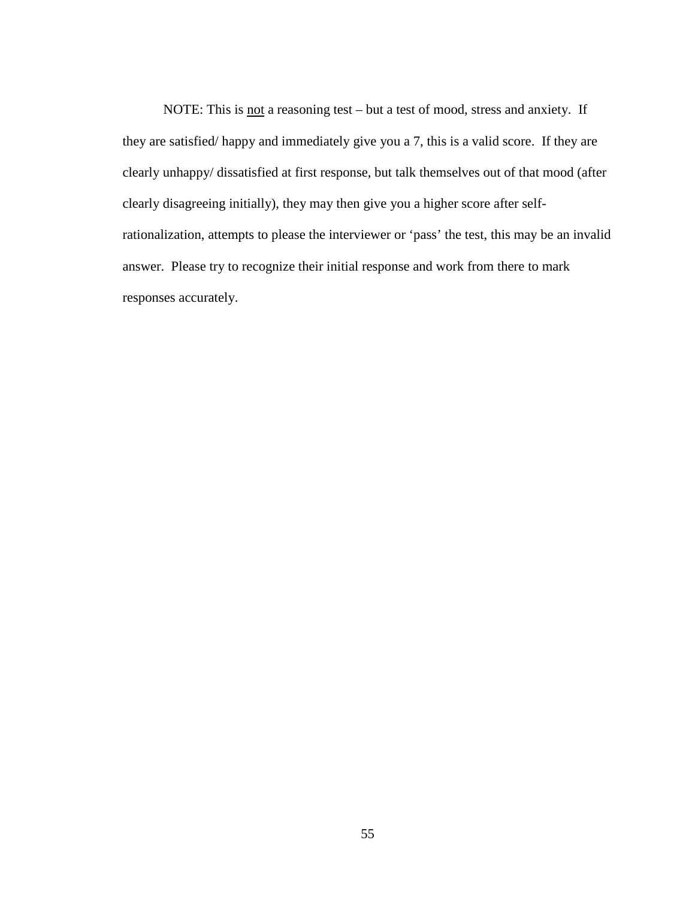NOTE: This is not a reasoning test – but a test of mood, stress and anxiety. If they are satisfied/ happy and immediately give you a 7, this is a valid score. If they are clearly unhappy/ dissatisfied at first response, but talk themselves out of that mood (after clearly disagreeing initially), they may then give you a higher score after selfrationalization, attempts to please the interviewer or 'pass' the test, this may be an invalid answer. Please try to recognize their initial response and work from there to mark responses accurately.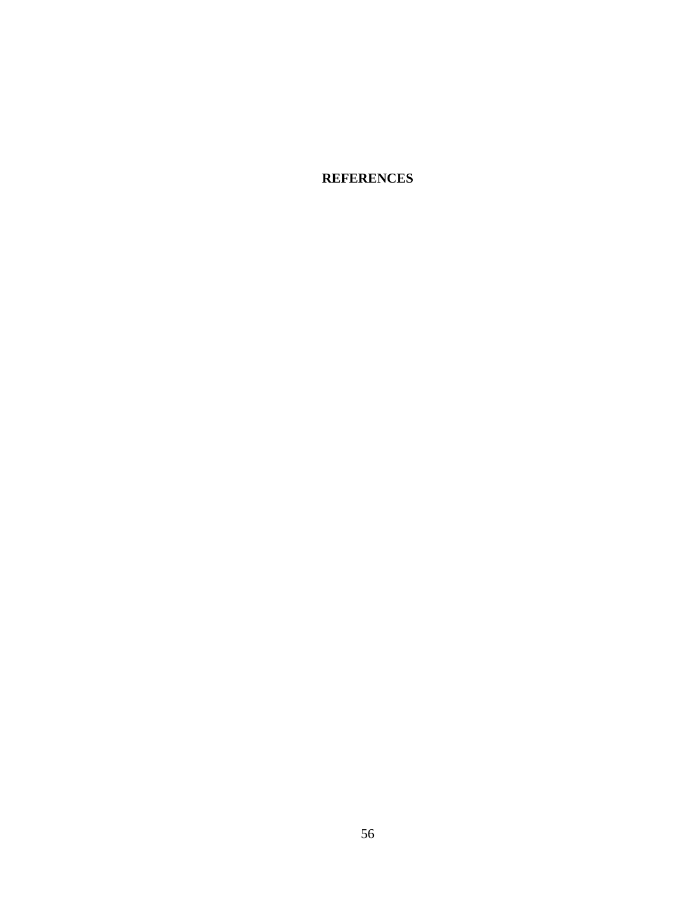**REFERENCES**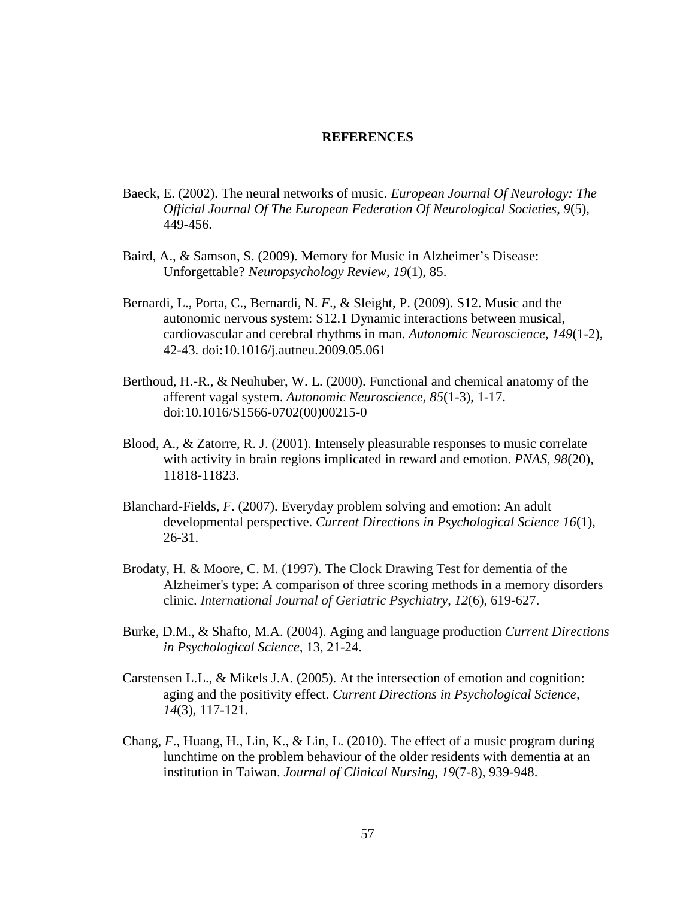#### **REFERENCES**

- Baeck, E. (2002). The neural networks of music. *European Journal Of Neurology: The Official Journal Of The European Federation Of Neurological Societies*, *9*(5), 449-456.
- Baird, A., & Samson, S. (2009). Memory for Music in Alzheimer's Disease: Unforgettable? *Neuropsychology Review*, *19*(1), 85.
- Bernardi, L., Porta, C., Bernardi, N. *F*., & Sleight, P. (2009). S12. Music and the autonomic nervous system: S12.1 Dynamic interactions between musical, cardiovascular and cerebral rhythms in man. *Autonomic Neuroscience*, *149*(1-2), 42-43. doi:10.1016/j.autneu.2009.05.061
- Berthoud, H.-R., & Neuhuber, W. L. (2000). Functional and chemical anatomy of the afferent vagal system. *Autonomic Neuroscience*, *85*(1-3), 1-17. doi:10.1016/S1566-0702(00)00215-0
- Blood, A., & Zatorre, R. J. (2001). Intensely pleasurable responses to music correlate with activity in brain regions implicated in reward and emotion. *PNAS, 98*(20), 11818-11823.
- Blanchard-Fields, *F*. (2007). Everyday problem solving and emotion: An adult developmental perspective. *Current Directions in Psychological Science 16*(1), 26-31.
- Brodaty, H. & Moore, C. M. (1997). The Clock Drawing Test for dementia of the Alzheimer's type: A comparison of three scoring methods in a memory disorders clinic. *International Journal of Geriatric Psychiatry*, *12*(6), 619-627.
- Burke, D.M., & Shafto, M.A. (2004). Aging and language production *Current Directions in Psychological Science,* 13, 21-24.
- Carstensen L.L., & Mikels J.A. (2005). At the intersection of emotion and cognition: aging and the positivity effect. *Current Directions in Psychological Science, 14*(3), 117-121.
- Chang, *F*., Huang, H., Lin, K., & Lin, L. (2010). The effect of a music program during lunchtime on the problem behaviour of the older residents with dementia at an institution in Taiwan. *Journal of Clinical Nursing*, *19*(7-8), 939-948.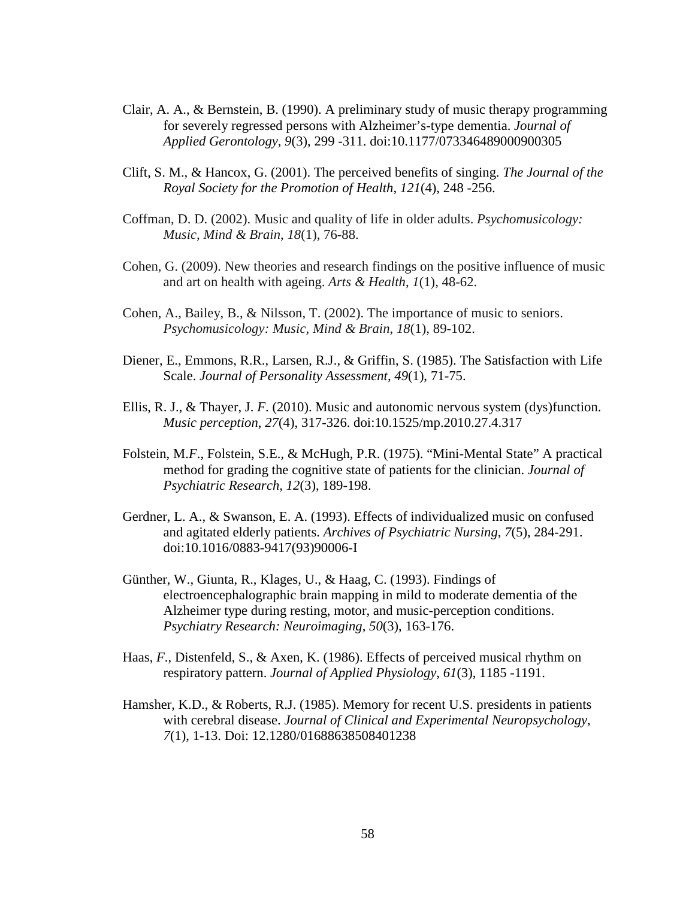- Clair, A. A., & Bernstein, B. (1990). A preliminary study of music therapy programming for severely regressed persons with Alzheimer's-type dementia. *Journal of Applied Gerontology*, *9*(3), 299 -311. doi:10.1177/073346489000900305
- Clift, S. M., & Hancox, G. (2001). The perceived benefits of singing. *The Journal of the Royal Society for the Promotion of Health*, *121*(4), 248 -256.
- Coffman, D. D. (2002). Music and quality of life in older adults. *Psychomusicology: Music, Mind & Brain*, *18*(1), 76-88.
- Cohen, G. (2009). New theories and research findings on the positive influence of music and art on health with ageing. *Arts & Health*, *1*(1), 48-62.
- Cohen, A., Bailey, B., & Nilsson, T. (2002). The importance of music to seniors. *Psychomusicology: Music, Mind & Brain*, *18*(1), 89-102.
- Diener, E., Emmons, R.R., Larsen, R.J., & Griffin, S. (1985). The Satisfaction with Life Scale. *Journal of Personality Assessment, 49*(1), 71-75.
- Ellis, R. J., & Thayer, J. *F*. (2010). Music and autonomic nervous system (dys)function. *Music perception*, *27*(4), 317-326. doi:10.1525/mp.2010.27.4.317
- Folstein, M.*F*., Folstein, S.E., & McHugh, P.R. (1975). "Mini-Mental State" A practical method for grading the cognitive state of patients for the clinician. *Journal of Psychiatric Research, 12*(3), 189-198.
- Gerdner, L. A., & Swanson, E. A. (1993). Effects of individualized music on confused and agitated elderly patients. *Archives of Psychiatric Nursing*, *7*(5), 284-291. doi:10.1016/0883-9417(93)90006-I
- Günther, W., Giunta, R., Klages, U., & Haag, C. (1993). Findings of electroencephalographic brain mapping in mild to moderate dementia of the Alzheimer type during resting, motor, and music-perception conditions. *Psychiatry Research: Neuroimaging*, *50*(3), 163-176.
- Haas, *F*., Distenfeld, S., & Axen, K. (1986). Effects of perceived musical rhythm on respiratory pattern. *Journal of Applied Physiology*, *61*(3), 1185 -1191.
- Hamsher, K.D., & Roberts, R.J. (1985). Memory for recent U.S. presidents in patients with cerebral disease. *Journal of Clinical and Experimental Neuropsychology, 7*(1), 1-13. Doi: 12.1280/01688638508401238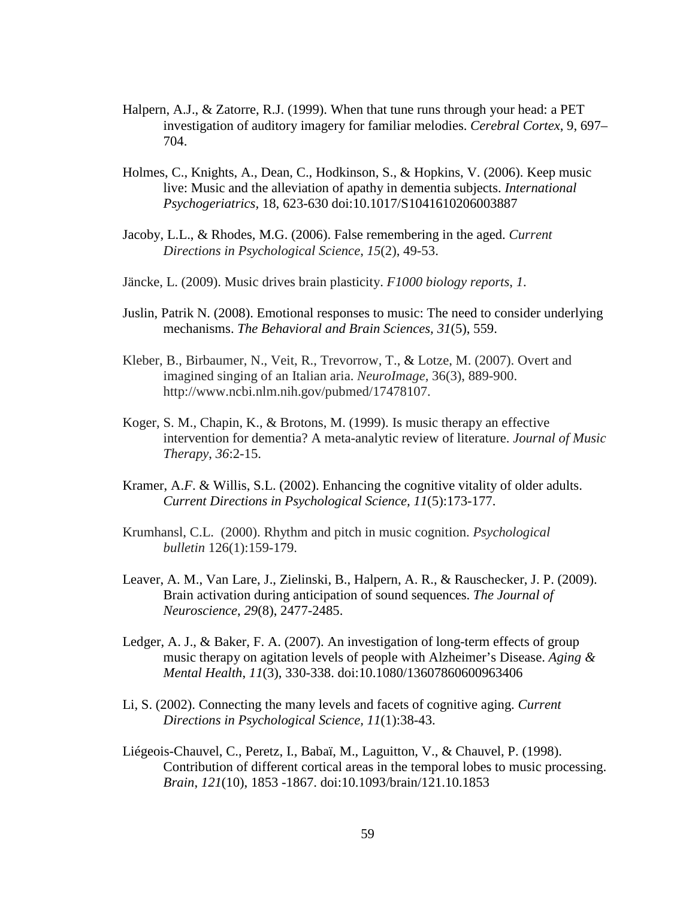- Halpern, A.J., & Zatorre, R.J. (1999). When that tune runs through your head: a PET investigation of auditory imagery for familiar melodies. *Cerebral Cortex*, 9, 697– 704.
- Holmes, C., Knights, A., Dean, C., Hodkinson, S., & Hopkins, V. (2006). Keep music live: Music and the alleviation of apathy in dementia subjects. *International Psychogeriatrics,* 18, 623-630 doi:10.1017/S1041610206003887
- Jacoby, L.L., & Rhodes, M.G. (2006). False remembering in the aged. *Current Directions in Psychological Science*, *15*(2), 49-53.
- Jäncke, L. (2009). Music drives brain plasticity. *F1000 biology reports*, *1*.
- Juslin, Patrik N. (2008). Emotional responses to music: The need to consider underlying mechanisms. *The Behavioral and Brain Sciences, 31*(5), 559.
- Kleber, B., Birbaumer, N., Veit, R., Trevorrow, T., & Lotze, M. (2007). Overt and imagined singing of an Italian aria. *NeuroImage,* 36(3), 889-900. http://www.ncbi.nlm.nih.gov/pubmed/17478107.
- Koger, S. M., Chapin, K., & Brotons, M. (1999). Is music therapy an effective intervention for dementia? A meta-analytic review of literature. *Journal of Music Therapy*, *36*:2-15.
- Kramer, A.*F*. & Willis, S.L. (2002). Enhancing the cognitive vitality of older adults. *Current Directions in Psychological Science, 11*(5):173-177.
- Krumhansl, C.L. (2000). Rhythm and pitch in music cognition. *Psychological bulletin* 126(1):159-179.
- Leaver, A. M., Van Lare, J., Zielinski, B., Halpern, A. R., & Rauschecker, J. P. (2009). Brain activation during anticipation of sound sequences. *The Journal of Neuroscience*, *29*(8), 2477-2485.
- Ledger, A. J., & Baker, F. A. (2007). An investigation of long-term effects of group music therapy on agitation levels of people with Alzheimer's Disease. *Aging & Mental Health*, *11*(3), 330-338. doi:10.1080/13607860600963406
- Li, S. (2002). Connecting the many levels and facets of cognitive aging. *Current Directions in Psychological Science, 11*(1):38-43.
- Liégeois-Chauvel, C., Peretz, I., Babaï, M., Laguitton, V., & Chauvel, P. (1998). Contribution of different cortical areas in the temporal lobes to music processing. *Brain*, *121*(10), 1853 -1867. doi:10.1093/brain/121.10.1853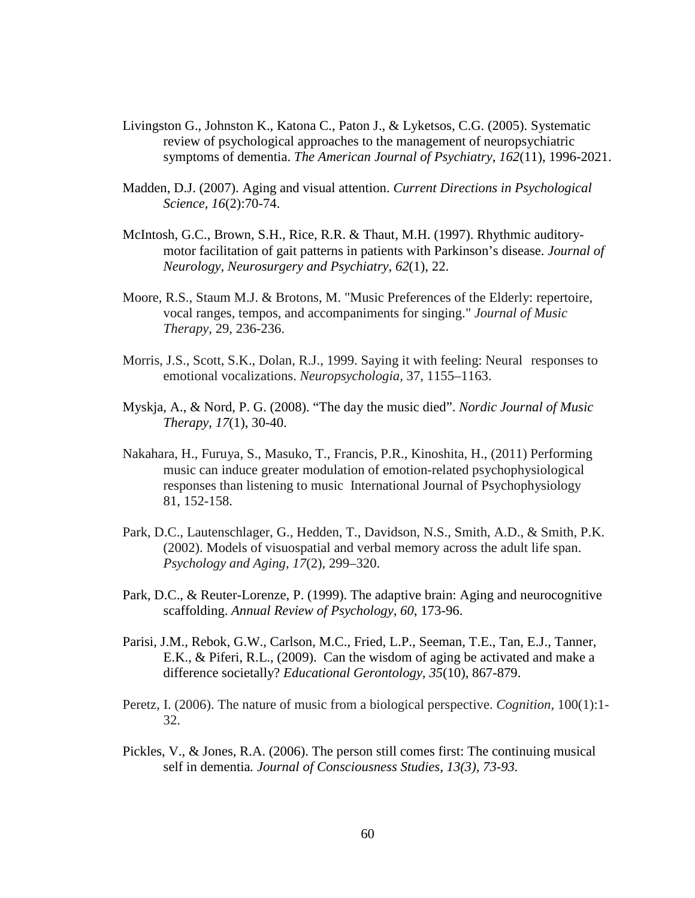- Livingston G., Johnston K., Katona C., Paton J., & Lyketsos, C.G. (2005). Systematic review of psychological approaches to the management of neuropsychiatric symptoms of dementia. *The American Journal of Psychiatry*, *162*(11), 1996-2021.
- Madden, D.J. (2007). Aging and visual attention. *Current Directions in Psychological Science, 16*(2):70-74.
- McIntosh, G.C., Brown, S.H., Rice, R.R. & Thaut, M.H. (1997). Rhythmic auditorymotor facilitation of gait patterns in patients with Parkinson's disease. *Journal of Neurology, Neurosurgery and Psychiatry*, *62*(1), 22.
- Moore, R.S., Staum M.J. & Brotons, M. "Music Preferences of the Elderly: repertoire, vocal ranges, tempos, and accompaniments for singing." *Journal of Music Therapy,* 29, 236-236.
- Morris, J.S., Scott, S.K., Dolan, R.J., 1999. Saying it with feeling: Neural responses to emotional vocalizations. *Neuropsychologia,* 37, 1155–1163.
- Myskja, A., & Nord, P. G. (2008). "The day the music died". *Nordic Journal of Music Therapy*, *17*(1), 30-40.
- Nakahara, H., Furuya, S., Masuko, T., Francis, P.R., Kinoshita, H., (2011) Performing music can induce greater modulation of emotion-related psychophysiological responses than listening to music International Journal of Psychophysiology 81, 152-158.
- Park, D.C., Lautenschlager, G., Hedden, T., Davidson, N.S., Smith, A.D., & Smith, P.K. (2002). Models of visuospatial and verbal memory across the adult life span. *Psychology and Aging, 17*(2), 299–320.
- Park, D.C., & Reuter-Lorenze, P. (1999). The adaptive brain: Aging and neurocognitive scaffolding. *Annual Review of Psychology*, *60*, 173-96.
- Parisi, J.M., Rebok, G.W., Carlson, M.C., Fried, L.P., Seeman, T.E., Tan, E.J., Tanner, E.K., & Piferi, R.L., (2009). Can the wisdom of aging be activated and make a difference societally? *Educational Gerontology, 35*(10), 867-879.
- Peretz, I. (2006). The nature of music from a biological perspective. *Cognition,* 100(1):1- 32.
- Pickles, V., & Jones, R.A. (2006). The person still comes first: The continuing musical self in dementia*. Journal of Consciousness Studies, 13(3), 73-93.*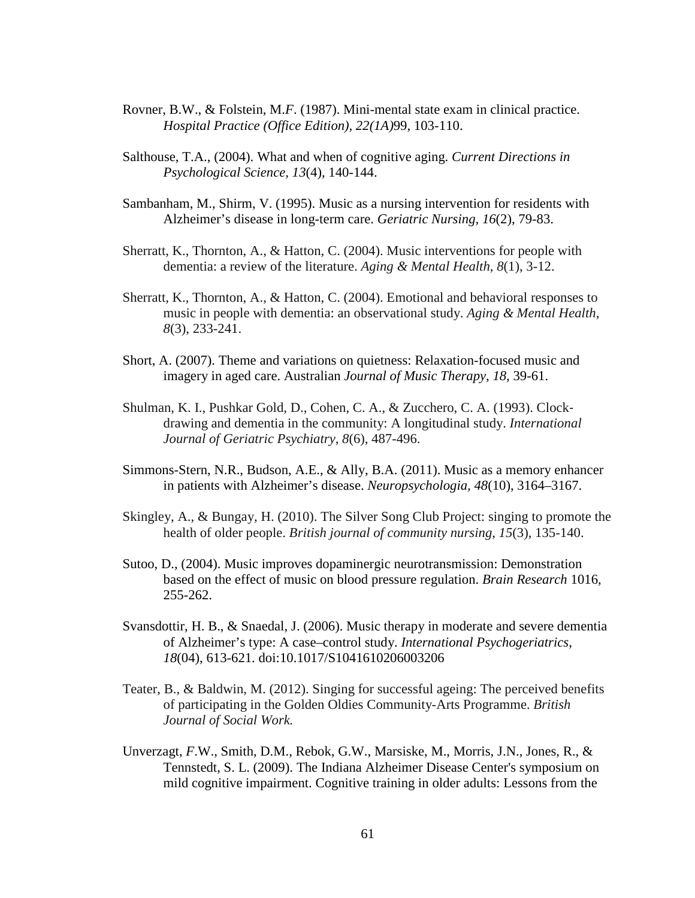- Rovner, B.W., & Folstein, M.*F*. (1987). Mini-mental state exam in clinical practice. *Hospital Practice (Office Edition), 22(1A)*99, 103-110.
- Salthouse, T.A., (2004). What and when of cognitive aging. *Current Directions in Psychological Science, 13*(4), 140-144.
- Sambanham, M., Shirm, V. (1995). Music as a nursing intervention for residents with Alzheimer's disease in long-term care. *Geriatric Nursing, 16*(2), 79-83.
- Sherratt, K., Thornton, A., & Hatton, C. (2004). Music interventions for people with dementia: a review of the literature. *Aging & Mental Health*, *8*(1), 3-12.
- Sherratt, K., Thornton, A., & Hatton, C. (2004). Emotional and behavioral responses to music in people with dementia: an observational study. *Aging & Mental Health*, *8*(3), 233-241.
- Short, A. (2007). Theme and variations on quietness: Relaxation-focused music and imagery in aged care. Australian *Journal of Music Therapy, 18,* 39-61.
- Shulman, K. I., Pushkar Gold, D., Cohen, C. A., & Zucchero, C. A. (1993). Clock‐ drawing and dementia in the community: A longitudinal study. *International Journal of Geriatric Psychiatry*, *8*(6), 487-496.
- Simmons-Stern, N.R., Budson, A.E., & Ally, B.A. (2011). Music as a memory enhancer in patients with Alzheimer's disease. *Neuropsychologia, 48*(10), 3164–3167.
- Skingley, A., & Bungay, H. (2010). The Silver Song Club Project: singing to promote the health of older people. *British journal of community nursing*, *15*(3), 135-140.
- Sutoo, D., (2004). Music improves dopaminergic neurotransmission: Demonstration based on the effect of music on blood pressure regulation. *Brain Research* 1016, 255-262.
- Svansdottir, H. B., & Snaedal, J. (2006). Music therapy in moderate and severe dementia of Alzheimer's type: A case–control study. *International Psychogeriatrics*, *18*(04), 613-621. doi:10.1017/S1041610206003206
- Teater, B., & Baldwin, M. (2012). Singing for successful ageing: The perceived benefits of participating in the Golden Oldies Community-Arts Programme. *British Journal of Social Work.*
- Unverzagt, *F*.W., Smith, D.M., Rebok, G.W., Marsiske, M., Morris, J.N., Jones, R., & Tennstedt, S. L. (2009). The Indiana Alzheimer Disease Center's symposium on mild cognitive impairment. Cognitive training in older adults: Lessons from the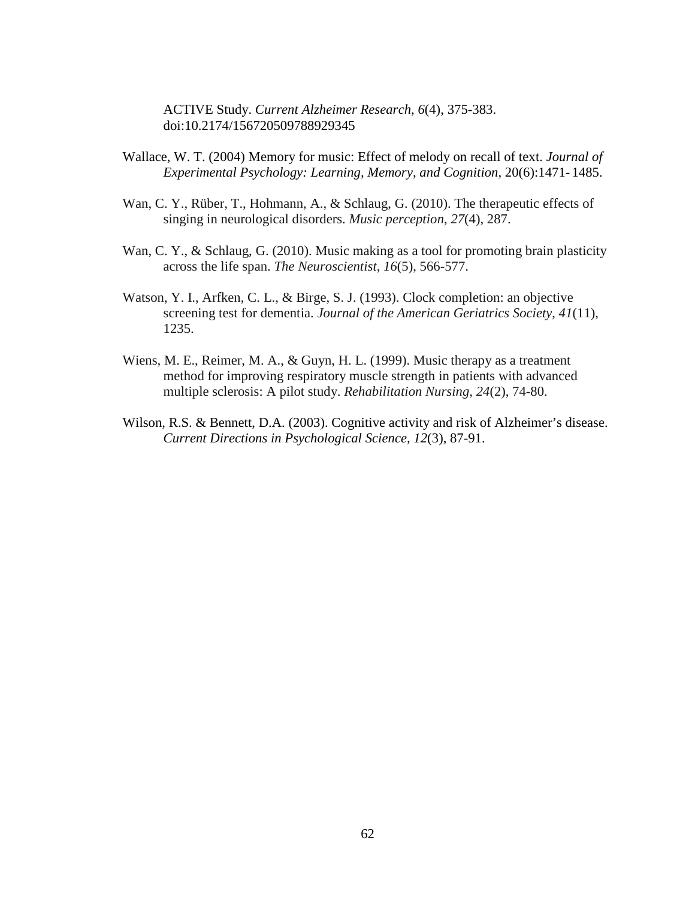ACTIVE Study. *Current Alzheimer Research*, *6*(4), 375-383. doi:10.2174/156720509788929345

- Wallace, W. T. (2004) Memory for music: Effect of melody on recall of text. *Journal of Experimental Psychology: Learning, Memory, and Cognition,* 20(6):1471- 1485.
- Wan, C. Y., Rüber, T., Hohmann, A., & Schlaug, G. (2010). The therapeutic effects of singing in neurological disorders. *Music perception*, *27*(4), 287.
- Wan, C. Y., & Schlaug, G. (2010). Music making as a tool for promoting brain plasticity across the life span. *The Neuroscientist*, *16*(5), 566-577.
- Watson, Y. I., Arfken, C. L., & Birge, S. J. (1993). Clock completion: an objective screening test for dementia. *Journal of the American Geriatrics Society*, *41*(11), 1235.
- Wiens, M. E., Reimer, M. A., & Guyn, H. L. (1999). Music therapy as a treatment method for improving respiratory muscle strength in patients with advanced multiple sclerosis: A pilot study. *Rehabilitation Nursing*, *24*(2), 74-80.
- Wilson, R.S. & Bennett, D.A. (2003). Cognitive activity and risk of Alzheimer's disease. *Current Directions in Psychological Science, 12*(3), 87-91.